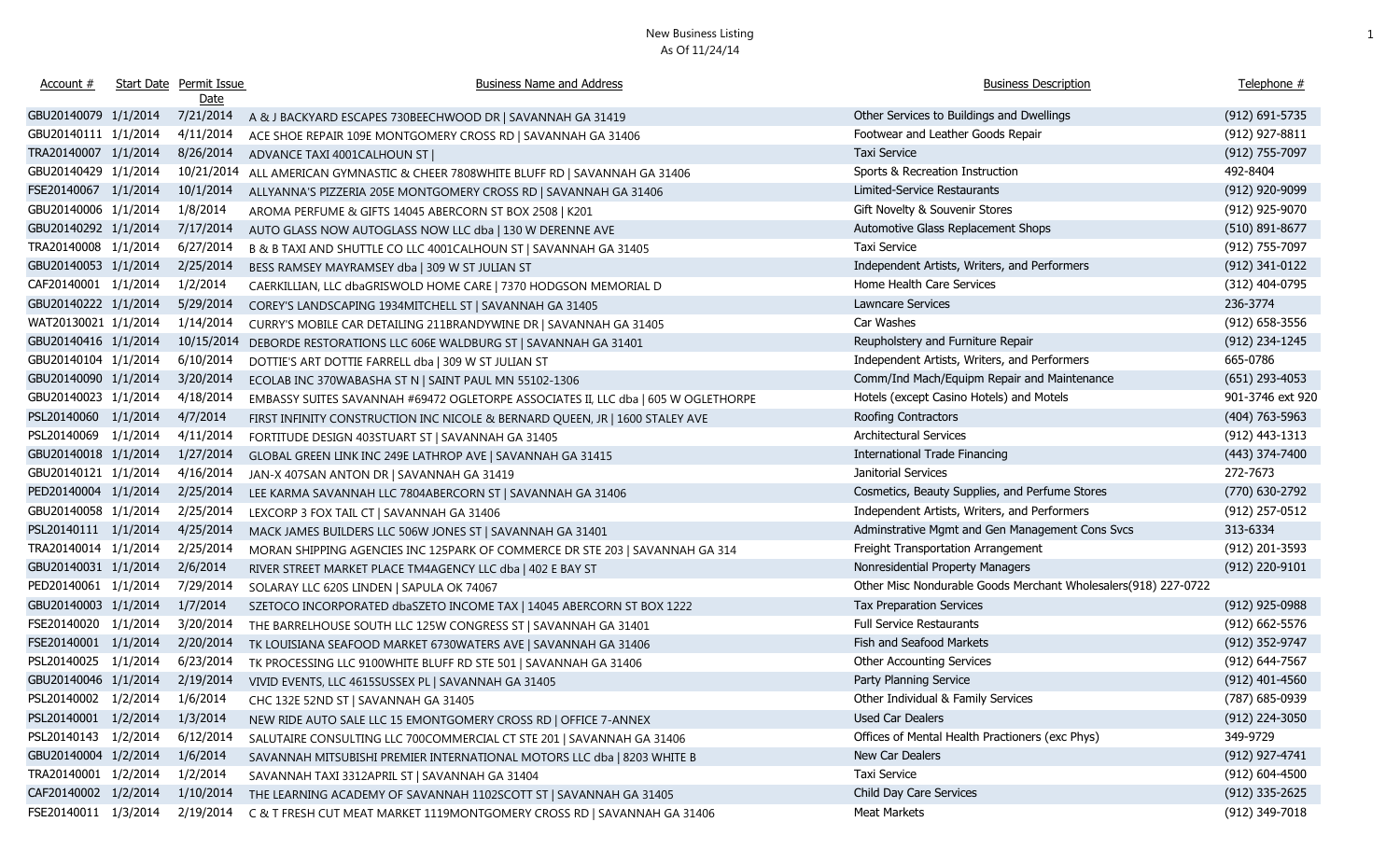| Account #                     | <b>Start Date Permit Issue</b> | <b>Business Name and Address</b>                                                   | <b>Business Description</b>                                    | Telephone #        |
|-------------------------------|--------------------------------|------------------------------------------------------------------------------------|----------------------------------------------------------------|--------------------|
|                               | Date                           |                                                                                    |                                                                |                    |
| GBU20140079 1/1/2014          | 7/21/2014                      | A & J BACKYARD ESCAPES 730BEECHWOOD DR   SAVANNAH GA 31419                         | Other Services to Buildings and Dwellings                      | $(912) 691 - 5735$ |
| GBU20140111 1/1/2014          | 4/11/2014                      | ACE SHOE REPAIR 109E MONTGOMERY CROSS RD   SAVANNAH GA 31406                       | Footwear and Leather Goods Repair                              | (912) 927-8811     |
| TRA20140007 1/1/2014          | 8/26/2014                      | ADVANCE TAXI 4001CALHOUN ST                                                        | Taxi Service                                                   | (912) 755-7097     |
| GBU20140429 1/1/2014          | 10/21/2014                     | ALL AMERICAN GYMNASTIC & CHEER 7808WHITE BLUFF RD   SAVANNAH GA 31406              | Sports & Recreation Instruction                                | 492-8404           |
| FSE20140067 1/1/2014          | 10/1/2014                      | ALLYANNA'S PIZZERIA 205E MONTGOMERY CROSS RD   SAVANNAH GA 31406                   | Limited-Service Restaurants                                    | (912) 920-9099     |
| GBU20140006 1/1/2014          | 1/8/2014                       | AROMA PERFUME & GIFTS 14045 ABERCORN ST BOX 2508   K201                            | Gift Novelty & Souvenir Stores                                 | (912) 925-9070     |
| GBU20140292 1/1/2014          | 7/17/2014                      | AUTO GLASS NOW AUTOGLASS NOW LLC dba   130 W DERENNE AVE                           | Automotive Glass Replacement Shops                             | $(510)$ 891-8677   |
| TRA20140008 1/1/2014          | 6/27/2014                      | B & B TAXI AND SHUTTLE CO LLC 4001CALHOUN ST   SAVANNAH GA 31405                   | <b>Taxi Service</b>                                            | (912) 755-7097     |
| GBU20140053 1/1/2014          | 2/25/2014                      | BESS RAMSEY MAYRAMSEY dba   309 W ST JULIAN ST                                     | Independent Artists, Writers, and Performers                   | (912) 341-0122     |
| CAF20140001 1/1/2014          | 1/2/2014                       | CAERKILLIAN, LLC dbaGRISWOLD HOME CARE   7370 HODGSON MEMORIAL D                   | Home Health Care Services                                      | (312) 404-0795     |
| GBU20140222 1/1/2014          | 5/29/2014                      | COREY'S LANDSCAPING 1934MITCHELL ST   SAVANNAH GA 31405                            | <b>Lawncare Services</b>                                       | 236-3774           |
| WAT20130021 1/1/2014          | 1/14/2014                      | CURRY'S MOBILE CAR DETAILING 211BRANDYWINE DR   SAVANNAH GA 31405                  | Car Washes                                                     | (912) 658-3556     |
| GBU20140416 1/1/2014          | 10/15/2014                     | DEBORDE RESTORATIONS LLC 606E WALDBURG ST   SAVANNAH GA 31401                      | Reupholstery and Furniture Repair                              | (912) 234-1245     |
| GBU20140104 1/1/2014          | 6/10/2014                      | DOTTIE'S ART DOTTIE FARRELL dba   309 W ST JULIAN ST                               | Independent Artists, Writers, and Performers                   | 665-0786           |
| GBU20140090 1/1/2014          | 3/20/2014                      | ECOLAB INC 370WABASHA ST N   SAINT PAUL MN 55102-1306                              | Comm/Ind Mach/Equipm Repair and Maintenance                    | $(651)$ 293-4053   |
| GBU20140023 1/1/2014          | 4/18/2014                      | EMBASSY SUITES SAVANNAH #69472 OGLETORPE ASSOCIATES II, LLC dba   605 W OGLETHORPE | Hotels (except Casino Hotels) and Motels                       | 901-3746 ext 920   |
| PSL20140060 1/1/2014          | 4/7/2014                       | FIRST INFINITY CONSTRUCTION INC NICOLE & BERNARD QUEEN, JR   1600 STALEY AVE       | Roofing Contractors                                            | $(404)$ 763-5963   |
| PSL20140069 1/1/2014          | 4/11/2014                      | FORTITUDE DESIGN 403STUART ST   SAVANNAH GA 31405                                  | Architectural Services                                         | (912) 443-1313     |
| GBU20140018 1/1/2014          | 1/27/2014                      | GLOBAL GREEN LINK INC 249E LATHROP AVE   SAVANNAH GA 31415                         | <b>International Trade Financing</b>                           | (443) 374-7400     |
| GBU20140121 1/1/2014          | 4/16/2014                      | JAN-X 407SAN ANTON DR   SAVANNAH GA 31419                                          | Janitorial Services                                            | 272-7673           |
| PED20140004 1/1/2014          | 2/25/2014                      | LEE KARMA SAVANNAH LLC 7804ABERCORN ST   SAVANNAH GA 31406                         | Cosmetics, Beauty Supplies, and Perfume Stores                 | (770) 630-2792     |
| GBU20140058 1/1/2014          | 2/25/2014                      | LEXCORP 3 FOX TAIL CT   SAVANNAH GA 31406                                          | Independent Artists, Writers, and Performers                   | (912) 257-0512     |
| PSL20140111 1/1/2014          | 4/25/2014                      | MACK JAMES BUILDERS LLC 506W JONES ST   SAVANNAH GA 31401                          | Adminstrative Mgmt and Gen Management Cons Svcs                | 313-6334           |
| TRA20140014 1/1/2014          | 2/25/2014                      | MORAN SHIPPING AGENCIES INC 125PARK OF COMMERCE DR STE 203   SAVANNAH GA 314       | Freight Transportation Arrangement                             | (912) 201-3593     |
| GBU20140031 1/1/2014          | 2/6/2014                       | RIVER STREET MARKET PLACE TM4AGENCY LLC dba   402 E BAY ST                         | Nonresidential Property Managers                               | (912) 220-9101     |
| PED20140061 1/1/2014          | 7/29/2014                      | SOLARAY LLC 620S LINDEN   SAPULA OK 74067                                          | Other Misc Nondurable Goods Merchant Wholesalers(918) 227-0722 |                    |
| GBU20140003 1/1/2014          | 1/7/2014                       | SZETOCO INCORPORATED dbaSZETO INCOME TAX   14045 ABERCORN ST BOX 1222              | Tax Preparation Services                                       | (912) 925-0988     |
| FSE20140020 1/1/2014          | 3/20/2014                      | THE BARRELHOUSE SOUTH LLC 125W CONGRESS ST   SAVANNAH GA 31401                     | <b>Full Service Restaurants</b>                                | $(912) 662 - 5576$ |
| FSE20140001 1/1/2014          | 2/20/2014                      | TK LOUISIANA SEAFOOD MARKET 6730WATERS AVE   SAVANNAH GA 31406                     | Fish and Seafood Markets                                       | (912) 352-9747     |
| PSL20140025 1/1/2014          | 6/23/2014                      | TK PROCESSING LLC 9100WHITE BLUFF RD STE 501   SAVANNAH GA 31406                   | <b>Other Accounting Services</b>                               | (912) 644-7567     |
| GBU20140046 1/1/2014          | 2/19/2014                      | VIVID EVENTS, LLC 4615SUSSEX PL   SAVANNAH GA 31405                                | Party Planning Service                                         | $(912)$ 401-4560   |
| PSL20140002 1/2/2014 1/6/2014 |                                | CHC 132E 52ND ST   SAVANNAH GA 31405                                               | Other Individual & Family Services                             | (787) 685-0939     |
| PSL20140001 1/2/2014          | 1/3/2014                       | NEW RIDE AUTO SALE LLC 15 EMONTGOMERY CROSS RD   OFFICE 7-ANNEX                    | Used Car Dealers                                               | (912) 224-3050     |
| PSL20140143 1/2/2014          | 6/12/2014                      | SALUTAIRE CONSULTING LLC 700COMMERCIAL CT STE 201   SAVANNAH GA 31406              | Offices of Mental Health Practioners (exc Phys)                | 349-9729           |
| GBU20140004 1/2/2014          | 1/6/2014                       | SAVANNAH MITSUBISHI PREMIER INTERNATIONAL MOTORS LLC dba   8203 WHITE B            | New Car Dealers                                                | (912) 927-4741     |
| TRA20140001 1/2/2014          | 1/2/2014                       | SAVANNAH TAXI 3312APRIL ST   SAVANNAH GA 31404                                     | Taxi Service                                                   | $(912) 604 - 4500$ |
| CAF20140002 1/2/2014          | 1/10/2014                      | THE LEARNING ACADEMY OF SAVANNAH 1102SCOTT ST   SAVANNAH GA 31405                  | Child Day Care Services                                        | $(912)$ 335-2625   |
| FSE20140011 1/3/2014          | 2/19/2014                      | C & T FRESH CUT MEAT MARKET 1119MONTGOMERY CROSS RD   SAVANNAH GA 31406            | <b>Meat Markets</b>                                            | (912) 349-7018     |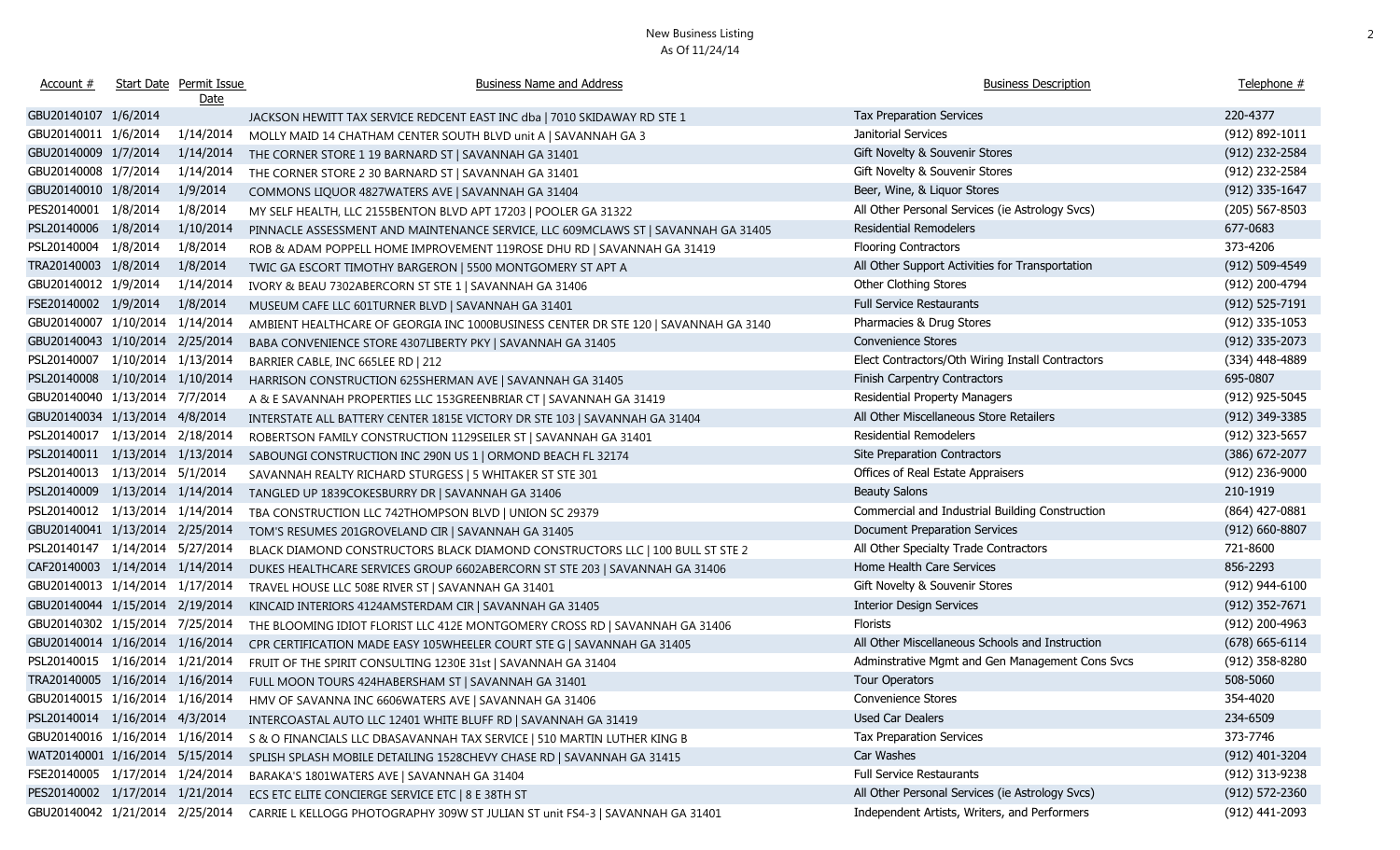| Account #                       |                     | Start Date Permit Issue<br>Date | <b>Business Name and Address</b>                                                    | <b>Business Description</b>                      | Telephone #        |
|---------------------------------|---------------------|---------------------------------|-------------------------------------------------------------------------------------|--------------------------------------------------|--------------------|
| GBU20140107 1/6/2014            |                     |                                 | JACKSON HEWITT TAX SERVICE REDCENT EAST INC dba   7010 SKIDAWAY RD STE 1            | <b>Tax Preparation Services</b>                  | 220-4377           |
| GBU20140011 1/6/2014            |                     | 1/14/2014                       | MOLLY MAID 14 CHATHAM CENTER SOUTH BLVD unit A   SAVANNAH GA 3                      | Janitorial Services                              | (912) 892-1011     |
| GBU20140009 1/7/2014            |                     | 1/14/2014                       | THE CORNER STORE 1 19 BARNARD ST   SAVANNAH GA 31401                                | Gift Novelty & Souvenir Stores                   | (912) 232-2584     |
| GBU20140008 1/7/2014            |                     | 1/14/2014                       | THE CORNER STORE 2 30 BARNARD ST   SAVANNAH GA 31401                                | Gift Novelty & Souvenir Stores                   | (912) 232-2584     |
| GBU20140010 1/8/2014            |                     | 1/9/2014                        | COMMONS LIQUOR 4827WATERS AVE   SAVANNAH GA 31404                                   | Beer, Wine, & Liquor Stores                      | (912) 335-1647     |
| PES20140001 1/8/2014            |                     | 1/8/2014                        | MY SELF HEALTH, LLC 2155BENTON BLVD APT 17203   POOLER GA 31322                     | All Other Personal Services (ie Astrology Svcs)  | $(205)$ 567-8503   |
| PSL20140006 1/8/2014            |                     | 1/10/2014                       | PINNACLE ASSESSMENT AND MAINTENANCE SERVICE, LLC 609MCLAWS ST   SAVANNAH GA 31405   | <b>Residential Remodelers</b>                    | 677-0683           |
| PSL20140004 1/8/2014            |                     | 1/8/2014                        | ROB & ADAM POPPELL HOME IMPROVEMENT 119ROSE DHU RD   SAVANNAH GA 31419              | <b>Flooring Contractors</b>                      | 373-4206           |
| TRA20140003 1/8/2014            |                     | 1/8/2014                        | TWIC GA ESCORT TIMOTHY BARGERON   5500 MONTGOMERY ST APT A                          | All Other Support Activities for Transportation  | (912) 509-4549     |
| GBU20140012 1/9/2014            |                     | 1/14/2014                       | IVORY & BEAU 7302ABERCORN ST STE 1   SAVANNAH GA 31406                              | Other Clothing Stores                            | (912) 200-4794     |
| FSE20140002 1/9/2014            |                     | 1/8/2014                        | MUSEUM CAFE LLC 601TURNER BLVD   SAVANNAH GA 31401                                  | <b>Full Service Restaurants</b>                  | $(912) 525 - 7191$ |
| GBU20140007 1/10/2014 1/14/2014 |                     |                                 | AMBIENT HEALTHCARE OF GEORGIA INC 1000BUSINESS CENTER DR STE 120   SAVANNAH GA 3140 | Pharmacies & Drug Stores                         | (912) 335-1053     |
| GBU20140043 1/10/2014 2/25/2014 |                     |                                 | BABA CONVENIENCE STORE 4307LIBERTY PKY   SAVANNAH GA 31405                          | Convenience Stores                               | (912) 335-2073     |
| PSL20140007                     | 1/10/2014 1/13/2014 |                                 | BARRIER CABLE, INC 665LEE RD   212                                                  | Elect Contractors/Oth Wiring Install Contractors | (334) 448-4889     |
| PSL20140008                     | 1/10/2014 1/10/2014 |                                 | HARRISON CONSTRUCTION 625SHERMAN AVE   SAVANNAH GA 31405                            | Finish Carpentry Contractors                     | 695-0807           |
| GBU20140040 1/13/2014 7/7/2014  |                     |                                 | A & E SAVANNAH PROPERTIES LLC 153GREENBRIAR CT   SAVANNAH GA 31419                  | <b>Residential Property Managers</b>             | (912) 925-5045     |
| GBU20140034 1/13/2014 4/8/2014  |                     |                                 | INTERSTATE ALL BATTERY CENTER 1815E VICTORY DR STE 103   SAVANNAH GA 31404          | All Other Miscellaneous Store Retailers          | (912) 349-3385     |
| PSL20140017 1/13/2014 2/18/2014 |                     |                                 | ROBERTSON FAMILY CONSTRUCTION 1129SEILER ST   SAVANNAH GA 31401                     | <b>Residential Remodelers</b>                    | (912) 323-5657     |
| PSL20140011 1/13/2014 1/13/2014 |                     |                                 | SABOUNGI CONSTRUCTION INC 290N US 1   ORMOND BEACH FL 32174                         | Site Preparation Contractors                     | (386) 672-2077     |
| PSL20140013 1/13/2014 5/1/2014  |                     |                                 | SAVANNAH REALTY RICHARD STURGESS   5 WHITAKER ST STE 301                            | Offices of Real Estate Appraisers                | (912) 236-9000     |
| PSL20140009                     | 1/13/2014 1/14/2014 |                                 | TANGLED UP 1839COKESBURRY DR   SAVANNAH GA 31406                                    | <b>Beauty Salons</b>                             | 210-1919           |
| PSL20140012 1/13/2014 1/14/2014 |                     |                                 | TBA CONSTRUCTION LLC 742THOMPSON BLVD   UNION SC 29379                              | Commercial and Industrial Building Construction  | (864) 427-0881     |
| GBU20140041 1/13/2014 2/25/2014 |                     |                                 | TOM'S RESUMES 201GROVELAND CIR   SAVANNAH GA 31405                                  | Document Preparation Services                    | $(912) 660 - 8807$ |
| PSL20140147 1/14/2014 5/27/2014 |                     |                                 | BLACK DIAMOND CONSTRUCTORS BLACK DIAMOND CONSTRUCTORS LLC   100 BULL ST STE 2       | All Other Specialty Trade Contractors            | 721-8600           |
| CAF20140003 1/14/2014 1/14/2014 |                     |                                 | DUKES HEALTHCARE SERVICES GROUP 6602ABERCORN ST STE 203   SAVANNAH GA 31406         | Home Health Care Services                        | 856-2293           |
| GBU20140013 1/14/2014 1/17/2014 |                     |                                 | TRAVEL HOUSE LLC 508E RIVER ST   SAVANNAH GA 31401                                  | Gift Novelty & Souvenir Stores                   | (912) 944-6100     |
| GBU20140044 1/15/2014 2/19/2014 |                     |                                 | KINCAID INTERIORS 4124AMSTERDAM CIR   SAVANNAH GA 31405                             | <b>Interior Design Services</b>                  | $(912)$ 352-7671   |
| GBU20140302 1/15/2014 7/25/2014 |                     |                                 | THE BLOOMING IDIOT FLORIST LLC 412E MONTGOMERY CROSS RD   SAVANNAH GA 31406         | <b>Florists</b>                                  | (912) 200-4963     |
| GBU20140014 1/16/2014 1/16/2014 |                     |                                 | CPR CERTIFICATION MADE EASY 105WHEELER COURT STE G   SAVANNAH GA 31405              | All Other Miscellaneous Schools and Instruction  | $(678) 665 - 6114$ |
| PSL20140015 1/16/2014 1/21/2014 |                     |                                 | FRUIT OF THE SPIRIT CONSULTING 1230E 31st   SAVANNAH GA 31404                       | Adminstrative Mgmt and Gen Management Cons Svcs  | (912) 358-8280     |
| TRA20140005 1/16/2014 1/16/2014 |                     |                                 | FULL MOON TOURS 424HABERSHAM ST   SAVANNAH GA 31401                                 | <b>Tour Operators</b>                            | 508-5060           |
| GBU20140015 1/16/2014 1/16/2014 |                     |                                 | HMV OF SAVANNA INC 6606WATERS AVE   SAVANNAH GA 31406                               | Convenience Stores                               | 354-4020           |
| PSL20140014 1/16/2014 4/3/2014  |                     |                                 | INTERCOASTAL AUTO LLC 12401 WHITE BLUFF RD   SAVANNAH GA 31419                      | Used Car Dealers                                 | 234-6509           |
| GBU20140016 1/16/2014 1/16/2014 |                     |                                 | S & O FINANCIALS LLC DBASAVANNAH TAX SERVICE   510 MARTIN LUTHER KING B             | <b>Tax Preparation Services</b>                  | 373-7746           |
| WAT20140001 1/16/2014 5/15/2014 |                     |                                 | SPLISH SPLASH MOBILE DETAILING 1528CHEVY CHASE RD   SAVANNAH GA 31415               | Car Washes                                       | (912) 401-3204     |
| FSE20140005 1/17/2014 1/24/2014 |                     |                                 | BARAKA'S 1801WATERS AVE   SAVANNAH GA 31404                                         | <b>Full Service Restaurants</b>                  | (912) 313-9238     |
| PES20140002 1/17/2014 1/21/2014 |                     |                                 | ECS ETC ELITE CONCIERGE SERVICE ETC   8 E 38TH ST                                   | All Other Personal Services (ie Astrology Svcs)  | $(912) 572 - 2360$ |
| GBU20140042 1/21/2014 2/25/2014 |                     |                                 | CARRIE L KELLOGG PHOTOGRAPHY 309W ST JULIAN ST unit FS4-3   SAVANNAH GA 31401       | Independent Artists, Writers, and Performers     | (912) 441-2093     |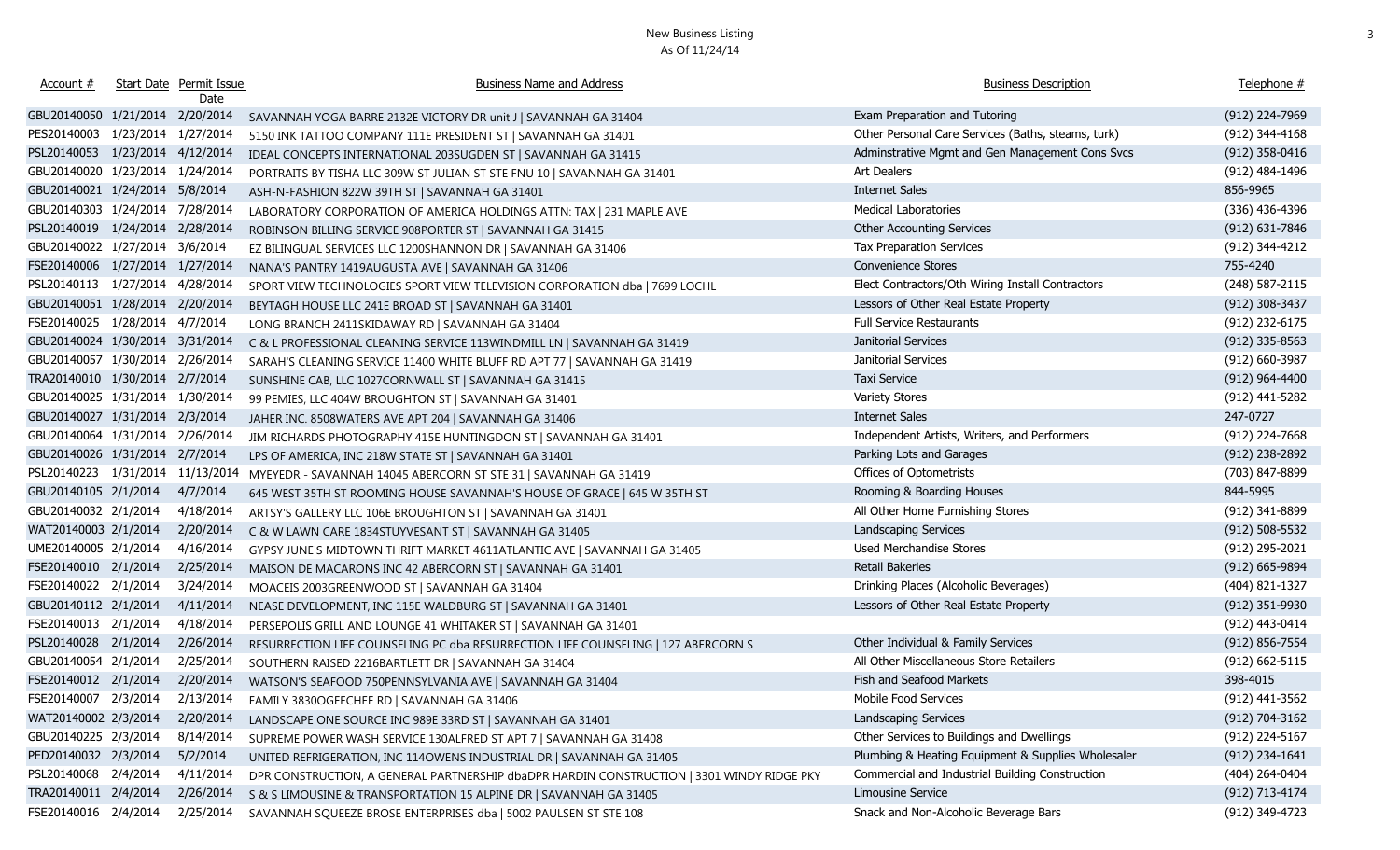| Account $#$                      | <b>Start Date Permit Issue</b><br>Date | <b>Business Name and Address</b>                                                          | <b>Business Description</b>                        | Telephone #        |
|----------------------------------|----------------------------------------|-------------------------------------------------------------------------------------------|----------------------------------------------------|--------------------|
| GBU20140050 1/21/2014 2/20/2014  |                                        | SAVANNAH YOGA BARRE 2132E VICTORY DR unit J   SAVANNAH GA 31404                           | Exam Preparation and Tutoring                      | (912) 224-7969     |
| PES20140003 1/23/2014 1/27/2014  |                                        | 5150 INK TATTOO COMPANY 111E PRESIDENT ST   SAVANNAH GA 31401                             | Other Personal Care Services (Baths, steams, turk) | (912) 344-4168     |
| PSL20140053 1/23/2014 4/12/2014  |                                        | IDEAL CONCEPTS INTERNATIONAL 203SUGDEN ST   SAVANNAH GA 31415                             | Adminstrative Mgmt and Gen Management Cons Svcs    | $(912)$ 358-0416   |
| GBU20140020 1/23/2014 1/24/2014  |                                        | PORTRAITS BY TISHA LLC 309W ST JULIAN ST STE FNU 10   SAVANNAH GA 31401                   | Art Dealers                                        | (912) 484-1496     |
| GBU20140021 1/24/2014 5/8/2014   |                                        | ASH-N-FASHION 822W 39TH ST   SAVANNAH GA 31401                                            | <b>Internet Sales</b>                              | 856-9965           |
| GBU20140303 1/24/2014 7/28/2014  |                                        | LABORATORY CORPORATION OF AMERICA HOLDINGS ATTN: TAX   231 MAPLE AVE                      | <b>Medical Laboratories</b>                        | (336) 436-4396     |
| PSL20140019 1/24/2014 2/28/2014  |                                        | ROBINSON BILLING SERVICE 908PORTER ST   SAVANNAH GA 31415                                 | <b>Other Accounting Services</b>                   | (912) 631-7846     |
| GBU20140022 1/27/2014 3/6/2014   |                                        | EZ BILINGUAL SERVICES LLC 1200SHANNON DR   SAVANNAH GA 31406                              | Tax Preparation Services                           | (912) 344-4212     |
| FSE20140006 1/27/2014 1/27/2014  |                                        | NANA'S PANTRY 1419AUGUSTA AVE   SAVANNAH GA 31406                                         | Convenience Stores                                 | 755-4240           |
| PSL20140113 1/27/2014 4/28/2014  |                                        | SPORT VIEW TECHNOLOGIES SPORT VIEW TELEVISION CORPORATION dba   7699 LOCHL                | Elect Contractors/Oth Wiring Install Contractors   | (248) 587-2115     |
| GBU20140051 1/28/2014 2/20/2014  |                                        | BEYTAGH HOUSE LLC 241E BROAD ST   SAVANNAH GA 31401                                       | Lessors of Other Real Estate Property              | (912) 308-3437     |
| FSE20140025 1/28/2014 4/7/2014   |                                        | LONG BRANCH 2411SKIDAWAY RD   SAVANNAH GA 31404                                           | <b>Full Service Restaurants</b>                    | (912) 232-6175     |
| GBU20140024 1/30/2014 3/31/2014  |                                        | C & L PROFESSIONAL CLEANING SERVICE 113WINDMILL LN   SAVANNAH GA 31419                    | Janitorial Services                                | $(912)$ 335-8563   |
| GBU20140057 1/30/2014 2/26/2014  |                                        | SARAH'S CLEANING SERVICE 11400 WHITE BLUFF RD APT 77   SAVANNAH GA 31419                  | Janitorial Services                                | (912) 660-3987     |
| TRA20140010 1/30/2014 2/7/2014   |                                        | SUNSHINE CAB, LLC 1027CORNWALL ST   SAVANNAH GA 31415                                     | Taxi Service                                       | $(912)$ 964-4400   |
| GBU20140025 1/31/2014 1/30/2014  |                                        | 99 PEMIES, LLC 404W BROUGHTON ST   SAVANNAH GA 31401                                      | <b>Variety Stores</b>                              | (912) 441-5282     |
| GBU20140027 1/31/2014 2/3/2014   |                                        | JAHER INC. 8508WATERS AVE APT 204   SAVANNAH GA 31406                                     | <b>Internet Sales</b>                              | 247-0727           |
| GBU20140064 1/31/2014 2/26/2014  |                                        | JIM RICHARDS PHOTOGRAPHY 415E HUNTINGDON ST   SAVANNAH GA 31401                           | Independent Artists, Writers, and Performers       | (912) 224-7668     |
| GBU20140026 1/31/2014 2/7/2014   |                                        | LPS OF AMERICA, INC 218W STATE ST   SAVANNAH GA 31401                                     | Parking Lots and Garages                           | (912) 238-2892     |
| PSL20140223 1/31/2014 11/13/2014 |                                        | MYEYEDR - SAVANNAH 14045 ABERCORN ST STE 31   SAVANNAH GA 31419                           | Offices of Optometrists                            | (703) 847-8899     |
| GBU20140105 2/1/2014             | 4/7/2014                               | 645 WEST 35TH ST ROOMING HOUSE SAVANNAH'S HOUSE OF GRACE   645 W 35TH ST                  | Rooming & Boarding Houses                          | 844-5995           |
| GBU20140032 2/1/2014             | 4/18/2014                              | ARTSY'S GALLERY LLC 106E BROUGHTON ST   SAVANNAH GA 31401                                 | All Other Home Furnishing Stores                   | (912) 341-8899     |
| WAT20140003 2/1/2014             | 2/20/2014                              | C & W LAWN CARE 1834STUYVESANT ST   SAVANNAH GA 31405                                     | Landscaping Services                               | $(912) 508 - 5532$ |
| UME20140005 2/1/2014             | 4/16/2014                              | GYPSY JUNE'S MIDTOWN THRIFT MARKET 4611ATLANTIC AVE   SAVANNAH GA 31405                   | Used Merchandise Stores                            | (912) 295-2021     |
| FSE20140010 2/1/2014             | 2/25/2014                              | MAISON DE MACARONS INC 42 ABERCORN ST   SAVANNAH GA 31401                                 | Retail Bakeries                                    | (912) 665-9894     |
| FSE20140022 2/1/2014             | 3/24/2014                              | MOACEIS 2003GREENWOOD ST   SAVANNAH GA 31404                                              | Drinking Places (Alcoholic Beverages)              | (404) 821-1327     |
| GBU20140112 2/1/2014             | 4/11/2014                              | NEASE DEVELOPMENT, INC 115E WALDBURG ST   SAVANNAH GA 31401                               | Lessors of Other Real Estate Property              | (912) 351-9930     |
| FSE20140013 2/1/2014             | 4/18/2014                              | PERSEPOLIS GRILL AND LOUNGE 41 WHITAKER ST   SAVANNAH GA 31401                            |                                                    | (912) 443-0414     |
| PSL20140028 2/1/2014             | 2/26/2014                              | RESURRECTION LIFE COUNSELING PC dba RESURRECTION LIFE COUNSELING   127 ABERCORN S         | Other Individual & Family Services                 | $(912) 856 - 7554$ |
| GBU20140054 2/1/2014             | 2/25/2014                              | SOUTHERN RAISED 2216BARTLETT DR   SAVANNAH GA 31404                                       | All Other Miscellaneous Store Retailers            | (912) 662-5115     |
|                                  |                                        | FSE20140012 2/1/2014 2/20/2014  WATSON'S SEAFOOD 750PENNSYLVANIA AVE   SAVANNAH GA 31404  | Fish and Seafood Markets                           | 398-4015           |
| FSE20140007 2/3/2014 2/13/2014   |                                        | FAMILY 3830OGEECHEE RD   SAVANNAH GA 31406                                                | Mobile Food Services                               | (912) 441-3562     |
| WAT20140002 2/3/2014             | 2/20/2014                              | LANDSCAPE ONE SOURCE INC 989E 33RD ST   SAVANNAH GA 31401                                 | Landscaping Services                               | (912) 704-3162     |
| GBU20140225 2/3/2014             | 8/14/2014                              | SUPREME POWER WASH SERVICE 130ALFRED ST APT 7   SAVANNAH GA 31408                         | Other Services to Buildings and Dwellings          | (912) 224-5167     |
| PED20140032 2/3/2014             | 5/2/2014                               | UNITED REFRIGERATION, INC 114OWENS INDUSTRIAL DR   SAVANNAH GA 31405                      | Plumbing & Heating Equipment & Supplies Wholesaler | (912) 234-1641     |
| PSL20140068 2/4/2014             | 4/11/2014                              | DPR CONSTRUCTION, A GENERAL PARTNERSHIP dbaDPR HARDIN CONSTRUCTION   3301 WINDY RIDGE PKY | Commercial and Industrial Building Construction    | $(404)$ 264-0404   |
| TRA20140011 2/4/2014             | 2/26/2014                              | S & S LIMOUSINE & TRANSPORTATION 15 ALPINE DR   SAVANNAH GA 31405                         | Limousine Service                                  | (912) 713-4174     |
| FSE20140016 2/4/2014             | 2/25/2014                              | SAVANNAH SQUEEZE BROSE ENTERPRISES dba   5002 PAULSEN ST STE 108                          | Snack and Non-Alcoholic Beverage Bars              | (912) 349-4723     |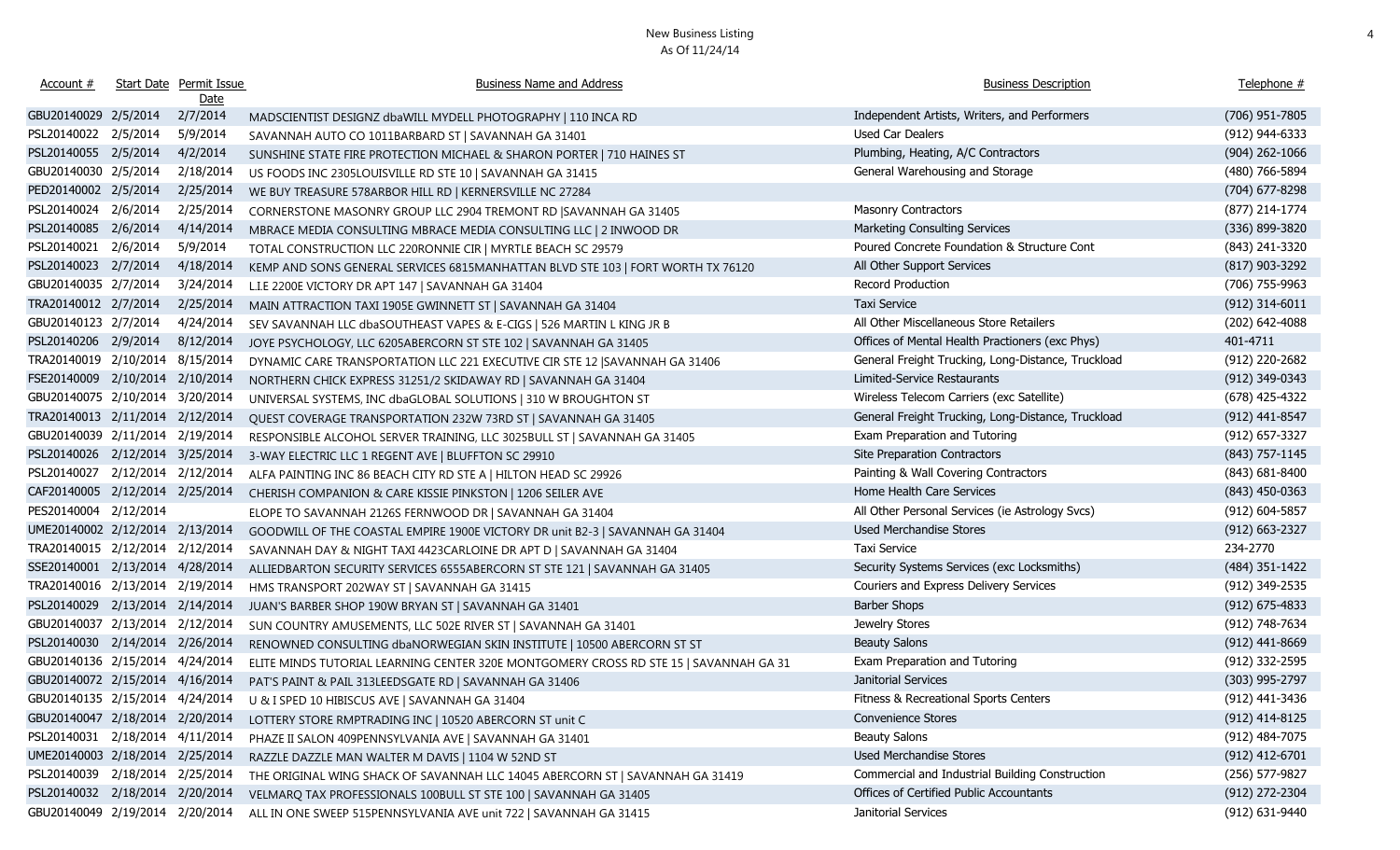| Account #                       |          | Start Date Permit Issue<br>Date | <b>Business Name and Address</b>                                                      | <b>Business Description</b>                        | Telephone #        |
|---------------------------------|----------|---------------------------------|---------------------------------------------------------------------------------------|----------------------------------------------------|--------------------|
| GBU20140029 2/5/2014            |          | 2/7/2014                        | MADSCIENTIST DESIGNZ dbaWILL MYDELL PHOTOGRAPHY   110 INCA RD                         | Independent Artists, Writers, and Performers       | (706) 951-7805     |
| PSL20140022 2/5/2014            |          | 5/9/2014                        | SAVANNAH AUTO CO 1011BARBARD ST   SAVANNAH GA 31401                                   | Used Car Dealers                                   | (912) 944-6333     |
| PSL20140055 2/5/2014            |          | 4/2/2014                        | SUNSHINE STATE FIRE PROTECTION MICHAEL & SHARON PORTER   710 HAINES ST                | Plumbing, Heating, A/C Contractors                 | $(904)$ 262-1066   |
| GBU20140030 2/5/2014            |          | 2/18/2014                       | US FOODS INC 2305LOUISVILLE RD STE 10   SAVANNAH GA 31415                             | General Warehousing and Storage                    | (480) 766-5894     |
| PED20140002 2/5/2014            |          | 2/25/2014                       | WE BUY TREASURE 578ARBOR HILL RD   KERNERSVILLE NC 27284                              |                                                    | (704) 677-8298     |
| PSL20140024                     | 2/6/2014 | 2/25/2014                       | CORNERSTONE MASONRY GROUP LLC 2904 TREMONT RD   SAVANNAH GA 31405                     | <b>Masonry Contractors</b>                         | (877) 214-1774     |
| PSL20140085                     | 2/6/2014 | 4/14/2014                       | MBRACE MEDIA CONSULTING MBRACE MEDIA CONSULTING LLC   2 INWOOD DR                     | Marketing Consulting Services                      | (336) 899-3820     |
| PSL20140021                     | 2/6/2014 | 5/9/2014                        | TOTAL CONSTRUCTION LLC 220RONNIE CIR   MYRTLE BEACH SC 29579                          | Poured Concrete Foundation & Structure Cont        | (843) 241-3320     |
| PSL20140023                     | 2/7/2014 | 4/18/2014                       | KEMP AND SONS GENERAL SERVICES 6815MANHATTAN BLVD STE 103   FORT WORTH TX 76120       | All Other Support Services                         | $(817)$ 903-3292   |
| GBU20140035 2/7/2014            |          | 3/24/2014                       | L.I.E 2200E VICTORY DR APT 147   SAVANNAH GA 31404                                    | Record Production                                  | (706) 755-9963     |
| TRA20140012 2/7/2014            |          | 2/25/2014                       | MAIN ATTRACTION TAXI 1905E GWINNETT ST   SAVANNAH GA 31404                            | <b>Taxi Service</b>                                | $(912)$ 314-6011   |
| GBU20140123 2/7/2014            |          | 4/24/2014                       | SEV SAVANNAH LLC dbaSOUTHEAST VAPES & E-CIGS   526 MARTIN L KING JR B                 | All Other Miscellaneous Store Retailers            | (202) 642-4088     |
| PSL20140206 2/9/2014            |          | 8/12/2014                       | JOYE PSYCHOLOGY, LLC 6205ABERCORN ST STE 102   SAVANNAH GA 31405                      | Offices of Mental Health Practioners (exc Phys)    | 401-4711           |
| TRA20140019 2/10/2014           |          | 8/15/2014                       | DYNAMIC CARE TRANSPORTATION LLC 221 EXECUTIVE CIR STE 12  SAVANNAH GA 31406           | General Freight Trucking, Long-Distance, Truckload | (912) 220-2682     |
| FSE20140009 2/10/2014           |          | 2/10/2014                       | NORTHERN CHICK EXPRESS 31251/2 SKIDAWAY RD   SAVANNAH GA 31404                        | Limited-Service Restaurants                        | (912) 349-0343     |
| GBU20140075 2/10/2014           |          | 3/20/2014                       | UNIVERSAL SYSTEMS, INC dbaGLOBAL SOLUTIONS   310 W BROUGHTON ST                       | Wireless Telecom Carriers (exc Satellite)          | (678) 425-4322     |
| TRA20140013 2/11/2014 2/12/2014 |          |                                 | QUEST COVERAGE TRANSPORTATION 232W 73RD ST   SAVANNAH GA 31405                        | General Freight Trucking, Long-Distance, Truckload | (912) 441-8547     |
| GBU20140039 2/11/2014 2/19/2014 |          |                                 | RESPONSIBLE ALCOHOL SERVER TRAINING, LLC 3025BULL ST   SAVANNAH GA 31405              | Exam Preparation and Tutoring                      | $(912) 657 - 3327$ |
| PSL20140026 2/12/2014 3/25/2014 |          |                                 | 3-WAY ELECTRIC LLC 1 REGENT AVE   BLUFFTON SC 29910                                   | Site Preparation Contractors                       | (843) 757-1145     |
| PSL20140027 2/12/2014 2/12/2014 |          |                                 | ALFA PAINTING INC 86 BEACH CITY RD STE A   HILTON HEAD SC 29926                       | Painting & Wall Covering Contractors               | $(843) 681 - 8400$ |
| CAF20140005 2/12/2014 2/25/2014 |          |                                 | CHERISH COMPANION & CARE KISSIE PINKSTON   1206 SEILER AVE                            | Home Health Care Services                          | $(843)$ 450-0363   |
| PES20140004 2/12/2014           |          |                                 | ELOPE TO SAVANNAH 2126S FERNWOOD DR   SAVANNAH GA 31404                               | All Other Personal Services (ie Astrology Svcs)    | (912) 604-5857     |
| UME20140002 2/12/2014 2/13/2014 |          |                                 | GOODWILL OF THE COASTAL EMPIRE 1900E VICTORY DR unit B2-3   SAVANNAH GA 31404         | Used Merchandise Stores                            | $(912) 663 - 2327$ |
| TRA20140015 2/12/2014 2/12/2014 |          |                                 | SAVANNAH DAY & NIGHT TAXI 4423CARLOINE DR APT D   SAVANNAH GA 31404                   | Taxi Service                                       | 234-2770           |
| SSE20140001 2/13/2014 4/28/2014 |          |                                 | ALLIEDBARTON SECURITY SERVICES 6555ABERCORN ST STE 121   SAVANNAH GA 31405            | Security Systems Services (exc Locksmiths)         | (484) 351-1422     |
| TRA20140016 2/13/2014 2/19/2014 |          |                                 | HMS TRANSPORT 202WAY ST   SAVANNAH GA 31415                                           | Couriers and Express Delivery Services             | (912) 349-2535     |
| PSL20140029 2/13/2014 2/14/2014 |          |                                 | JUAN'S BARBER SHOP 190W BRYAN ST   SAVANNAH GA 31401                                  | <b>Barber Shops</b>                                | $(912)$ 675-4833   |
| GBU20140037 2/13/2014 2/12/2014 |          |                                 | SUN COUNTRY AMUSEMENTS, LLC 502E RIVER ST   SAVANNAH GA 31401                         | Jewelry Stores                                     | (912) 748-7634     |
| PSL20140030 2/14/2014 2/26/2014 |          |                                 | RENOWNED CONSULTING dbaNORWEGIAN SKIN INSTITUTE   10500 ABERCORN ST ST                | <b>Beauty Salons</b>                               | (912) 441-8669     |
| GBU20140136 2/15/2014 4/24/2014 |          |                                 | ELITE MINDS TUTORIAL LEARNING CENTER 320E MONTGOMERY CROSS RD STE 15   SAVANNAH GA 31 | Exam Preparation and Tutoring                      | (912) 332-2595     |
| GBU20140072 2/15/2014 4/16/2014 |          |                                 | PAT'S PAINT & PAIL 313LEEDSGATE RD   SAVANNAH GA 31406                                | Janitorial Services                                | (303) 995-2797     |
|                                 |          |                                 | GBU20140135 2/15/2014 4/24/2014 U & I SPED 10 HIBISCUS AVE   SAVANNAH GA 31404        | Fitness & Recreational Sports Centers              | (912) 441-3436     |
| GBU20140047 2/18/2014 2/20/2014 |          |                                 | LOTTERY STORE RMPTRADING INC   10520 ABERCORN ST unit C                               | Convenience Stores                                 | (912) 414-8125     |
| PSL20140031 2/18/2014 4/11/2014 |          |                                 | PHAZE II SALON 409PENNSYLVANIA AVE   SAVANNAH GA 31401                                | <b>Beauty Salons</b>                               | (912) 484-7075     |
| UME20140003 2/18/2014 2/25/2014 |          |                                 | RAZZLE DAZZLE MAN WALTER M DAVIS   1104 W 52ND ST                                     | <b>Used Merchandise Stores</b>                     | $(912)$ 412-6701   |
| PSL20140039 2/18/2014 2/25/2014 |          |                                 | THE ORIGINAL WING SHACK OF SAVANNAH LLC 14045 ABERCORN ST   SAVANNAH GA 31419         | Commercial and Industrial Building Construction    | (256) 577-9827     |
| PSL20140032 2/18/2014 2/20/2014 |          |                                 | VELMARQ TAX PROFESSIONALS 100BULL ST STE 100   SAVANNAH GA 31405                      | Offices of Certified Public Accountants            | (912) 272-2304     |
| GBU20140049 2/19/2014 2/20/2014 |          |                                 | ALL IN ONE SWEEP 515PENNSYLVANIA AVE unit 722   SAVANNAH GA 31415                     | Janitorial Services                                | (912) 631-9440     |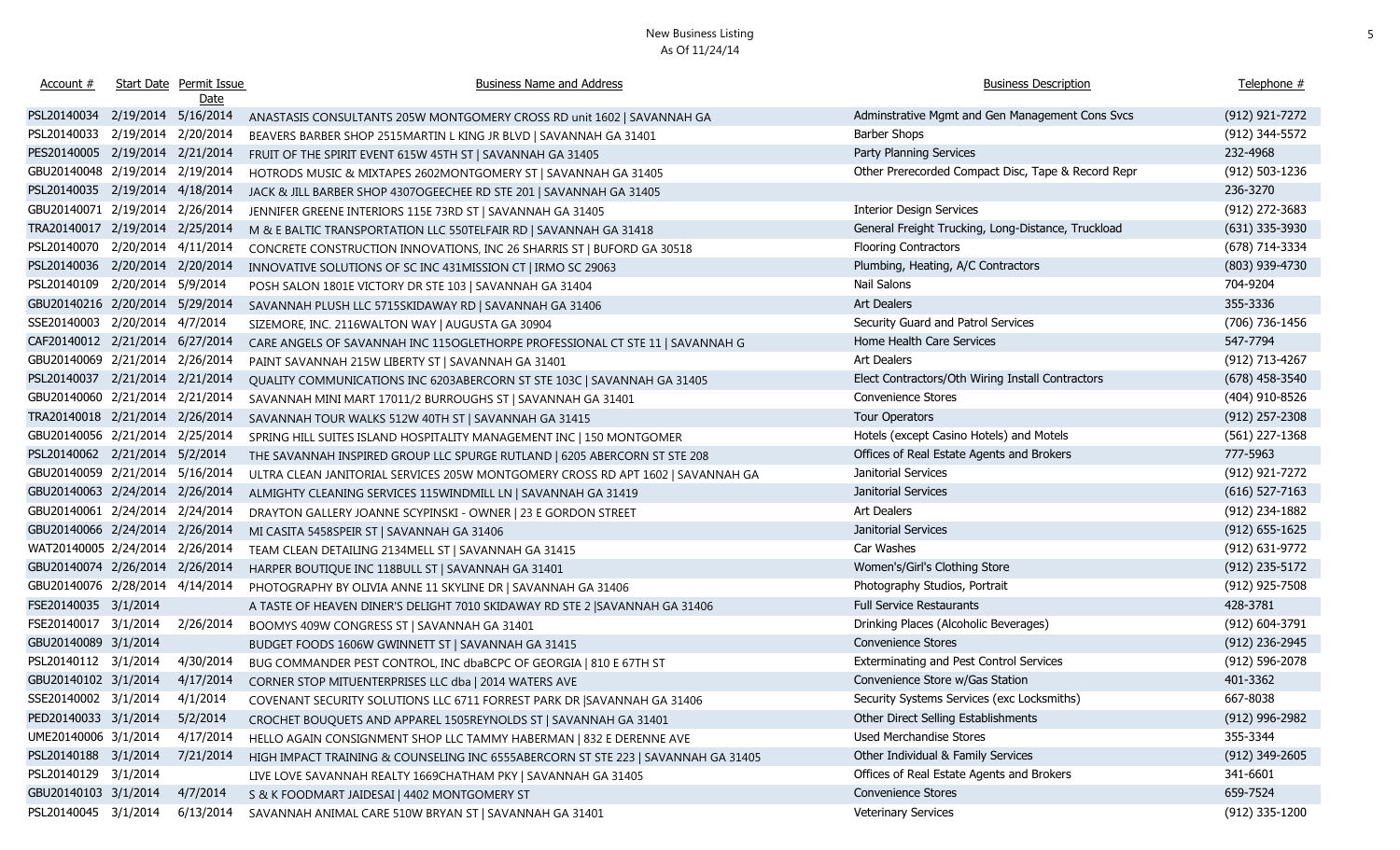| Account #                       |                     | Start Date Permit Issue<br>Date | <b>Business Name and Address</b>                                                  | <b>Business Description</b>                        | Telephone #        |
|---------------------------------|---------------------|---------------------------------|-----------------------------------------------------------------------------------|----------------------------------------------------|--------------------|
| PSL20140034 2/19/2014 5/16/2014 |                     |                                 | ANASTASIS CONSULTANTS 205W MONTGOMERY CROSS RD unit 1602   SAVANNAH GA            | Adminstrative Mgmt and Gen Management Cons Svcs    | $(912)$ 921-7272   |
| PSL20140033                     | 2/19/2014 2/20/2014 |                                 | BEAVERS BARBER SHOP 2515MARTIN L KING JR BLVD   SAVANNAH GA 31401                 | <b>Barber Shops</b>                                | (912) 344-5572     |
| PES20140005 2/19/2014 2/21/2014 |                     |                                 | FRUIT OF THE SPIRIT EVENT 615W 45TH ST   SAVANNAH GA 31405                        | Party Planning Services                            | 232-4968           |
| GBU20140048 2/19/2014 2/19/2014 |                     |                                 | HOTRODS MUSIC & MIXTAPES 2602MONTGOMERY ST   SAVANNAH GA 31405                    | Other Prerecorded Compact Disc, Tape & Record Repr | (912) 503-1236     |
| PSL20140035 2/19/2014 4/18/2014 |                     |                                 | JACK & JILL BARBER SHOP 4307OGEECHEE RD STE 201   SAVANNAH GA 31405               |                                                    | 236-3270           |
| GBU20140071 2/19/2014 2/26/2014 |                     |                                 | JENNIFER GREENE INTERIORS 115E 73RD ST   SAVANNAH GA 31405                        | <b>Interior Design Services</b>                    | (912) 272-3683     |
| TRA20140017 2/19/2014 2/25/2014 |                     |                                 | M & E BALTIC TRANSPORTATION LLC 550TELFAIR RD   SAVANNAH GA 31418                 | General Freight Trucking, Long-Distance, Truckload | $(631)$ 335-3930   |
| PSL20140070                     | 2/20/2014 4/11/2014 |                                 | CONCRETE CONSTRUCTION INNOVATIONS, INC 26 SHARRIS ST   BUFORD GA 30518            | <b>Flooring Contractors</b>                        | (678) 714-3334     |
| PSL20140036 2/20/2014 2/20/2014 |                     |                                 | INNOVATIVE SOLUTIONS OF SC INC 431MISSION CT   IRMO SC 29063                      | Plumbing, Heating, A/C Contractors                 | (803) 939-4730     |
| PSL20140109                     | 2/20/2014 5/9/2014  |                                 | POSH SALON 1801E VICTORY DR STE 103   SAVANNAH GA 31404                           | Nail Salons                                        | 704-9204           |
| GBU20140216 2/20/2014 5/29/2014 |                     |                                 | SAVANNAH PLUSH LLC 5715SKIDAWAY RD   SAVANNAH GA 31406                            | Art Dealers                                        | 355-3336           |
| SSE20140003 2/20/2014 4/7/2014  |                     |                                 | SIZEMORE, INC. 2116WALTON WAY   AUGUSTA GA 30904                                  | Security Guard and Patrol Services                 | (706) 736-1456     |
| CAF20140012 2/21/2014 6/27/2014 |                     |                                 | CARE ANGELS OF SAVANNAH INC 115OGLETHORPE PROFESSIONAL CT STE 11   SAVANNAH G     | Home Health Care Services                          | 547-7794           |
| GBU20140069 2/21/2014 2/26/2014 |                     |                                 | PAINT SAVANNAH 215W LIBERTY ST   SAVANNAH GA 31401                                | Art Dealers                                        | (912) 713-4267     |
| PSL20140037 2/21/2014 2/21/2014 |                     |                                 | QUALITY COMMUNICATIONS INC 6203ABERCORN ST STE 103C   SAVANNAH GA 31405           | Elect Contractors/Oth Wiring Install Contractors   | $(678)$ 458-3540   |
| GBU20140060 2/21/2014 2/21/2014 |                     |                                 | SAVANNAH MINI MART 17011/2 BURROUGHS ST   SAVANNAH GA 31401                       | Convenience Stores                                 | (404) 910-8526     |
| TRA20140018 2/21/2014 2/26/2014 |                     |                                 | SAVANNAH TOUR WALKS 512W 40TH ST   SAVANNAH GA 31415                              | Tour Operators                                     | $(912)$ 257-2308   |
| GBU20140056 2/21/2014 2/25/2014 |                     |                                 | SPRING HILL SUITES ISLAND HOSPITALITY MANAGEMENT INC   150 MONTGOMER              | Hotels (except Casino Hotels) and Motels           | (561) 227-1368     |
| PSL20140062 2/21/2014 5/2/2014  |                     |                                 | THE SAVANNAH INSPIRED GROUP LLC SPURGE RUTLAND   6205 ABERCORN ST STE 208         | Offices of Real Estate Agents and Brokers          | 777-5963           |
| GBU20140059 2/21/2014 5/16/2014 |                     |                                 | ULTRA CLEAN JANITORIAL SERVICES 205W MONTGOMERY CROSS RD APT 1602   SAVANNAH GA   | Janitorial Services                                | (912) 921-7272     |
| GBU20140063 2/24/2014 2/26/2014 |                     |                                 | ALMIGHTY CLEANING SERVICES 115WINDMILL LN   SAVANNAH GA 31419                     | Janitorial Services                                | $(616)$ 527-7163   |
| GBU20140061 2/24/2014 2/24/2014 |                     |                                 | DRAYTON GALLERY JOANNE SCYPINSKI - OWNER   23 E GORDON STREET                     | Art Dealers                                        | (912) 234-1882     |
| GBU20140066 2/24/2014 2/26/2014 |                     |                                 | MI CASITA 5458SPEIR ST   SAVANNAH GA 31406                                        | Janitorial Services                                | $(912) 655 - 1625$ |
| WAT20140005 2/24/2014 2/26/2014 |                     |                                 | TEAM CLEAN DETAILING 2134MELL ST   SAVANNAH GA 31415                              | Car Washes                                         | (912) 631-9772     |
| GBU20140074 2/26/2014 2/26/2014 |                     |                                 | HARPER BOUTIQUE INC 118BULL ST   SAVANNAH GA 31401                                | Women's/Girl's Clothing Store                      | (912) 235-5172     |
| GBU20140076 2/28/2014 4/14/2014 |                     |                                 | PHOTOGRAPHY BY OLIVIA ANNE 11 SKYLINE DR   SAVANNAH GA 31406                      | Photography Studios, Portrait                      | (912) 925-7508     |
| FSE20140035 3/1/2014            |                     |                                 | A TASTE OF HEAVEN DINER'S DELIGHT 7010 SKIDAWAY RD STE 2   SAVANNAH GA 31406      | <b>Full Service Restaurants</b>                    | 428-3781           |
| FSE20140017 3/1/2014            |                     | 2/26/2014                       | BOOMYS 409W CONGRESS ST   SAVANNAH GA 31401                                       | Drinking Places (Alcoholic Beverages)              | (912) 604-3791     |
| GBU20140089 3/1/2014            |                     |                                 | BUDGET FOODS 1606W GWINNETT ST   SAVANNAH GA 31415                                | Convenience Stores                                 | (912) 236-2945     |
| PSL20140112 3/1/2014            |                     | 4/30/2014                       | BUG COMMANDER PEST CONTROL, INC dbaBCPC OF GEORGIA   810 E 67TH ST                | Exterminating and Pest Control Services            | (912) 596-2078     |
| GBU20140102 3/1/2014 4/17/2014  |                     |                                 | CORNER STOP MITUENTERPRISES LLC dba   2014 WATERS AVE                             | Convenience Store w/Gas Station                    | 401-3362           |
| SSE20140002 3/1/2014 4/1/2014   |                     |                                 | COVENANT SECURITY SOLUTIONS LLC 6711 FORREST PARK DR  SAVANNAH GA 31406           | Security Systems Services (exc Locksmiths)         | 667-8038           |
| PED20140033 3/1/2014            |                     | 5/2/2014                        | CROCHET BOUQUETS AND APPAREL 1505REYNOLDS ST   SAVANNAH GA 31401                  | Other Direct Selling Establishments                | $(912)$ 996-2982   |
| UME20140006 3/1/2014            |                     | 4/17/2014                       | HELLO AGAIN CONSIGNMENT SHOP LLC TAMMY HABERMAN   832 E DERENNE AVE               | Used Merchandise Stores                            | 355-3344           |
| PSL20140188 3/1/2014            |                     | 7/21/2014                       | HIGH IMPACT TRAINING & COUNSELING INC 6555ABERCORN ST STE 223   SAVANNAH GA 31405 | Other Individual & Family Services                 | $(912)$ 349-2605   |
| PSL20140129 3/1/2014            |                     |                                 | LIVE LOVE SAVANNAH REALTY 1669CHATHAM PKY   SAVANNAH GA 31405                     | Offices of Real Estate Agents and Brokers          | 341-6601           |
| GBU20140103 3/1/2014            |                     | 4/7/2014                        | S & K FOODMART JAIDESAI   4402 MONTGOMERY ST                                      | Convenience Stores                                 | 659-7524           |
| PSL20140045 3/1/2014            |                     | 6/13/2014                       | SAVANNAH ANIMAL CARE 510W BRYAN ST   SAVANNAH GA 31401                            | <b>Veterinary Services</b>                         | (912) 335-1200     |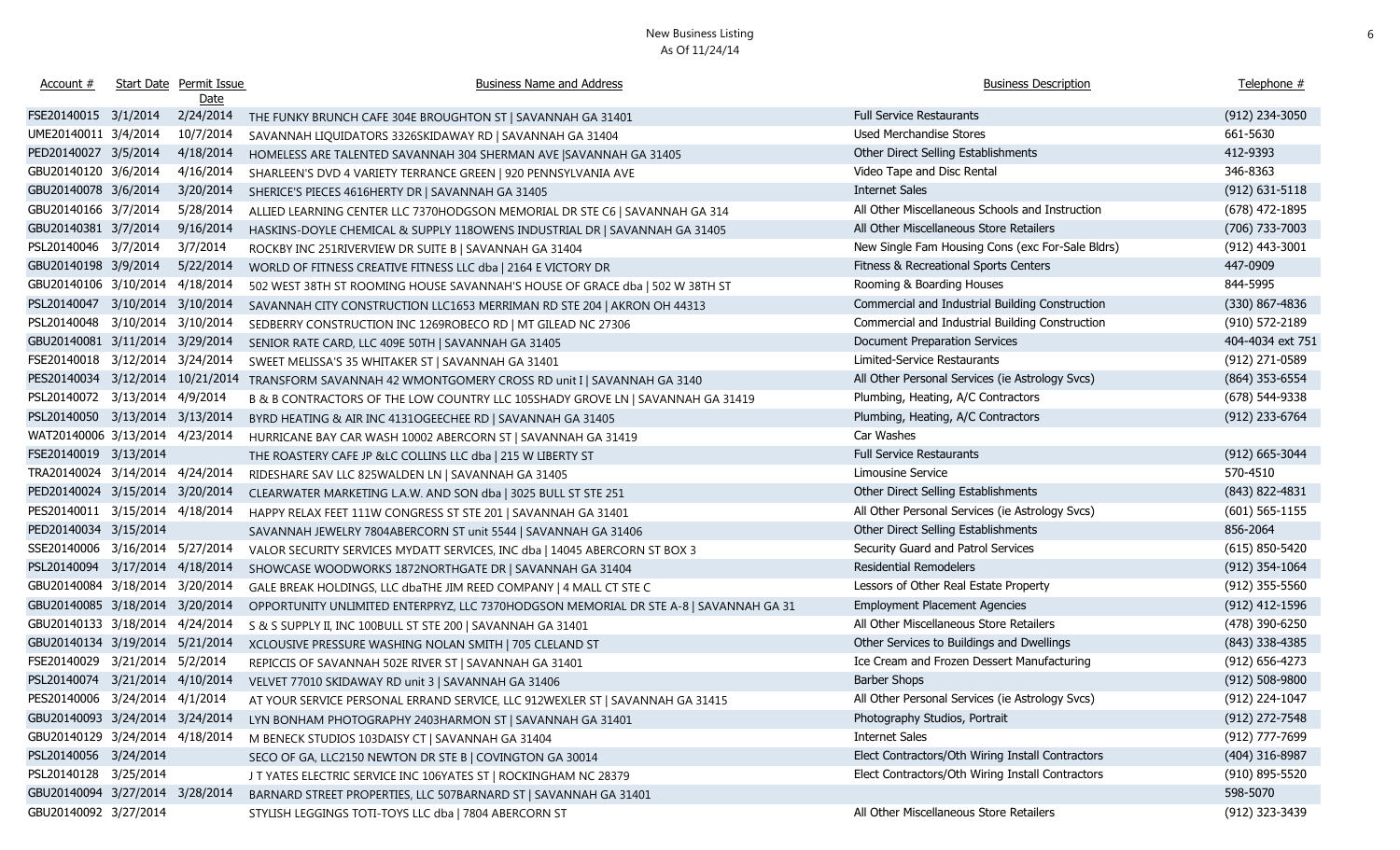| Account #                        |                    | Start Date Permit Issue<br>Date | <b>Business Name and Address</b>                                                      | <b>Business Description</b>                      | Telephone #        |
|----------------------------------|--------------------|---------------------------------|---------------------------------------------------------------------------------------|--------------------------------------------------|--------------------|
| FSE20140015 3/1/2014             |                    | 2/24/2014                       | THE FUNKY BRUNCH CAFE 304E BROUGHTON ST   SAVANNAH GA 31401                           | <b>Full Service Restaurants</b>                  | (912) 234-3050     |
| UME20140011 3/4/2014             |                    | 10/7/2014                       | SAVANNAH LIQUIDATORS 3326SKIDAWAY RD   SAVANNAH GA 31404                              | Used Merchandise Stores                          | 661-5630           |
| PED20140027 3/5/2014             |                    | 4/18/2014                       | HOMELESS ARE TALENTED SAVANNAH 304 SHERMAN AVE SAVANNAH GA 31405                      | Other Direct Selling Establishments              | 412-9393           |
| GBU20140120 3/6/2014             |                    | 4/16/2014                       | SHARLEEN'S DVD 4 VARIETY TERRANCE GREEN   920 PENNSYLVANIA AVE                        | Video Tape and Disc Rental                       | 346-8363           |
| GBU20140078 3/6/2014             |                    | 3/20/2014                       | SHERICE'S PIECES 4616HERTY DR   SAVANNAH GA 31405                                     | <b>Internet Sales</b>                            | $(912) 631 - 5118$ |
| GBU20140166 3/7/2014             |                    | 5/28/2014                       | ALLIED LEARNING CENTER LLC 7370HODGSON MEMORIAL DR STE C6   SAVANNAH GA 314           | All Other Miscellaneous Schools and Instruction  | (678) 472-1895     |
| GBU20140381 3/7/2014             |                    | 9/16/2014                       | HASKINS-DOYLE CHEMICAL & SUPPLY 118OWENS INDUSTRIAL DR   SAVANNAH GA 31405            | All Other Miscellaneous Store Retailers          | (706) 733-7003     |
| PSL20140046 3/7/2014             |                    | 3/7/2014                        | ROCKBY INC 251RIVERVIEW DR SUITE B   SAVANNAH GA 31404                                | New Single Fam Housing Cons (exc For-Sale Bldrs) | (912) 443-3001     |
| GBU20140198 3/9/2014             |                    | 5/22/2014                       | WORLD OF FITNESS CREATIVE FITNESS LLC dba   2164 E VICTORY DR                         | Fitness & Recreational Sports Centers            | 447-0909           |
| GBU20140106 3/10/2014 4/18/2014  |                    |                                 | 502 WEST 38TH ST ROOMING HOUSE SAVANNAH'S HOUSE OF GRACE dba   502 W 38TH ST          | Rooming & Boarding Houses                        | 844-5995           |
| PSL20140047 3/10/2014 3/10/2014  |                    |                                 | SAVANNAH CITY CONSTRUCTION LLC1653 MERRIMAN RD STE 204   AKRON OH 44313               | Commercial and Industrial Building Construction  | $(330)$ 867-4836   |
| PSL20140048 3/10/2014 3/10/2014  |                    |                                 | SEDBERRY CONSTRUCTION INC 1269ROBECO RD   MT GILEAD NC 27306                          | Commercial and Industrial Building Construction  | $(910) 572 - 2189$ |
| GBU20140081 3/11/2014 3/29/2014  |                    |                                 | SENIOR RATE CARD, LLC 409E 50TH   SAVANNAH GA 31405                                   | <b>Document Preparation Services</b>             | 404-4034 ext 751   |
| FSE20140018 3/12/2014 3/24/2014  |                    |                                 | SWEET MELISSA'S 35 WHITAKER ST   SAVANNAH GA 31401                                    | Limited-Service Restaurants                      | (912) 271-0589     |
| PES20140034 3/12/2014 10/21/2014 |                    |                                 | TRANSFORM SAVANNAH 42 WMONTGOMERY CROSS RD unit I   SAVANNAH GA 3140                  | All Other Personal Services (ie Astrology Svcs)  | $(864)$ 353-6554   |
| PSL20140072                      | 3/13/2014 4/9/2014 |                                 | B & B CONTRACTORS OF THE LOW COUNTRY LLC 105SHADY GROVE LN   SAVANNAH GA 31419        | Plumbing, Heating, A/C Contractors               | $(678) 544-9338$   |
| PSL20140050 3/13/2014 3/13/2014  |                    |                                 | BYRD HEATING & AIR INC 4131OGEECHEE RD   SAVANNAH GA 31405                            | Plumbing, Heating, A/C Contractors               | (912) 233-6764     |
| WAT20140006 3/13/2014 4/23/2014  |                    |                                 | HURRICANE BAY CAR WASH 10002 ABERCORN ST   SAVANNAH GA 31419                          | Car Washes                                       |                    |
| FSE20140019 3/13/2014            |                    |                                 | THE ROASTERY CAFE JP &LC COLLINS LLC dba   215 W LIBERTY ST                           | <b>Full Service Restaurants</b>                  | $(912) 665 - 3044$ |
| TRA20140024 3/14/2014 4/24/2014  |                    |                                 | RIDESHARE SAV LLC 825WALDEN LN   SAVANNAH GA 31405                                    | Limousine Service                                | 570-4510           |
| PED20140024 3/15/2014 3/20/2014  |                    |                                 | CLEARWATER MARKETING L.A.W. AND SON dba   3025 BULL ST STE 251                        | Other Direct Selling Establishments              | (843) 822-4831     |
| PES20140011 3/15/2014 4/18/2014  |                    |                                 | HAPPY RELAX FEET 111W CONGRESS ST STE 201   SAVANNAH GA 31401                         | All Other Personal Services (ie Astrology Svcs)  | $(601) 565 - 1155$ |
| PED20140034 3/15/2014            |                    |                                 | SAVANNAH JEWELRY 7804ABERCORN ST unit 5544   SAVANNAH GA 31406                        | Other Direct Selling Establishments              | 856-2064           |
| SSE20140006 3/16/2014 5/27/2014  |                    |                                 | VALOR SECURITY SERVICES MYDATT SERVICES, INC dba   14045 ABERCORN ST BOX 3            | Security Guard and Patrol Services               | $(615)$ 850-5420   |
| PSL20140094 3/17/2014 4/18/2014  |                    |                                 | SHOWCASE WOODWORKS 1872NORTHGATE DR   SAVANNAH GA 31404                               | <b>Residential Remodelers</b>                    | (912) 354-1064     |
| GBU20140084 3/18/2014 3/20/2014  |                    |                                 | GALE BREAK HOLDINGS, LLC dbaTHE JIM REED COMPANY   4 MALL CT STE C                    | Lessors of Other Real Estate Property            | $(912)$ 355-5560   |
| GBU20140085 3/18/2014 3/20/2014  |                    |                                 | OPPORTUNITY UNLIMITED ENTERPRYZ, LLC 7370HODGSON MEMORIAL DR STE A-8   SAVANNAH GA 31 | <b>Employment Placement Agencies</b>             | (912) 412-1596     |
| GBU20140133 3/18/2014 4/24/2014  |                    |                                 | S & S SUPPLY II, INC 100BULL ST STE 200   SAVANNAH GA 31401                           | All Other Miscellaneous Store Retailers          | (478) 390-6250     |
| GBU20140134 3/19/2014 5/21/2014  |                    |                                 | XCLOUSIVE PRESSURE WASHING NOLAN SMITH   705 CLELAND ST                               | Other Services to Buildings and Dwellings        | $(843)$ 338-4385   |
| FSE20140029 3/21/2014 5/2/2014   |                    |                                 | REPICCIS OF SAVANNAH 502E RIVER ST   SAVANNAH GA 31401                                | Ice Cream and Frozen Dessert Manufacturing       | $(912) 656 - 4273$ |
| PSL20140074 3/21/2014 4/10/2014  |                    |                                 | VELVET 77010 SKIDAWAY RD unit 3   SAVANNAH GA 31406                                   | Barber Shops                                     | $(912) 508 - 9800$ |
| PES20140006 3/24/2014 4/1/2014   |                    |                                 | AT YOUR SERVICE PERSONAL ERRAND SERVICE, LLC 912WEXLER ST   SAVANNAH GA 31415         | All Other Personal Services (ie Astrology Svcs)  | (912) 224-1047     |
| GBU20140093 3/24/2014 3/24/2014  |                    |                                 | LYN BONHAM PHOTOGRAPHY 2403HARMON ST   SAVANNAH GA 31401                              | Photography Studios, Portrait                    | (912) 272-7548     |
| GBU20140129 3/24/2014 4/18/2014  |                    |                                 | M BENECK STUDIOS 103DAISY CT   SAVANNAH GA 31404                                      | Internet Sales                                   | (912) 777-7699     |
| PSL20140056 3/24/2014            |                    |                                 | SECO OF GA, LLC2150 NEWTON DR STE B   COVINGTON GA 30014                              | Elect Contractors/Oth Wiring Install Contractors | (404) 316-8987     |
| PSL20140128 3/25/2014            |                    |                                 | J T YATES ELECTRIC SERVICE INC 106YATES ST   ROCKINGHAM NC 28379                      | Elect Contractors/Oth Wiring Install Contractors | (910) 895-5520     |
| GBU20140094 3/27/2014 3/28/2014  |                    |                                 | BARNARD STREET PROPERTIES, LLC 507BARNARD ST   SAVANNAH GA 31401                      |                                                  | 598-5070           |
| GBU20140092 3/27/2014            |                    |                                 | STYLISH LEGGINGS TOTI-TOYS LLC dba   7804 ABERCORN ST                                 | All Other Miscellaneous Store Retailers          | (912) 323-3439     |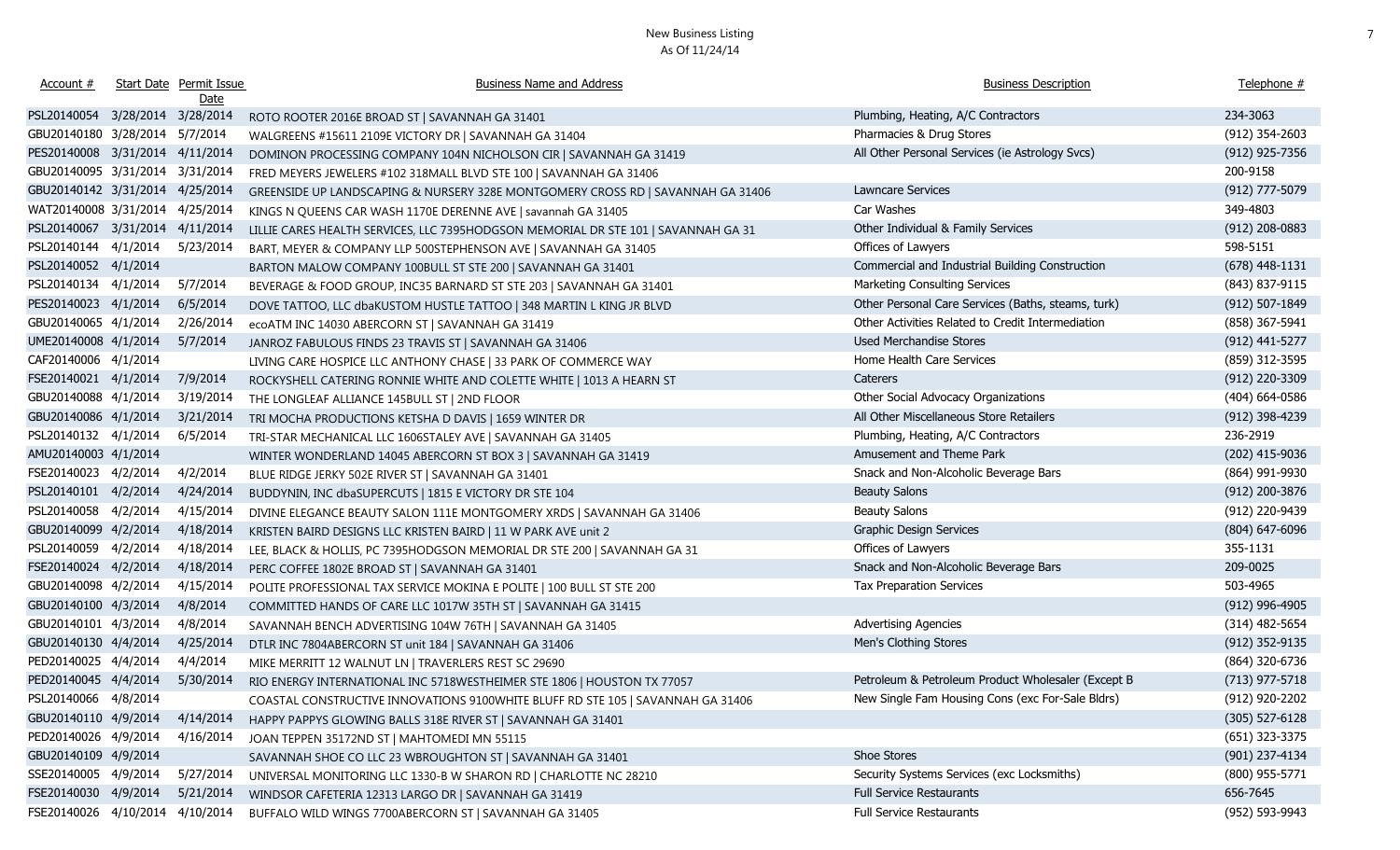| Account #                       | Start Date Permit Issue<br><u>Date</u> | <b>Business Name and Address</b>                                                   | <b>Business Description</b>                        | Telephone #      |
|---------------------------------|----------------------------------------|------------------------------------------------------------------------------------|----------------------------------------------------|------------------|
| PSL20140054 3/28/2014 3/28/2014 |                                        | ROTO ROOTER 2016E BROAD ST   SAVANNAH GA 31401                                     | Plumbing, Heating, A/C Contractors                 | 234-3063         |
| GBU20140180 3/28/2014 5/7/2014  |                                        | WALGREENS #15611 2109E VICTORY DR   SAVANNAH GA 31404                              | Pharmacies & Drug Stores                           | (912) 354-2603   |
| PES20140008 3/31/2014 4/11/2014 |                                        | DOMINON PROCESSING COMPANY 104N NICHOLSON CIR   SAVANNAH GA 31419                  | All Other Personal Services (ie Astrology Svcs)    | (912) 925-7356   |
| GBU20140095 3/31/2014           | 3/31/2014                              | FRED MEYERS JEWELERS #102 318MALL BLVD STE 100   SAVANNAH GA 31406                 |                                                    | 200-9158         |
| GBU20140142 3/31/2014           | 4/25/2014                              | GREENSIDE UP LANDSCAPING & NURSERY 328E MONTGOMERY CROSS RD   SAVANNAH GA 31406    | Lawncare Services                                  | (912) 777-5079   |
| WAT20140008 3/31/2014           | 4/25/2014                              | KINGS N QUEENS CAR WASH 1170E DERENNE AVE   savannah GA 31405                      | Car Washes                                         | 349-4803         |
| PSL20140067 3/31/2014           | 4/11/2014                              | LILLIE CARES HEALTH SERVICES, LLC 7395HODGSON MEMORIAL DR STE 101   SAVANNAH GA 31 | Other Individual & Family Services                 | $(912)$ 208-0883 |
| PSL20140144 4/1/2014            | 5/23/2014                              | BART, MEYER & COMPANY LLP 500STEPHENSON AVE   SAVANNAH GA 31405                    | Offices of Lawyers                                 | 598-5151         |
| PSL20140052 4/1/2014            |                                        | BARTON MALOW COMPANY 100BULL ST STE 200   SAVANNAH GA 31401                        | Commercial and Industrial Building Construction    | $(678)$ 448-1131 |
| PSL20140134 4/1/2014            | 5/7/2014                               | BEVERAGE & FOOD GROUP, INC35 BARNARD ST STE 203   SAVANNAH GA 31401                | Marketing Consulting Services                      | (843) 837-9115   |
| PES20140023 4/1/2014            | 6/5/2014                               | DOVE TATTOO, LLC dbaKUSTOM HUSTLE TATTOO   348 MARTIN L KING JR BLVD               | Other Personal Care Services (Baths, steams, turk) | (912) 507-1849   |
| GBU20140065 4/1/2014            | 2/26/2014                              | ecoATM INC 14030 ABERCORN ST   SAVANNAH GA 31419                                   | Other Activities Related to Credit Intermediation  | (858) 367-5941   |
| UME20140008 4/1/2014            | 5/7/2014                               | JANROZ FABULOUS FINDS 23 TRAVIS ST   SAVANNAH GA 31406                             | Used Merchandise Stores                            | (912) 441-5277   |
| CAF20140006 4/1/2014            |                                        | LIVING CARE HOSPICE LLC ANTHONY CHASE   33 PARK OF COMMERCE WAY                    | Home Health Care Services                          | (859) 312-3595   |
| FSE20140021 4/1/2014            | 7/9/2014                               | ROCKYSHELL CATERING RONNIE WHITE AND COLETTE WHITE   1013 A HEARN ST               | Caterers                                           | (912) 220-3309   |
| GBU20140088 4/1/2014            | 3/19/2014                              | THE LONGLEAF ALLIANCE 145BULL ST   2ND FLOOR                                       | Other Social Advocacy Organizations                | $(404)$ 664-0586 |
| GBU20140086 4/1/2014            | 3/21/2014                              | TRI MOCHA PRODUCTIONS KETSHA D DAVIS   1659 WINTER DR                              | All Other Miscellaneous Store Retailers            | (912) 398-4239   |
| PSL20140132 4/1/2014            | 6/5/2014                               | TRI-STAR MECHANICAL LLC 1606STALEY AVE   SAVANNAH GA 31405                         | Plumbing, Heating, A/C Contractors                 | 236-2919         |
| AMU20140003 4/1/2014            |                                        | WINTER WONDERLAND 14045 ABERCORN ST BOX 3   SAVANNAH GA 31419                      | Amusement and Theme Park                           | (202) 415-9036   |
| FSE20140023 4/2/2014            | 4/2/2014                               | BLUE RIDGE JERKY 502E RIVER ST   SAVANNAH GA 31401                                 | Snack and Non-Alcoholic Beverage Bars              | (864) 991-9930   |
| PSL20140101 4/2/2014            | 4/24/2014                              | BUDDYNIN, INC dbaSUPERCUTS   1815 E VICTORY DR STE 104                             | <b>Beauty Salons</b>                               | (912) 200-3876   |
| PSL20140058 4/2/2014            | 4/15/2014                              | DIVINE ELEGANCE BEAUTY SALON 111E MONTGOMERY XRDS   SAVANNAH GA 31406              | <b>Beauty Salons</b>                               | (912) 220-9439   |
| GBU20140099 4/2/2014            | 4/18/2014                              | KRISTEN BAIRD DESIGNS LLC KRISTEN BAIRD   11 W PARK AVE unit 2                     | <b>Graphic Design Services</b>                     | $(804)$ 647-6096 |
| PSL20140059 4/2/2014            | 4/18/2014                              | LEE, BLACK & HOLLIS, PC 7395HODGSON MEMORIAL DR STE 200   SAVANNAH GA 31           | Offices of Lawyers                                 | 355-1131         |
| FSE20140024 4/2/2014            | 4/18/2014                              | PERC COFFEE 1802E BROAD ST   SAVANNAH GA 31401                                     | Snack and Non-Alcoholic Beverage Bars              | 209-0025         |
| GBU20140098 4/2/2014            | 4/15/2014                              | POLITE PROFESSIONAL TAX SERVICE MOKINA E POLITE   100 BULL ST STE 200              | Tax Preparation Services                           | 503-4965         |
| GBU20140100 4/3/2014            | 4/8/2014                               | COMMITTED HANDS OF CARE LLC 1017W 35TH ST   SAVANNAH GA 31415                      |                                                    | (912) 996-4905   |
| GBU20140101 4/3/2014            | 4/8/2014                               | SAVANNAH BENCH ADVERTISING 104W 76TH   SAVANNAH GA 31405                           | <b>Advertising Agencies</b>                        | $(314)$ 482-5654 |
| GBU20140130 4/4/2014            | 4/25/2014                              | DTLR INC 7804ABERCORN ST unit 184   SAVANNAH GA 31406                              | Men's Clothing Stores                              | (912) 352-9135   |
| PED20140025 4/4/2014            | 4/4/2014                               | MIKE MERRITT 12 WALNUT LN   TRAVERLERS REST SC 29690                               |                                                    | (864) 320-6736   |
| PED20140045 4/4/2014            | 5/30/2014                              | RIO ENERGY INTERNATIONAL INC 5718WESTHEIMER STE 1806   HOUSTON TX 77057            | Petroleum & Petroleum Product Wholesaler (Except B | $(713)$ 977-5718 |
| PSL20140066 4/8/2014            |                                        | COASTAL CONSTRUCTIVE INNOVATIONS 9100WHITE BLUFF RD STE 105   SAVANNAH GA 31406    | New Single Fam Housing Cons (exc For-Sale Bldrs)   | (912) 920-2202   |
| GBU20140110 4/9/2014            | 4/14/2014                              | HAPPY PAPPYS GLOWING BALLS 318E RIVER ST   SAVANNAH GA 31401                       |                                                    | $(305)$ 527-6128 |
| PED20140026 4/9/2014            | 4/16/2014                              | JOAN TEPPEN 35172ND ST   MAHTOMEDI MN 55115                                        |                                                    | (651) 323-3375   |
| GBU20140109 4/9/2014            |                                        | SAVANNAH SHOE CO LLC 23 WBROUGHTON ST   SAVANNAH GA 31401                          | Shoe Stores                                        | (901) 237-4134   |
| SSE20140005 4/9/2014            | 5/27/2014                              | UNIVERSAL MONITORING LLC 1330-B W SHARON RD   CHARLOTTE NC 28210                   | Security Systems Services (exc Locksmiths)         | (800) 955-5771   |
| FSE20140030 4/9/2014            | 5/21/2014                              | WINDSOR CAFETERIA 12313 LARGO DR   SAVANNAH GA 31419                               | <b>Full Service Restaurants</b>                    | 656-7645         |
| FSE20140026 4/10/2014           | 4/10/2014                              | BUFFALO WILD WINGS 7700ABERCORN ST   SAVANNAH GA 31405                             | <b>Full Service Restaurants</b>                    | (952) 593-9943   |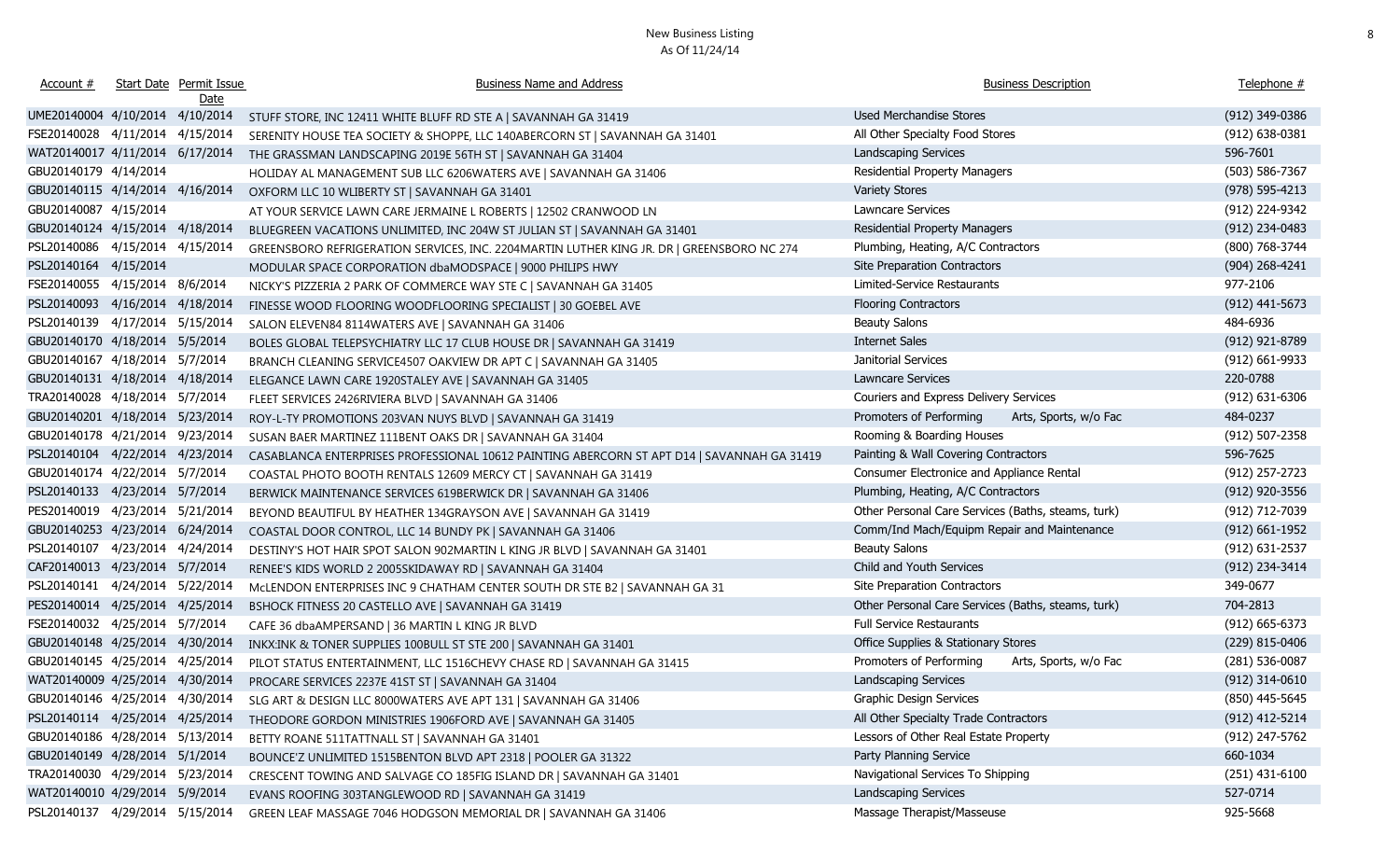| Account #                       | Start Date Permit Issue<br>Date | <b>Business Name and Address</b>                                                                | <b>Business Description</b>                        | Telephone #        |
|---------------------------------|---------------------------------|-------------------------------------------------------------------------------------------------|----------------------------------------------------|--------------------|
| UME20140004 4/10/2014 4/10/2014 |                                 | STUFF STORE, INC 12411 WHITE BLUFF RD STE A   SAVANNAH GA 31419                                 | Used Merchandise Stores                            | (912) 349-0386     |
| FSE20140028 4/11/2014 4/15/2014 |                                 | SERENITY HOUSE TEA SOCIETY & SHOPPE, LLC 140ABERCORN ST   SAVANNAH GA 31401                     | All Other Specialty Food Stores                    | (912) 638-0381     |
| WAT20140017 4/11/2014 6/17/2014 |                                 | THE GRASSMAN LANDSCAPING 2019E 56TH ST   SAVANNAH GA 31404                                      | Landscaping Services                               | 596-7601           |
| GBU20140179 4/14/2014           |                                 | HOLIDAY AL MANAGEMENT SUB LLC 6206WATERS AVE   SAVANNAH GA 31406                                | <b>Residential Property Managers</b>               | (503) 586-7367     |
| GBU20140115 4/14/2014 4/16/2014 |                                 | OXFORM LLC 10 WLIBERTY ST   SAVANNAH GA 31401                                                   | <b>Variety Stores</b>                              | (978) 595-4213     |
| GBU20140087 4/15/2014           |                                 | AT YOUR SERVICE LAWN CARE JERMAINE L ROBERTS   12502 CRANWOOD LN                                | Lawncare Services                                  | (912) 224-9342     |
| GBU20140124 4/15/2014 4/18/2014 |                                 | BLUEGREEN VACATIONS UNLIMITED, INC 204W ST JULIAN ST   SAVANNAH GA 31401                        | Residential Property Managers                      | (912) 234-0483     |
| PSL20140086 4/15/2014 4/15/2014 |                                 | GREENSBORO REFRIGERATION SERVICES, INC. 2204MARTIN LUTHER KING JR. DR   GREENSBORO NC 274       | Plumbing, Heating, A/C Contractors                 | (800) 768-3744     |
| PSL20140164 4/15/2014           |                                 | MODULAR SPACE CORPORATION dbaMODSPACE   9000 PHILIPS HWY                                        | Site Preparation Contractors                       | $(904)$ 268-4241   |
| FSE20140055 4/15/2014 8/6/2014  |                                 | NICKY'S PIZZERIA 2 PARK OF COMMERCE WAY STE C   SAVANNAH GA 31405                               | Limited-Service Restaurants                        | 977-2106           |
| PSL20140093 4/16/2014 4/18/2014 |                                 | FINESSE WOOD FLOORING WOODFLOORING SPECIALIST   30 GOEBEL AVE                                   | <b>Flooring Contractors</b>                        | $(912)$ 441-5673   |
| PSL20140139 4/17/2014 5/15/2014 |                                 | SALON ELEVEN84 8114WATERS AVE   SAVANNAH GA 31406                                               | <b>Beauty Salons</b>                               | 484-6936           |
| GBU20140170 4/18/2014 5/5/2014  |                                 | BOLES GLOBAL TELEPSYCHIATRY LLC 17 CLUB HOUSE DR   SAVANNAH GA 31419                            | <b>Internet Sales</b>                              | (912) 921-8789     |
| GBU20140167 4/18/2014 5/7/2014  |                                 | BRANCH CLEANING SERVICE4507 OAKVIEW DR APT C   SAVANNAH GA 31405                                | Janitorial Services                                | (912) 661-9933     |
| GBU20140131 4/18/2014 4/18/2014 |                                 | ELEGANCE LAWN CARE 1920STALEY AVE   SAVANNAH GA 31405                                           | <b>Lawncare Services</b>                           | 220-0788           |
| TRA20140028 4/18/2014 5/7/2014  |                                 | FLEET SERVICES 2426RIVIERA BLVD   SAVANNAH GA 31406                                             | Couriers and Express Delivery Services             | $(912) 631 - 6306$ |
| GBU20140201 4/18/2014 5/23/2014 |                                 | ROY-L-TY PROMOTIONS 203VAN NUYS BLVD   SAVANNAH GA 31419                                        | Promoters of Performing<br>Arts, Sports, w/o Fac   | 484-0237           |
| GBU20140178 4/21/2014 9/23/2014 |                                 | SUSAN BAER MARTINEZ 111BENT OAKS DR   SAVANNAH GA 31404                                         | Rooming & Boarding Houses                          | (912) 507-2358     |
| PSL20140104 4/22/2014 4/23/2014 |                                 | CASABLANCA ENTERPRISES PROFESSIONAL 10612 PAINTING ABERCORN ST APT D14   SAVANNAH GA 31419      | Painting & Wall Covering Contractors               | 596-7625           |
| GBU20140174 4/22/2014 5/7/2014  |                                 | COASTAL PHOTO BOOTH RENTALS 12609 MERCY CT   SAVANNAH GA 31419                                  | Consumer Electronice and Appliance Rental          | (912) 257-2723     |
| PSL20140133 4/23/2014 5/7/2014  |                                 | BERWICK MAINTENANCE SERVICES 619BERWICK DR   SAVANNAH GA 31406                                  | Plumbing, Heating, A/C Contractors                 | (912) 920-3556     |
| PES20140019 4/23/2014 5/21/2014 |                                 | BEYOND BEAUTIFUL BY HEATHER 134GRAYSON AVE   SAVANNAH GA 31419                                  | Other Personal Care Services (Baths, steams, turk) | (912) 712-7039     |
| GBU20140253 4/23/2014 6/24/2014 |                                 | COASTAL DOOR CONTROL, LLC 14 BUNDY PK   SAVANNAH GA 31406                                       | Comm/Ind Mach/Equipm Repair and Maintenance        | $(912) 661 - 1952$ |
| PSL20140107 4/23/2014 4/24/2014 |                                 | DESTINY'S HOT HAIR SPOT SALON 902MARTIN L KING JR BLVD   SAVANNAH GA 31401                      | <b>Beauty Salons</b>                               | (912) 631-2537     |
| CAF20140013 4/23/2014 5/7/2014  |                                 | RENEE'S KIDS WORLD 2 2005SKIDAWAY RD   SAVANNAH GA 31404                                        | Child and Youth Services                           | (912) 234-3414     |
| PSL20140141 4/24/2014 5/22/2014 |                                 | MCLENDON ENTERPRISES INC 9 CHATHAM CENTER SOUTH DR STE B2   SAVANNAH GA 31                      | Site Preparation Contractors                       | 349-0677           |
| PES20140014 4/25/2014 4/25/2014 |                                 | BSHOCK FITNESS 20 CASTELLO AVE   SAVANNAH GA 31419                                              | Other Personal Care Services (Baths, steams, turk) | 704-2813           |
| FSE20140032 4/25/2014 5/7/2014  |                                 | CAFE 36 dbaAMPERSAND   36 MARTIN L KING JR BLVD                                                 | Full Service Restaurants                           | $(912) 665 - 6373$ |
| GBU20140148 4/25/2014 4/30/2014 |                                 | INKX:INK & TONER SUPPLIES 100BULL ST STE 200   SAVANNAH GA 31401                                | Office Supplies & Stationary Stores                | (229) 815-0406     |
| GBU20140145 4/25/2014 4/25/2014 |                                 | PILOT STATUS ENTERTAINMENT, LLC 1516CHEVY CHASE RD   SAVANNAH GA 31415                          | Promoters of Performing<br>Arts, Sports, w/o Fac   | (281) 536-0087     |
| WAT20140009 4/25/2014 4/30/2014 |                                 | PROCARE SERVICES 2237E 41ST ST   SAVANNAH GA 31404                                              | Landscaping Services                               | $(912)$ 314-0610   |
|                                 |                                 | GBU20140146 4/25/2014 4/30/2014 SLG ART & DESIGN LLC 8000WATERS AVE APT 131   SAVANNAH GA 31406 | <b>Graphic Design Services</b>                     | (850) 445-5645     |
| PSL20140114 4/25/2014 4/25/2014 |                                 | THEODORE GORDON MINISTRIES 1906FORD AVE   SAVANNAH GA 31405                                     | All Other Specialty Trade Contractors              | (912) 412-5214     |
| GBU20140186 4/28/2014 5/13/2014 |                                 | BETTY ROANE 511TATTNALL ST   SAVANNAH GA 31401                                                  | Lessors of Other Real Estate Property              | (912) 247-5762     |
| GBU20140149 4/28/2014 5/1/2014  |                                 | BOUNCE'Z UNLIMITED 1515BENTON BLVD APT 2318   POOLER GA 31322                                   | Party Planning Service                             | 660-1034           |
| TRA20140030 4/29/2014 5/23/2014 |                                 | CRESCENT TOWING AND SALVAGE CO 185FIG ISLAND DR   SAVANNAH GA 31401                             | Navigational Services To Shipping                  | $(251)$ 431-6100   |
| WAT20140010 4/29/2014 5/9/2014  |                                 | EVANS ROOFING 303TANGLEWOOD RD   SAVANNAH GA 31419                                              | <b>Landscaping Services</b>                        | 527-0714           |
| PSL20140137 4/29/2014 5/15/2014 |                                 | GREEN LEAF MASSAGE 7046 HODGSON MEMORIAL DR   SAVANNAH GA 31406                                 | Massage Therapist/Masseuse                         | 925-5668           |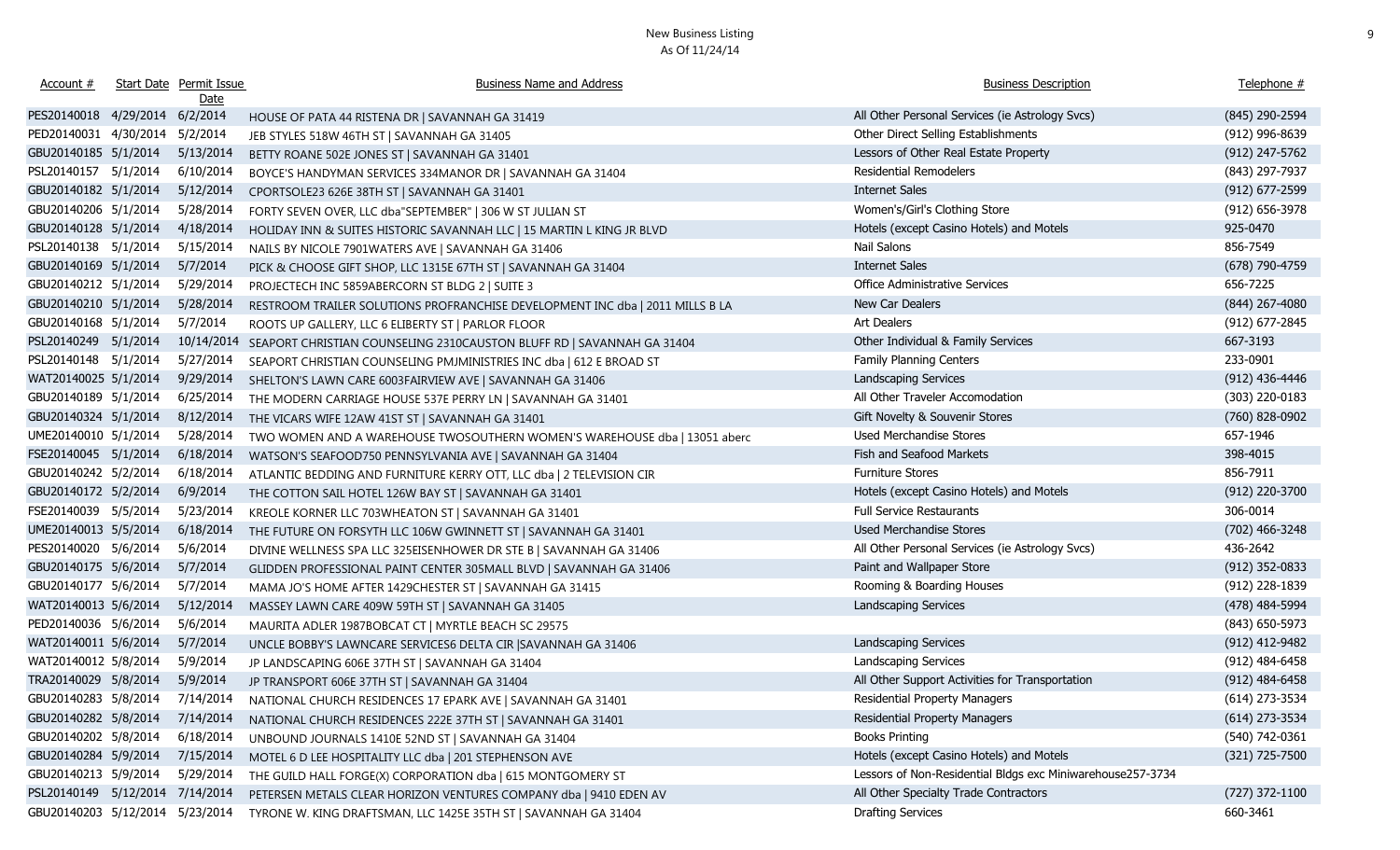| Account #                       | Start Date Permit Issue<br><u>Date</u> | <b>Business Name and Address</b>                                                           | <b>Business Description</b>                                | Telephone #      |
|---------------------------------|----------------------------------------|--------------------------------------------------------------------------------------------|------------------------------------------------------------|------------------|
| PES20140018 4/29/2014 6/2/2014  |                                        | HOUSE OF PATA 44 RISTENA DR   SAVANNAH GA 31419                                            | All Other Personal Services (ie Astrology Svcs)            | (845) 290-2594   |
| PED20140031 4/30/2014           | 5/2/2014                               | JEB STYLES 518W 46TH ST   SAVANNAH GA 31405                                                | Other Direct Selling Establishments                        | (912) 996-8639   |
| GBU20140185 5/1/2014            | 5/13/2014                              | BETTY ROANE 502E JONES ST   SAVANNAH GA 31401                                              | Lessors of Other Real Estate Property                      | $(912)$ 247-5762 |
| PSL20140157 5/1/2014            | 6/10/2014                              | BOYCE'S HANDYMAN SERVICES 334MANOR DR   SAVANNAH GA 31404                                  | <b>Residential Remodelers</b>                              | (843) 297-7937   |
| GBU20140182 5/1/2014            | 5/12/2014                              | CPORTSOLE23 626E 38TH ST   SAVANNAH GA 31401                                               | <b>Internet Sales</b>                                      | (912) 677-2599   |
| GBU20140206 5/1/2014            | 5/28/2014                              | FORTY SEVEN OVER, LLC dba"SEPTEMBER"   306 W ST JULIAN ST                                  | Women's/Girl's Clothing Store                              | (912) 656-3978   |
| GBU20140128 5/1/2014            | 4/18/2014                              | HOLIDAY INN & SUITES HISTORIC SAVANNAH LLC   15 MARTIN L KING JR BLVD                      | Hotels (except Casino Hotels) and Motels                   | 925-0470         |
| PSL20140138 5/1/2014            | 5/15/2014                              | NAILS BY NICOLE 7901WATERS AVE   SAVANNAH GA 31406                                         | Nail Salons                                                | 856-7549         |
| GBU20140169 5/1/2014            | 5/7/2014                               | PICK & CHOOSE GIFT SHOP, LLC 1315E 67TH ST   SAVANNAH GA 31404                             | <b>Internet Sales</b>                                      | $(678)$ 790-4759 |
| GBU20140212 5/1/2014            | 5/29/2014                              | PROJECTECH INC 5859ABERCORN ST BLDG 2   SUITE 3                                            | Office Administrative Services                             | 656-7225         |
| GBU20140210 5/1/2014            | 5/28/2014                              | RESTROOM TRAILER SOLUTIONS PROFRANCHISE DEVELOPMENT INC dba   2011 MILLS B LA              | New Car Dealers                                            | $(844)$ 267-4080 |
| GBU20140168 5/1/2014            | 5/7/2014                               | ROOTS UP GALLERY, LLC 6 ELIBERTY ST   PARLOR FLOOR                                         | Art Dealers                                                | (912) 677-2845   |
| PSL20140249 5/1/2014            | 10/14/2014                             | SEAPORT CHRISTIAN COUNSELING 2310CAUSTON BLUFF RD   SAVANNAH GA 31404                      | Other Individual & Family Services                         | 667-3193         |
| PSL20140148 5/1/2014            | 5/27/2014                              | SEAPORT CHRISTIAN COUNSELING PMJMINISTRIES INC dba   612 E BROAD ST                        | Family Planning Centers                                    | 233-0901         |
| WAT20140025 5/1/2014            | 9/29/2014                              | SHELTON'S LAWN CARE 6003FAIRVIEW AVE   SAVANNAH GA 31406                                   | Landscaping Services                                       | (912) 436-4446   |
| GBU20140189 5/1/2014            | 6/25/2014                              | THE MODERN CARRIAGE HOUSE 537E PERRY LN   SAVANNAH GA 31401                                | All Other Traveler Accomodation                            | (303) 220-0183   |
| GBU20140324 5/1/2014            | 8/12/2014                              | THE VICARS WIFE 12AW 41ST ST   SAVANNAH GA 31401                                           | Gift Novelty & Souvenir Stores                             | (760) 828-0902   |
| UME20140010 5/1/2014            | 5/28/2014                              | TWO WOMEN AND A WAREHOUSE TWOSOUTHERN WOMEN'S WAREHOUSE dba   13051 aberc                  | Used Merchandise Stores                                    | 657-1946         |
| FSE20140045 5/1/2014            | 6/18/2014                              | WATSON'S SEAFOOD750 PENNSYLVANIA AVE   SAVANNAH GA 31404                                   | Fish and Seafood Markets                                   | 398-4015         |
| GBU20140242 5/2/2014            | 6/18/2014                              | ATLANTIC BEDDING AND FURNITURE KERRY OTT, LLC dba   2 TELEVISION CIR                       | <b>Furniture Stores</b>                                    | 856-7911         |
| GBU20140172 5/2/2014            | 6/9/2014                               | THE COTTON SAIL HOTEL 126W BAY ST   SAVANNAH GA 31401                                      | Hotels (except Casino Hotels) and Motels                   | (912) 220-3700   |
| FSE20140039 5/5/2014            | 5/23/2014                              | KREOLE KORNER LLC 703WHEATON ST   SAVANNAH GA 31401                                        | <b>Full Service Restaurants</b>                            | 306-0014         |
| UME20140013 5/5/2014            | 6/18/2014                              | THE FUTURE ON FORSYTH LLC 106W GWINNETT ST   SAVANNAH GA 31401                             | Used Merchandise Stores                                    | (702) 466-3248   |
| PES20140020 5/6/2014            | 5/6/2014                               | DIVINE WELLNESS SPA LLC 325EISENHOWER DR STE B   SAVANNAH GA 31406                         | All Other Personal Services (ie Astrology Svcs)            | 436-2642         |
| GBU20140175 5/6/2014            | 5/7/2014                               | GLIDDEN PROFESSIONAL PAINT CENTER 305MALL BLVD   SAVANNAH GA 31406                         | Paint and Wallpaper Store                                  | $(912)$ 352-0833 |
| GBU20140177 5/6/2014            | 5/7/2014                               | MAMA JO'S HOME AFTER 1429CHESTER ST   SAVANNAH GA 31415                                    | Rooming & Boarding Houses                                  | (912) 228-1839   |
| WAT20140013 5/6/2014            | 5/12/2014                              | MASSEY LAWN CARE 409W 59TH ST   SAVANNAH GA 31405                                          | Landscaping Services                                       | (478) 484-5994   |
| PED20140036 5/6/2014            | 5/6/2014                               | MAURITA ADLER 1987BOBCAT CT   MYRTLE BEACH SC 29575                                        |                                                            | $(843)$ 650-5973 |
| WAT20140011 5/6/2014            | 5/7/2014                               | UNCLE BOBBY'S LAWNCARE SERVICES6 DELTA CIR   SAVANNAH GA 31406                             | Landscaping Services                                       | (912) 412-9482   |
| WAT20140012 5/8/2014            | 5/9/2014                               | JP LANDSCAPING 606E 37TH ST   SAVANNAH GA 31404                                            | Landscaping Services                                       | $(912)$ 484-6458 |
| TRA20140029 5/8/2014            | 5/9/2014                               | JP TRANSPORT 606E 37TH ST   SAVANNAH GA 31404                                              | All Other Support Activities for Transportation            | $(912)$ 484-6458 |
|                                 |                                        | GBU20140283 5/8/2014 7/14/2014 NATIONAL CHURCH RESIDENCES 17 EPARK AVE   SAVANNAH GA 31401 | Residential Property Managers                              | $(614)$ 273-3534 |
| GBU20140282 5/8/2014            | 7/14/2014                              | NATIONAL CHURCH RESIDENCES 222E 37TH ST   SAVANNAH GA 31401                                | <b>Residential Property Managers</b>                       | $(614)$ 273-3534 |
| GBU20140202 5/8/2014            | 6/18/2014                              | UNBOUND JOURNALS 1410E 52ND ST   SAVANNAH GA 31404                                         | <b>Books Printing</b>                                      | (540) 742-0361   |
| GBU20140284 5/9/2014            | 7/15/2014                              | MOTEL 6 D LEE HOSPITALITY LLC dba   201 STEPHENSON AVE                                     | Hotels (except Casino Hotels) and Motels                   | (321) 725-7500   |
| GBU20140213 5/9/2014            | 5/29/2014                              | THE GUILD HALL FORGE(X) CORPORATION dba   615 MONTGOMERY ST                                | Lessors of Non-Residential Bldgs exc Miniwarehouse257-3734 |                  |
| PSL20140149 5/12/2014 7/14/2014 |                                        | PETERSEN METALS CLEAR HORIZON VENTURES COMPANY dba   9410 EDEN AV                          | All Other Specialty Trade Contractors                      | (727) 372-1100   |
| GBU20140203 5/12/2014 5/23/2014 |                                        | TYRONE W. KING DRAFTSMAN, LLC 1425E 35TH ST   SAVANNAH GA 31404                            | <b>Drafting Services</b>                                   | 660-3461         |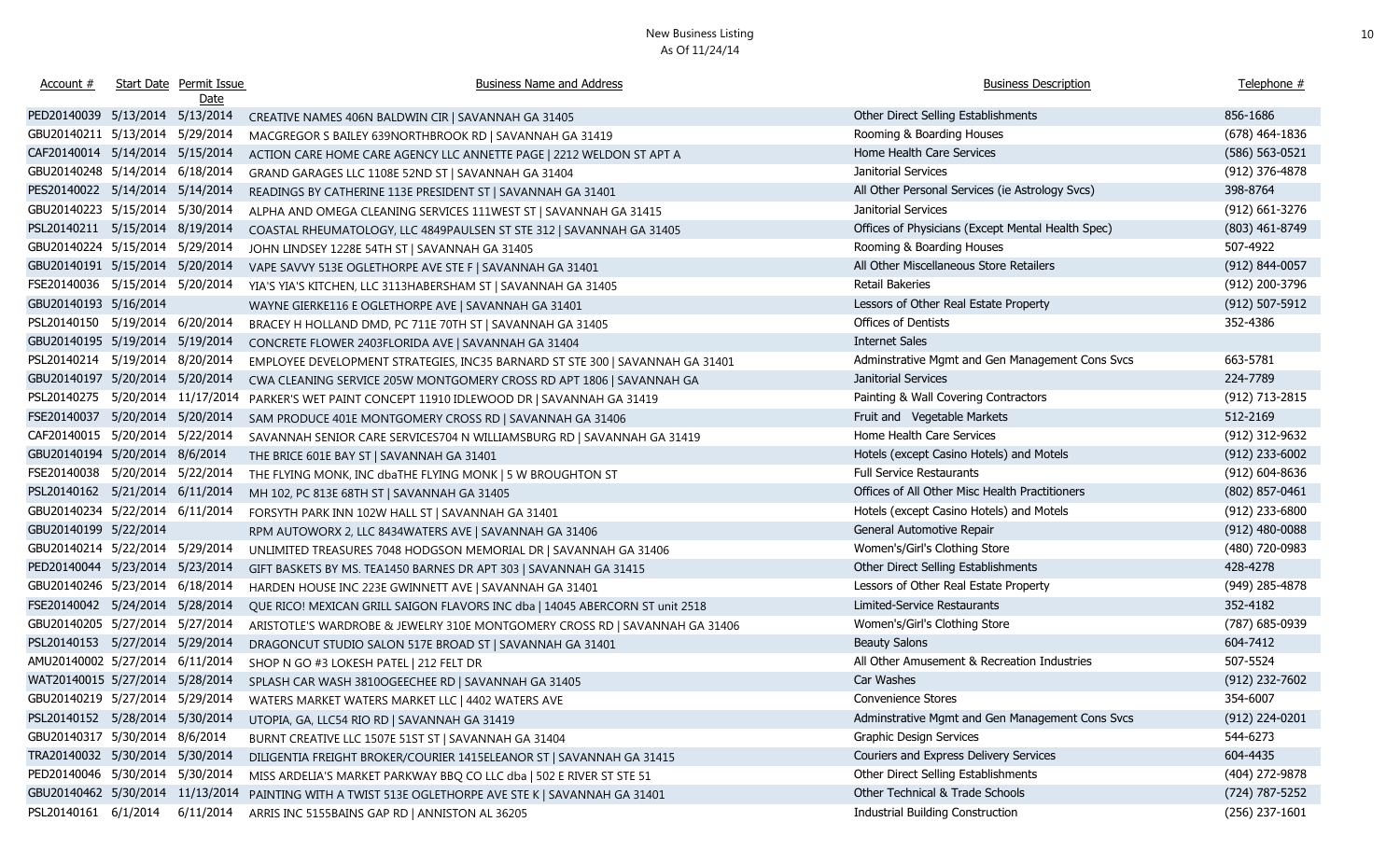| Account #                        | Start Date Permit Issue<br>Date | <b>Business Name and Address</b>                                                    | <b>Business Description</b>                       | Telephone #        |
|----------------------------------|---------------------------------|-------------------------------------------------------------------------------------|---------------------------------------------------|--------------------|
| PED20140039 5/13/2014 5/13/2014  |                                 | CREATIVE NAMES 406N BALDWIN CIR   SAVANNAH GA 31405                                 | Other Direct Selling Establishments               | 856-1686           |
| GBU20140211 5/13/2014 5/29/2014  |                                 | MACGREGOR S BAILEY 639NORTHBROOK RD   SAVANNAH GA 31419                             | Rooming & Boarding Houses                         | $(678)$ 464-1836   |
| CAF20140014 5/14/2014 5/15/2014  |                                 | ACTION CARE HOME CARE AGENCY LLC ANNETTE PAGE   2212 WELDON ST APT A                | Home Health Care Services                         | $(586) 563 - 0521$ |
| GBU20140248 5/14/2014 6/18/2014  |                                 | GRAND GARAGES LLC 1108E 52ND ST   SAVANNAH GA 31404                                 | Janitorial Services                               | (912) 376-4878     |
| PES20140022 5/14/2014 5/14/2014  |                                 | READINGS BY CATHERINE 113E PRESIDENT ST   SAVANNAH GA 31401                         | All Other Personal Services (ie Astrology Svcs)   | 398-8764           |
| GBU20140223 5/15/2014 5/30/2014  |                                 | ALPHA AND OMEGA CLEANING SERVICES 111WEST ST   SAVANNAH GA 31415                    | Janitorial Services                               | $(912)$ 661-3276   |
| PSL20140211 5/15/2014 8/19/2014  |                                 | COASTAL RHEUMATOLOGY, LLC 4849PAULSEN ST STE 312   SAVANNAH GA 31405                | Offices of Physicians (Except Mental Health Spec) | (803) 461-8749     |
| GBU20140224 5/15/2014 5/29/2014  |                                 | JOHN LINDSEY 1228E 54TH ST   SAVANNAH GA 31405                                      | Rooming & Boarding Houses                         | 507-4922           |
| GBU20140191 5/15/2014 5/20/2014  |                                 | VAPE SAVVY 513E OGLETHORPE AVE STE F   SAVANNAH GA 31401                            | All Other Miscellaneous Store Retailers           | (912) 844-0057     |
| FSE20140036 5/15/2014 5/20/2014  |                                 | YIA'S YIA'S KITCHEN, LLC 3113HABERSHAM ST   SAVANNAH GA 31405                       | Retail Bakeries                                   | (912) 200-3796     |
| GBU20140193 5/16/2014            |                                 | WAYNE GIERKE116 E OGLETHORPE AVE   SAVANNAH GA 31401                                | Lessors of Other Real Estate Property             | (912) 507-5912     |
| PSL20140150 5/19/2014 6/20/2014  |                                 | BRACEY H HOLLAND DMD, PC 711E 70TH ST   SAVANNAH GA 31405                           | Offices of Dentists                               | 352-4386           |
| GBU20140195 5/19/2014 5/19/2014  |                                 | CONCRETE FLOWER 2403FLORIDA AVE   SAVANNAH GA 31404                                 | <b>Internet Sales</b>                             |                    |
| PSL20140214 5/19/2014 8/20/2014  |                                 | EMPLOYEE DEVELOPMENT STRATEGIES, INC35 BARNARD ST STE 300   SAVANNAH GA 31401       | Adminstrative Mgmt and Gen Management Cons Svcs   | 663-5781           |
| GBU20140197 5/20/2014 5/20/2014  |                                 | CWA CLEANING SERVICE 205W MONTGOMERY CROSS RD APT 1806   SAVANNAH GA                | Janitorial Services                               | 224-7789           |
| PSL20140275 5/20/2014 11/17/2014 |                                 | PARKER'S WET PAINT CONCEPT 11910 IDLEWOOD DR   SAVANNAH GA 31419                    | Painting & Wall Covering Contractors              | (912) 713-2815     |
| FSE20140037 5/20/2014 5/20/2014  |                                 | SAM PRODUCE 401E MONTGOMERY CROSS RD   SAVANNAH GA 31406                            | Fruit and Vegetable Markets                       | 512-2169           |
| CAF20140015 5/20/2014 5/22/2014  |                                 | SAVANNAH SENIOR CARE SERVICES704 N WILLIAMSBURG RD   SAVANNAH GA 31419              | Home Health Care Services                         | (912) 312-9632     |
| GBU20140194 5/20/2014 8/6/2014   |                                 | THE BRICE 601E BAY ST   SAVANNAH GA 31401                                           | Hotels (except Casino Hotels) and Motels          | (912) 233-6002     |
| FSE20140038 5/20/2014 5/22/2014  |                                 | THE FLYING MONK, INC dbaTHE FLYING MONK   5 W BROUGHTON ST                          | <b>Full Service Restaurants</b>                   | $(912) 604 - 8636$ |
| PSL20140162 5/21/2014 6/11/2014  |                                 | MH 102, PC 813E 68TH ST   SAVANNAH GA 31405                                         | Offices of All Other Misc Health Practitioners    | $(802)$ 857-0461   |
| GBU20140234 5/22/2014 6/11/2014  |                                 | FORSYTH PARK INN 102W HALL ST   SAVANNAH GA 31401                                   | Hotels (except Casino Hotels) and Motels          | (912) 233-6800     |
| GBU20140199 5/22/2014            |                                 | RPM AUTOWORX 2, LLC 8434WATERS AVE   SAVANNAH GA 31406                              | General Automotive Repair                         | $(912)$ 480-0088   |
| GBU20140214 5/22/2014 5/29/2014  |                                 | UNLIMITED TREASURES 7048 HODGSON MEMORIAL DR   SAVANNAH GA 31406                    | Women's/Girl's Clothing Store                     | (480) 720-0983     |
| PED20140044 5/23/2014 5/23/2014  |                                 | GIFT BASKETS BY MS. TEA1450 BARNES DR APT 303   SAVANNAH GA 31415                   | Other Direct Selling Establishments               | 428-4278           |
| GBU20140246 5/23/2014 6/18/2014  |                                 | HARDEN HOUSE INC 223E GWINNETT AVE   SAVANNAH GA 31401                              | Lessors of Other Real Estate Property             | (949) 285-4878     |
| FSE20140042 5/24/2014 5/28/2014  |                                 | QUE RICO! MEXICAN GRILL SAIGON FLAVORS INC dba   14045 ABERCORN ST unit 2518        | Limited-Service Restaurants                       | 352-4182           |
| GBU20140205 5/27/2014 5/27/2014  |                                 | ARISTOTLE'S WARDROBE & JEWELRY 310E MONTGOMERY CROSS RD   SAVANNAH GA 31406         | Women's/Girl's Clothing Store                     | (787) 685-0939     |
| PSL20140153 5/27/2014 5/29/2014  |                                 | DRAGONCUT STUDIO SALON 517E BROAD ST   SAVANNAH GA 31401                            | <b>Beauty Salons</b>                              | 604-7412           |
| AMU20140002 5/27/2014 6/11/2014  |                                 | SHOP N GO #3 LOKESH PATEL   212 FELT DR                                             | All Other Amusement & Recreation Industries       | 507-5524           |
|                                  |                                 | WAT20140015 5/27/2014 5/28/2014 SPLASH CAR WASH 3810OGEECHEE RD   SAVANNAH GA 31405 | Car Washes                                        | $(912)$ 232-7602   |
|                                  |                                 | GBU20140219 5/27/2014 5/29/2014 WATERS MARKET WATERS MARKET LLC   4402 WATERS AVE   | Convenience Stores                                | 354-6007           |
| PSL20140152 5/28/2014 5/30/2014  |                                 | UTOPIA, GA, LLC54 RIO RD   SAVANNAH GA 31419                                        | Adminstrative Mgmt and Gen Management Cons Svcs   | (912) 224-0201     |
| GBU20140317 5/30/2014 8/6/2014   |                                 | BURNT CREATIVE LLC 1507E 51ST ST   SAVANNAH GA 31404                                | <b>Graphic Design Services</b>                    | 544-6273           |
| TRA20140032 5/30/2014 5/30/2014  |                                 | DILIGENTIA FREIGHT BROKER/COURIER 1415ELEANOR ST   SAVANNAH GA 31415                | Couriers and Express Delivery Services            | 604-4435           |
| PED20140046 5/30/2014 5/30/2014  |                                 | MISS ARDELIA'S MARKET PARKWAY BBQ CO LLC dba   502 E RIVER ST STE 51                | Other Direct Selling Establishments               | (404) 272-9878     |
| GBU20140462 5/30/2014 11/13/2014 |                                 | PAINTING WITH A TWIST 513E OGLETHORPE AVE STE K   SAVANNAH GA 31401                 | Other Technical & Trade Schools                   | (724) 787-5252     |
| PSL20140161 6/1/2014             | 6/11/2014                       | ARRIS INC 5155BAINS GAP RD   ANNISTON AL 36205                                      | <b>Industrial Building Construction</b>           | $(256)$ 237-1601   |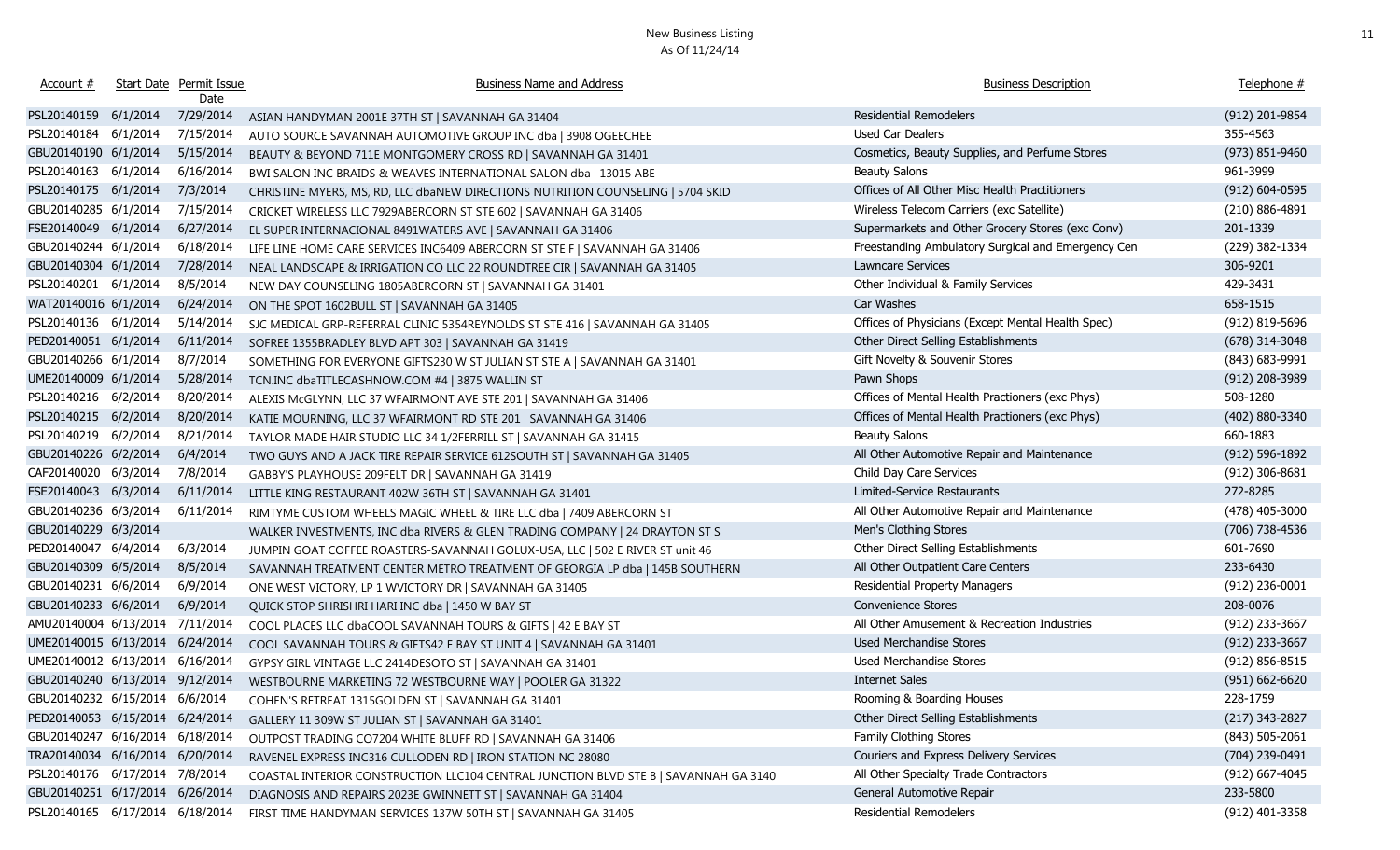| Account #                       |          | Start Date Permit Issue<br>Date | <b>Business Name and Address</b>                                                    | <b>Business Description</b>                        | Telephone #        |
|---------------------------------|----------|---------------------------------|-------------------------------------------------------------------------------------|----------------------------------------------------|--------------------|
| PSL20140159                     | 6/1/2014 | 7/29/2014                       | ASIAN HANDYMAN 2001E 37TH ST   SAVANNAH GA 31404                                    | <b>Residential Remodelers</b>                      | (912) 201-9854     |
| PSL20140184                     | 6/1/2014 | 7/15/2014                       | AUTO SOURCE SAVANNAH AUTOMOTIVE GROUP INC dba   3908 OGEECHEE                       | Used Car Dealers                                   | 355-4563           |
| GBU20140190 6/1/2014            |          | 5/15/2014                       | BEAUTY & BEYOND 711E MONTGOMERY CROSS RD   SAVANNAH GA 31401                        | Cosmetics, Beauty Supplies, and Perfume Stores     | (973) 851-9460     |
| PSL20140163                     | 6/1/2014 | 6/16/2014                       | BWI SALON INC BRAIDS & WEAVES INTERNATIONAL SALON dba   13015 ABE                   | <b>Beauty Salons</b>                               | 961-3999           |
| PSL20140175 6/1/2014            |          | 7/3/2014                        | CHRISTINE MYERS, MS, RD, LLC dbaNEW DIRECTIONS NUTRITION COUNSELING   5704 SKID     | Offices of All Other Misc Health Practitioners     | $(912) 604 - 0595$ |
| GBU20140285 6/1/2014            |          | 7/15/2014                       | CRICKET WIRELESS LLC 7929ABERCORN ST STE 602   SAVANNAH GA 31406                    | Wireless Telecom Carriers (exc Satellite)          | (210) 886-4891     |
| FSE20140049 6/1/2014            |          | 6/27/2014                       | EL SUPER INTERNACIONAL 8491WATERS AVE   SAVANNAH GA 31406                           | Supermarkets and Other Grocery Stores (exc Conv)   | 201-1339           |
| GBU20140244 6/1/2014            |          | 6/18/2014                       | LIFE LINE HOME CARE SERVICES INC6409 ABERCORN ST STE F   SAVANNAH GA 31406          | Freestanding Ambulatory Surgical and Emergency Cen | (229) 382-1334     |
| GBU20140304 6/1/2014            |          | 7/28/2014                       | NEAL LANDSCAPE & IRRIGATION CO LLC 22 ROUNDTREE CIR   SAVANNAH GA 31405             | Lawncare Services                                  | 306-9201           |
| PSL20140201 6/1/2014            |          | 8/5/2014                        | NEW DAY COUNSELING 1805ABERCORN ST   SAVANNAH GA 31401                              | Other Individual & Family Services                 | 429-3431           |
| WAT20140016 6/1/2014            |          | 6/24/2014                       | ON THE SPOT 1602BULL ST   SAVANNAH GA 31405                                         | Car Washes                                         | 658-1515           |
| PSL20140136 6/1/2014            |          | 5/14/2014                       | SJC MEDICAL GRP-REFERRAL CLINIC 5354REYNOLDS ST STE 416   SAVANNAH GA 31405         | Offices of Physicians (Except Mental Health Spec)  | (912) 819-5696     |
| PED20140051 6/1/2014            |          | 6/11/2014                       | SOFREE 1355BRADLEY BLVD APT 303   SAVANNAH GA 31419                                 | Other Direct Selling Establishments                | (678) 314-3048     |
| GBU20140266 6/1/2014            |          | 8/7/2014                        | SOMETHING FOR EVERYONE GIFTS230 W ST JULIAN ST STE A   SAVANNAH GA 31401            | Gift Novelty & Souvenir Stores                     | (843) 683-9991     |
| UME20140009 6/1/2014            |          | 5/28/2014                       | TCN.INC dbaTITLECASHNOW.COM #4   3875 WALLIN ST                                     | Pawn Shops                                         | (912) 208-3989     |
| PSL20140216 6/2/2014            |          | 8/20/2014                       | ALEXIS McGLYNN, LLC 37 WFAIRMONT AVE STE 201   SAVANNAH GA 31406                    | Offices of Mental Health Practioners (exc Phys)    | 508-1280           |
| PSL20140215 6/2/2014            |          | 8/20/2014                       | KATIE MOURNING, LLC 37 WFAIRMONT RD STE 201   SAVANNAH GA 31406                     | Offices of Mental Health Practioners (exc Phys)    | (402) 880-3340     |
| PSL20140219 6/2/2014            |          | 8/21/2014                       | TAYLOR MADE HAIR STUDIO LLC 34 1/2FERRILL ST   SAVANNAH GA 31415                    | <b>Beauty Salons</b>                               | 660-1883           |
| GBU20140226 6/2/2014            |          | 6/4/2014                        | TWO GUYS AND A JACK TIRE REPAIR SERVICE 612SOUTH ST   SAVANNAH GA 31405             | All Other Automotive Repair and Maintenance        | $(912) 596 - 1892$ |
| CAF20140020 6/3/2014            |          | 7/8/2014                        | GABBY'S PLAYHOUSE 209FELT DR   SAVANNAH GA 31419                                    | Child Day Care Services                            | $(912)$ 306-8681   |
| FSE20140043 6/3/2014            |          | 6/11/2014                       | LITTLE KING RESTAURANT 402W 36TH ST   SAVANNAH GA 31401                             | Limited-Service Restaurants                        | 272-8285           |
| GBU20140236 6/3/2014            |          | 6/11/2014                       | RIMTYME CUSTOM WHEELS MAGIC WHEEL & TIRE LLC dba   7409 ABERCORN ST                 | All Other Automotive Repair and Maintenance        | $(478)$ 405-3000   |
| GBU20140229 6/3/2014            |          |                                 | WALKER INVESTMENTS, INC dba RIVERS & GLEN TRADING COMPANY   24 DRAYTON ST S         | Men's Clothing Stores                              | (706) 738-4536     |
| PED20140047 6/4/2014            |          | 6/3/2014                        | JUMPIN GOAT COFFEE ROASTERS-SAVANNAH GOLUX-USA, LLC   502 E RIVER ST unit 46        | Other Direct Selling Establishments                | 601-7690           |
| GBU20140309 6/5/2014            |          | 8/5/2014                        | SAVANNAH TREATMENT CENTER METRO TREATMENT OF GEORGIA LP dba   145B SOUTHERN         | All Other Outpatient Care Centers                  | 233-6430           |
| GBU20140231 6/6/2014            |          | 6/9/2014                        | ONE WEST VICTORY, LP 1 WVICTORY DR   SAVANNAH GA 31405                              | Residential Property Managers                      | $(912)$ 236-0001   |
| GBU20140233 6/6/2014            |          | 6/9/2014                        | QUICK STOP SHRISHRI HARI INC dba   1450 W BAY ST                                    | <b>Convenience Stores</b>                          | 208-0076           |
| AMU20140004 6/13/2014 7/11/2014 |          |                                 | COOL PLACES LLC dbaCOOL SAVANNAH TOURS & GIFTS   42 E BAY ST                        | All Other Amusement & Recreation Industries        | (912) 233-3667     |
| UME20140015 6/13/2014 6/24/2014 |          |                                 | COOL SAVANNAH TOURS & GIFTS42 E BAY ST UNIT 4   SAVANNAH GA 31401                   | Used Merchandise Stores                            | (912) 233-3667     |
| UME20140012 6/13/2014 6/16/2014 |          |                                 | GYPSY GIRL VINTAGE LLC 2414DESOTO ST   SAVANNAH GA 31401                            | Used Merchandise Stores                            | $(912) 856 - 8515$ |
| GBU20140240 6/13/2014 9/12/2014 |          |                                 | WESTBOURNE MARKETING 72 WESTBOURNE WAY   POOLER GA 31322                            | <b>Internet Sales</b>                              | $(951) 662 - 6620$ |
| GBU20140232 6/15/2014 6/6/2014  |          |                                 | COHEN'S RETREAT 1315GOLDEN ST   SAVANNAH GA 31401                                   | Rooming & Boarding Houses                          | 228-1759           |
| PED20140053 6/15/2014 6/24/2014 |          |                                 | GALLERY 11 309W ST JULIAN ST   SAVANNAH GA 31401                                    | Other Direct Selling Establishments                | (217) 343-2827     |
| GBU20140247 6/16/2014 6/18/2014 |          |                                 | OUTPOST TRADING CO7204 WHITE BLUFF RD   SAVANNAH GA 31406                           | Family Clothing Stores                             | $(843) 505 - 2061$ |
| TRA20140034 6/16/2014 6/20/2014 |          |                                 | RAVENEL EXPRESS INC316 CULLODEN RD   IRON STATION NC 28080                          | Couriers and Express Delivery Services             | (704) 239-0491     |
| PSL20140176 6/17/2014 7/8/2014  |          |                                 | COASTAL INTERIOR CONSTRUCTION LLC104 CENTRAL JUNCTION BLVD STE B   SAVANNAH GA 3140 | All Other Specialty Trade Contractors              | $(912)$ 667-4045   |
| GBU20140251 6/17/2014 6/26/2014 |          |                                 | DIAGNOSIS AND REPAIRS 2023E GWINNETT ST   SAVANNAH GA 31404                         | General Automotive Repair                          | 233-5800           |
| PSL20140165 6/17/2014 6/18/2014 |          |                                 | FIRST TIME HANDYMAN SERVICES 137W 50TH ST   SAVANNAH GA 31405                       | <b>Residential Remodelers</b>                      | (912) 401-3358     |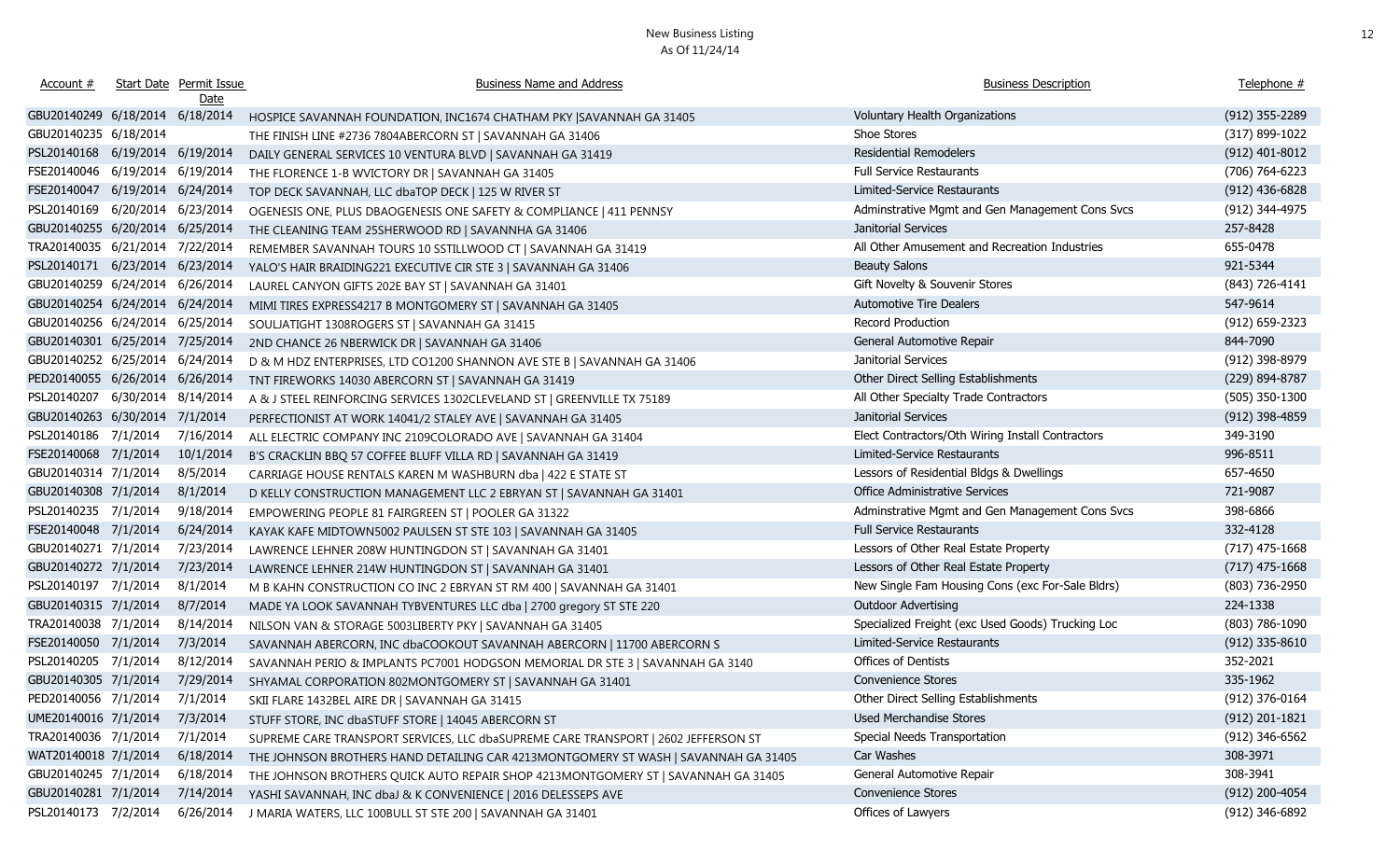| Account #                       |                     | Start Date Permit Issue<br><u>Date</u> | <b>Business Name and Address</b>                                                   | <b>Business Description</b>                       | Telephone #      |
|---------------------------------|---------------------|----------------------------------------|------------------------------------------------------------------------------------|---------------------------------------------------|------------------|
| GBU20140249 6/18/2014 6/18/2014 |                     |                                        | HOSPICE SAVANNAH FOUNDATION, INC1674 CHATHAM PKY SAVANNAH GA 31405                 | Voluntary Health Organizations                    | (912) 355-2289   |
| GBU20140235 6/18/2014           |                     |                                        | THE FINISH LINE #2736 7804ABERCORN ST   SAVANNAH GA 31406                          | Shoe Stores                                       | (317) 899-1022   |
| PSL20140168 6/19/2014 6/19/2014 |                     |                                        | DAILY GENERAL SERVICES 10 VENTURA BLVD   SAVANNAH GA 31419                         | <b>Residential Remodelers</b>                     | $(912)$ 401-8012 |
| FSE20140046 6/19/2014 6/19/2014 |                     |                                        | THE FLORENCE 1-B WVICTORY DR   SAVANNAH GA 31405                                   | <b>Full Service Restaurants</b>                   | (706) 764-6223   |
| FSE20140047 6/19/2014 6/24/2014 |                     |                                        | TOP DECK SAVANNAH, LLC dbaTOP DECK   125 W RIVER ST                                | Limited-Service Restaurants                       | $(912)$ 436-6828 |
| PSL20140169                     | 6/20/2014 6/23/2014 |                                        | OGENESIS ONE, PLUS DBAOGENESIS ONE SAFETY & COMPLIANCE   411 PENNSY                | Adminstrative Mgmt and Gen Management Cons Svcs   | (912) 344-4975   |
| GBU20140255 6/20/2014 6/25/2014 |                     |                                        | THE CLEANING TEAM 25SHERWOOD RD   SAVANNHA GA 31406                                | Janitorial Services                               | 257-8428         |
| TRA20140035 6/21/2014 7/22/2014 |                     |                                        | REMEMBER SAVANNAH TOURS 10 SSTILLWOOD CT   SAVANNAH GA 31419                       | All Other Amusement and Recreation Industries     | 655-0478         |
| PSL20140171 6/23/2014 6/23/2014 |                     |                                        | YALO'S HAIR BRAIDING221 EXECUTIVE CIR STE 3   SAVANNAH GA 31406                    | <b>Beauty Salons</b>                              | 921-5344         |
| GBU20140259 6/24/2014 6/26/2014 |                     |                                        | LAUREL CANYON GIFTS 202E BAY ST   SAVANNAH GA 31401                                | Gift Novelty & Souvenir Stores                    | (843) 726-4141   |
| GBU20140254 6/24/2014 6/24/2014 |                     |                                        | MIMI TIRES EXPRESS4217 B MONTGOMERY ST   SAVANNAH GA 31405                         | <b>Automotive Tire Dealers</b>                    | 547-9614         |
| GBU20140256 6/24/2014 6/25/2014 |                     |                                        | SOULJATIGHT 1308ROGERS ST   SAVANNAH GA 31415                                      | Record Production                                 | (912) 659-2323   |
| GBU20140301 6/25/2014 7/25/2014 |                     |                                        | 2ND CHANCE 26 NBERWICK DR   SAVANNAH GA 31406                                      | General Automotive Repair                         | 844-7090         |
| GBU20140252 6/25/2014 6/24/2014 |                     |                                        | D & M HDZ ENTERPRISES, LTD CO1200 SHANNON AVE STE B   SAVANNAH GA 31406            | Janitorial Services                               | (912) 398-8979   |
| PED20140055 6/26/2014 6/26/2014 |                     |                                        | TNT FIREWORKS 14030 ABERCORN ST   SAVANNAH GA 31419                                | Other Direct Selling Establishments               | (229) 894-8787   |
| PSL20140207 6/30/2014 8/14/2014 |                     |                                        | A & J STEEL REINFORCING SERVICES 1302CLEVELAND ST   GREENVILLE TX 75189            | All Other Specialty Trade Contractors             | $(505)$ 350-1300 |
| GBU20140263 6/30/2014 7/1/2014  |                     |                                        | PERFECTIONIST AT WORK 14041/2 STALEY AVE   SAVANNAH GA 31405                       | Janitorial Services                               | (912) 398-4859   |
| PSL20140186 7/1/2014            |                     | 7/16/2014                              | ALL ELECTRIC COMPANY INC 2109COLORADO AVE   SAVANNAH GA 31404                      | Elect Contractors/Oth Wiring Install Contractors  | 349-3190         |
| FSE20140068 7/1/2014            |                     | 10/1/2014                              | B'S CRACKLIN BBQ 57 COFFEE BLUFF VILLA RD   SAVANNAH GA 31419                      | Limited-Service Restaurants                       | 996-8511         |
| GBU20140314 7/1/2014            |                     | 8/5/2014                               | CARRIAGE HOUSE RENTALS KAREN M WASHBURN dba   422 E STATE ST                       | Lessors of Residential Bldgs & Dwellings          | 657-4650         |
| GBU20140308 7/1/2014            |                     | 8/1/2014                               | D KELLY CONSTRUCTION MANAGEMENT LLC 2 EBRYAN ST   SAVANNAH GA 31401                | <b>Office Administrative Services</b>             | 721-9087         |
| PSL20140235 7/1/2014            |                     | 9/18/2014                              | EMPOWERING PEOPLE 81 FAIRGREEN ST   POOLER GA 31322                                | Adminstrative Mgmt and Gen Management Cons Svcs   | 398-6866         |
| FSE20140048 7/1/2014            |                     | 6/24/2014                              | KAYAK KAFE MIDTOWN5002 PAULSEN ST STE 103   SAVANNAH GA 31405                      | <b>Full Service Restaurants</b>                   | 332-4128         |
| GBU20140271 7/1/2014            |                     | 7/23/2014                              | LAWRENCE LEHNER 208W HUNTINGDON ST   SAVANNAH GA 31401                             | Lessors of Other Real Estate Property             | $(717)$ 475-1668 |
| GBU20140272 7/1/2014            |                     | 7/23/2014                              | LAWRENCE LEHNER 214W HUNTINGDON ST   SAVANNAH GA 31401                             | Lessors of Other Real Estate Property             | $(717)$ 475-1668 |
| PSL20140197 7/1/2014            |                     | 8/1/2014                               | M B KAHN CONSTRUCTION CO INC 2 EBRYAN ST RM 400   SAVANNAH GA 31401                | New Single Fam Housing Cons (exc For-Sale Bldrs)  | (803) 736-2950   |
| GBU20140315 7/1/2014            |                     | 8/7/2014                               | MADE YA LOOK SAVANNAH TYBVENTURES LLC dba   2700 gregory ST STE 220                | Outdoor Advertising                               | 224-1338         |
| TRA20140038 7/1/2014            |                     | 8/14/2014                              | NILSON VAN & STORAGE 5003LIBERTY PKY   SAVANNAH GA 31405                           | Specialized Freight (exc Used Goods) Trucking Loc | (803) 786-1090   |
| FSE20140050 7/1/2014            |                     | 7/3/2014                               | SAVANNAH ABERCORN, INC dbaCOOKOUT SAVANNAH ABERCORN   11700 ABERCORN S             | Limited-Service Restaurants                       | $(912)$ 335-8610 |
| PSL20140205 7/1/2014            |                     | 8/12/2014                              | SAVANNAH PERIO & IMPLANTS PC7001 HODGSON MEMORIAL DR STE 3   SAVANNAH GA 3140      | Offices of Dentists                               | 352-2021         |
| GBU20140305 7/1/2014 7/29/2014  |                     |                                        | SHYAMAL CORPORATION 802MONTGOMERY ST   SAVANNAH GA 31401                           | <b>Convenience Stores</b>                         | 335-1962         |
| PED20140056 7/1/2014 7/1/2014   |                     |                                        | SKII FLARE 1432BEL AIRE DR   SAVANNAH GA 31415                                     | Other Direct Selling Establishments               | (912) 376-0164   |
| UME20140016 7/1/2014            |                     | 7/3/2014                               | STUFF STORE, INC dbaSTUFF STORE   14045 ABERCORN ST                                | Used Merchandise Stores                           | $(912)$ 201-1821 |
| TRA20140036 7/1/2014            |                     | 7/1/2014                               | SUPREME CARE TRANSPORT SERVICES, LLC dbaSUPREME CARE TRANSPORT   2602 JEFFERSON ST | Special Needs Transportation                      | (912) 346-6562   |
| WAT20140018 7/1/2014            |                     | 6/18/2014                              | THE JOHNSON BROTHERS HAND DETAILING CAR 4213MONTGOMERY ST WASH   SAVANNAH GA 31405 | Car Washes                                        | 308-3971         |
| GBU20140245 7/1/2014            |                     | 6/18/2014                              | THE JOHNSON BROTHERS QUICK AUTO REPAIR SHOP 4213MONTGOMERY ST   SAVANNAH GA 31405  | General Automotive Repair                         | 308-3941         |
| GBU20140281 7/1/2014            |                     | 7/14/2014                              | YASHI SAVANNAH, INC dbaJ & K CONVENIENCE   2016 DELESSEPS AVE                      | <b>Convenience Stores</b>                         | (912) 200-4054   |
| PSL20140173 7/2/2014            |                     | 6/26/2014                              | J MARIA WATERS, LLC 100BULL ST STE 200   SAVANNAH GA 31401                         | Offices of Lawyers                                | (912) 346-6892   |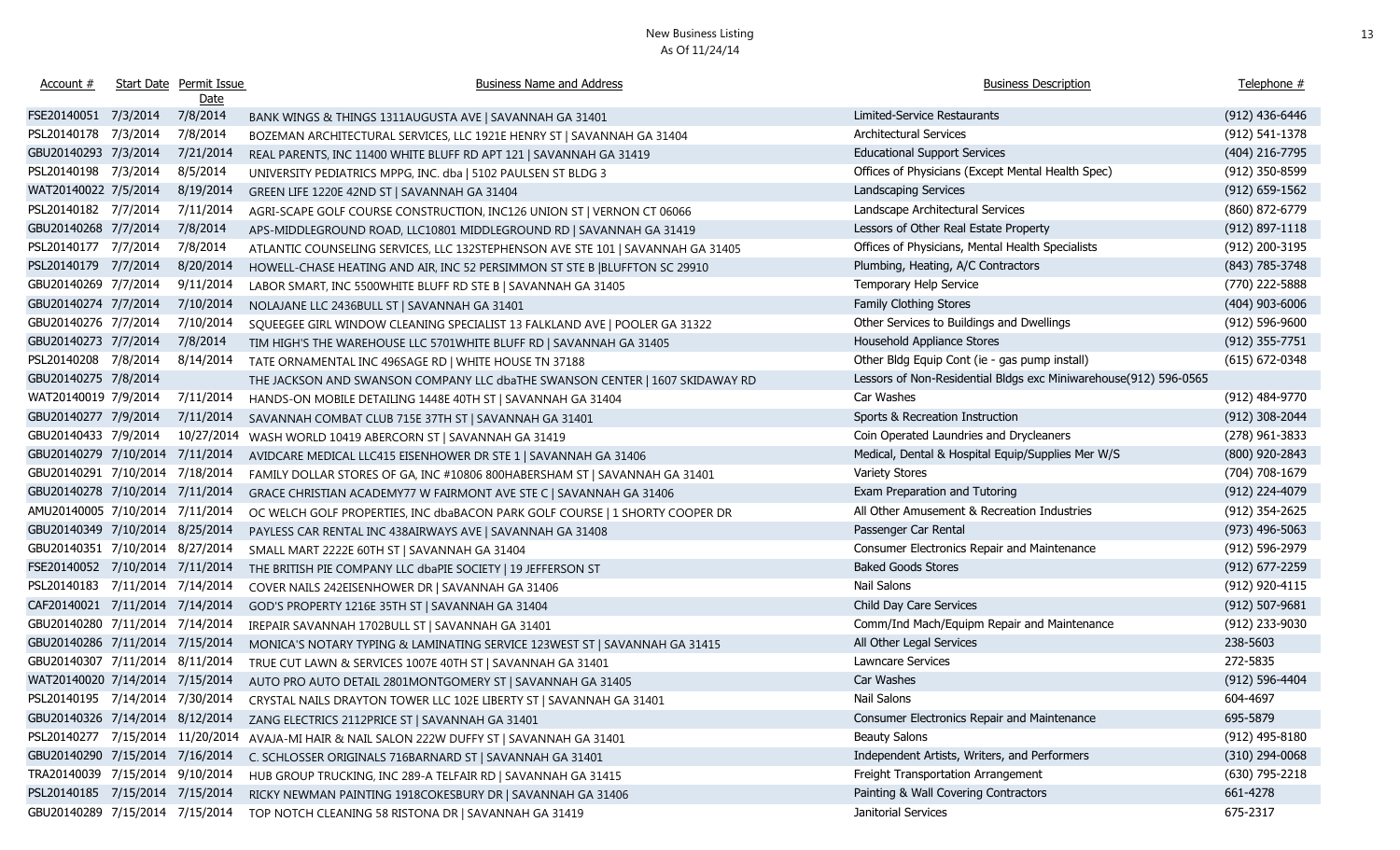| Account #                        |          | Start Date Permit Issue<br>Date | <b>Business Name and Address</b>                                                | <b>Business Description</b>                                      | Telephone #        |
|----------------------------------|----------|---------------------------------|---------------------------------------------------------------------------------|------------------------------------------------------------------|--------------------|
| FSE20140051 7/3/2014             |          | 7/8/2014                        | BANK WINGS & THINGS 1311AUGUSTA AVE   SAVANNAH GA 31401                         | Limited-Service Restaurants                                      | (912) 436-6446     |
| PSL20140178                      | 7/3/2014 | 7/8/2014                        | BOZEMAN ARCHITECTURAL SERVICES, LLC 1921E HENRY ST   SAVANNAH GA 31404          | Architectural Services                                           | $(912) 541 - 1378$ |
| GBU20140293 7/3/2014             |          | 7/21/2014                       | REAL PARENTS, INC 11400 WHITE BLUFF RD APT 121   SAVANNAH GA 31419              | <b>Educational Support Services</b>                              | (404) 216-7795     |
| PSL20140198 7/3/2014             |          | 8/5/2014                        | UNIVERSITY PEDIATRICS MPPG, INC. dba   5102 PAULSEN ST BLDG 3                   | Offices of Physicians (Except Mental Health Spec)                | (912) 350-8599     |
| WAT20140022 7/5/2014             |          | 8/19/2014                       | GREEN LIFE 1220E 42ND ST   SAVANNAH GA 31404                                    | Landscaping Services                                             | $(912) 659 - 1562$ |
| PSL20140182 7/7/2014             |          | 7/11/2014                       | AGRI-SCAPE GOLF COURSE CONSTRUCTION, INC126 UNION ST   VERNON CT 06066          | Landscape Architectural Services                                 | (860) 872-6779     |
| GBU20140268 7/7/2014             |          | 7/8/2014                        | APS-MIDDLEGROUND ROAD, LLC10801 MIDDLEGROUND RD   SAVANNAH GA 31419             | Lessors of Other Real Estate Property                            | $(912) 897 - 1118$ |
| PSL20140177 7/7/2014             |          | 7/8/2014                        | ATLANTIC COUNSELING SERVICES, LLC 132STEPHENSON AVE STE 101   SAVANNAH GA 31405 | Offices of Physicians, Mental Health Specialists                 | (912) 200-3195     |
| PSL20140179 7/7/2014             |          | 8/20/2014                       | HOWELL-CHASE HEATING AND AIR, INC 52 PERSIMMON ST STE B  BLUFFTON SC 29910      | Plumbing, Heating, A/C Contractors                               | (843) 785-3748     |
| GBU20140269 7/7/2014             |          | 9/11/2014                       | LABOR SMART, INC 5500WHITE BLUFF RD STE B   SAVANNAH GA 31405                   | Temporary Help Service                                           | (770) 222-5888     |
| GBU20140274 7/7/2014             |          | 7/10/2014                       | NOLAJANE LLC 2436BULL ST   SAVANNAH GA 31401                                    | Family Clothing Stores                                           | $(404)$ 903-6006   |
| GBU20140276 7/7/2014             |          | 7/10/2014                       | SQUEEGEE GIRL WINDOW CLEANING SPECIALIST 13 FALKLAND AVE   POOLER GA 31322      | Other Services to Buildings and Dwellings                        | $(912) 596 - 9600$ |
| GBU20140273 7/7/2014             |          | 7/8/2014                        | TIM HIGH'S THE WAREHOUSE LLC 5701WHITE BLUFF RD   SAVANNAH GA 31405             | Household Appliance Stores                                       | $(912)$ 355-7751   |
| PSL20140208 7/8/2014             |          | 8/14/2014                       | TATE ORNAMENTAL INC 496SAGE RD   WHITE HOUSE TN 37188                           | Other Bldg Equip Cont (ie - gas pump install)                    | $(615) 672 - 0348$ |
| GBU20140275 7/8/2014             |          |                                 | THE JACKSON AND SWANSON COMPANY LLC dbaTHE SWANSON CENTER   1607 SKIDAWAY RD    | Lessors of Non-Residential Bldgs exc Miniwarehouse(912) 596-0565 |                    |
| WAT20140019 7/9/2014             |          | 7/11/2014                       | HANDS-ON MOBILE DETAILING 1448E 40TH ST   SAVANNAH GA 31404                     | Car Washes                                                       | (912) 484-9770     |
| GBU20140277 7/9/2014             |          | 7/11/2014                       | SAVANNAH COMBAT CLUB 715E 37TH ST   SAVANNAH GA 31401                           | Sports & Recreation Instruction                                  | (912) 308-2044     |
| GBU20140433 7/9/2014             |          | 10/27/2014                      | WASH WORLD 10419 ABERCORN ST   SAVANNAH GA 31419                                | Coin Operated Laundries and Drycleaners                          | (278) 961-3833     |
| GBU20140279 7/10/2014 7/11/2014  |          |                                 | AVIDCARE MEDICAL LLC415 EISENHOWER DR STE 1   SAVANNAH GA 31406                 | Medical, Dental & Hospital Equip/Supplies Mer W/S                | (800) 920-2843     |
| GBU20140291 7/10/2014 7/18/2014  |          |                                 | FAMILY DOLLAR STORES OF GA, INC #10806 800HABERSHAM ST   SAVANNAH GA 31401      | Variety Stores                                                   | (704) 708-1679     |
| GBU20140278 7/10/2014 7/11/2014  |          |                                 | GRACE CHRISTIAN ACADEMY77 W FAIRMONT AVE STE C   SAVANNAH GA 31406              | Exam Preparation and Tutoring                                    | (912) 224-4079     |
| AMU20140005 7/10/2014 7/11/2014  |          |                                 | OC WELCH GOLF PROPERTIES, INC dbaBACON PARK GOLF COURSE   1 SHORTY COOPER DR    | All Other Amusement & Recreation Industries                      | (912) 354-2625     |
| GBU20140349 7/10/2014 8/25/2014  |          |                                 | PAYLESS CAR RENTAL INC 438AIRWAYS AVE   SAVANNAH GA 31408                       | Passenger Car Rental                                             | $(973)$ 496-5063   |
| GBU20140351 7/10/2014 8/27/2014  |          |                                 | SMALL MART 2222E 60TH ST   SAVANNAH GA 31404                                    | Consumer Electronics Repair and Maintenance                      | (912) 596-2979     |
| FSE20140052 7/10/2014 7/11/2014  |          |                                 | THE BRITISH PIE COMPANY LLC dbaPIE SOCIETY   19 JEFFERSON ST                    | <b>Baked Goods Stores</b>                                        | $(912)$ 677-2259   |
| PSL20140183 7/11/2014 7/14/2014  |          |                                 | COVER NAILS 242EISENHOWER DR   SAVANNAH GA 31406                                | Nail Salons                                                      | (912) 920-4115     |
| CAF20140021 7/11/2014 7/14/2014  |          |                                 | GOD'S PROPERTY 1216E 35TH ST   SAVANNAH GA 31404                                | Child Day Care Services                                          | $(912) 507 - 9681$ |
| GBU20140280 7/11/2014 7/14/2014  |          |                                 | IREPAIR SAVANNAH 1702BULL ST   SAVANNAH GA 31401                                | Comm/Ind Mach/Equipm Repair and Maintenance                      | (912) 233-9030     |
| GBU20140286 7/11/2014 7/15/2014  |          |                                 | MONICA'S NOTARY TYPING & LAMINATING SERVICE 123WEST ST   SAVANNAH GA 31415      | All Other Legal Services                                         | 238-5603           |
| GBU20140307 7/11/2014 8/11/2014  |          |                                 | TRUE CUT LAWN & SERVICES 1007E 40TH ST   SAVANNAH GA 31401                      | Lawncare Services                                                | 272-5835           |
| WAT20140020 7/14/2014 7/15/2014  |          |                                 | AUTO PRO AUTO DETAIL 2801MONTGOMERY ST   SAVANNAH GA 31405                      | Car Washes                                                       | $(912) 596 - 4404$ |
| PSL20140195 7/14/2014 7/30/2014  |          |                                 | CRYSTAL NAILS DRAYTON TOWER LLC 102E LIBERTY ST   SAVANNAH GA 31401             | Nail Salons                                                      | 604-4697           |
| GBU20140326 7/14/2014 8/12/2014  |          |                                 | ZANG ELECTRICS 2112PRICE ST   SAVANNAH GA 31401                                 | Consumer Electronics Repair and Maintenance                      | 695-5879           |
| PSL20140277 7/15/2014 11/20/2014 |          |                                 | AVAJA-MI HAIR & NAIL SALON 222W DUFFY ST   SAVANNAH GA 31401                    | <b>Beauty Salons</b>                                             | $(912)$ 495-8180   |
| GBU20140290 7/15/2014 7/16/2014  |          |                                 | C. SCHLOSSER ORIGINALS 716BARNARD ST   SAVANNAH GA 31401                        | Independent Artists, Writers, and Performers                     | $(310)$ 294-0068   |
| TRA20140039 7/15/2014 9/10/2014  |          |                                 | HUB GROUP TRUCKING, INC 289-A TELFAIR RD   SAVANNAH GA 31415                    | Freight Transportation Arrangement                               | $(630)$ 795-2218   |
| PSL20140185 7/15/2014 7/15/2014  |          |                                 | RICKY NEWMAN PAINTING 1918COKESBURY DR   SAVANNAH GA 31406                      | Painting & Wall Covering Contractors                             | 661-4278           |
| GBU20140289 7/15/2014 7/15/2014  |          |                                 | TOP NOTCH CLEANING 58 RISTONA DR   SAVANNAH GA 31419                            | Janitorial Services                                              | 675-2317           |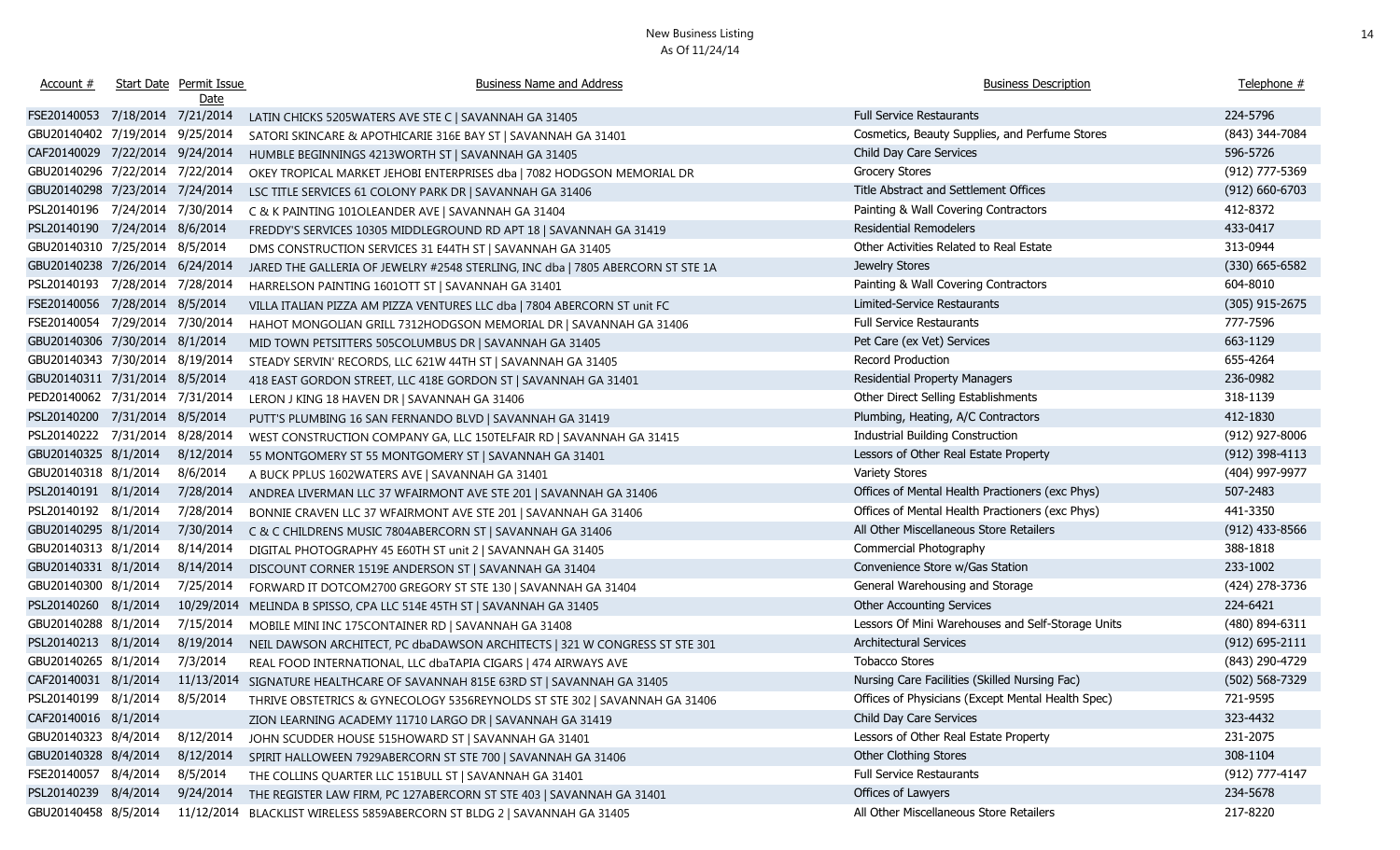| Account #                       | Start Date Permit Issue<br><u>Date</u> | <b>Business Name and Address</b>                                                | <b>Business Description</b>                       | Telephone #        |
|---------------------------------|----------------------------------------|---------------------------------------------------------------------------------|---------------------------------------------------|--------------------|
| FSE20140053 7/18/2014 7/21/2014 |                                        | LATIN CHICKS 5205WATERS AVE STE C   SAVANNAH GA 31405                           | <b>Full Service Restaurants</b>                   | 224-5796           |
| GBU20140402 7/19/2014 9/25/2014 |                                        | SATORI SKINCARE & APOTHICARIE 316E BAY ST   SAVANNAH GA 31401                   | Cosmetics, Beauty Supplies, and Perfume Stores    | (843) 344-7084     |
| CAF20140029 7/22/2014 9/24/2014 |                                        | HUMBLE BEGINNINGS 4213WORTH ST   SAVANNAH GA 31405                              | Child Day Care Services                           | 596-5726           |
| GBU20140296 7/22/2014 7/22/2014 |                                        | OKEY TROPICAL MARKET JEHOBI ENTERPRISES dba   7082 HODGSON MEMORIAL DR          | <b>Grocery Stores</b>                             | (912) 777-5369     |
| GBU20140298 7/23/2014 7/24/2014 |                                        | LSC TITLE SERVICES 61 COLONY PARK DR   SAVANNAH GA 31406                        | Title Abstract and Settlement Offices             | $(912) 660 - 6703$ |
| PSL20140196 7/24/2014 7/30/2014 |                                        | C & K PAINTING 101OLEANDER AVE   SAVANNAH GA 31404                              | Painting & Wall Covering Contractors              | 412-8372           |
| PSL20140190 7/24/2014 8/6/2014  |                                        | FREDDY'S SERVICES 10305 MIDDLEGROUND RD APT 18   SAVANNAH GA 31419              | <b>Residential Remodelers</b>                     | 433-0417           |
| GBU20140310 7/25/2014 8/5/2014  |                                        | DMS CONSTRUCTION SERVICES 31 E44TH ST   SAVANNAH GA 31405                       | Other Activities Related to Real Estate           | 313-0944           |
| GBU20140238 7/26/2014 6/24/2014 |                                        | JARED THE GALLERIA OF JEWELRY #2548 STERLING, INC dba   7805 ABERCORN ST STE 1A | Jewelry Stores                                    | $(330)$ 665-6582   |
| PSL20140193 7/28/2014 7/28/2014 |                                        | HARRELSON PAINTING 1601OTT ST   SAVANNAH GA 31401                               | Painting & Wall Covering Contractors              | 604-8010           |
| FSE20140056 7/28/2014 8/5/2014  |                                        | VILLA ITALIAN PIZZA AM PIZZA VENTURES LLC dba   7804 ABERCORN ST unit FC        | Limited-Service Restaurants                       | $(305)$ 915-2675   |
| FSE20140054 7/29/2014 7/30/2014 |                                        | HAHOT MONGOLIAN GRILL 7312HODGSON MEMORIAL DR   SAVANNAH GA 31406               | Full Service Restaurants                          | 777-7596           |
| GBU20140306 7/30/2014 8/1/2014  |                                        | MID TOWN PETSITTERS 505COLUMBUS DR   SAVANNAH GA 31405                          | Pet Care (ex Vet) Services                        | 663-1129           |
| GBU20140343 7/30/2014 8/19/2014 |                                        | STEADY SERVIN' RECORDS, LLC 621W 44TH ST   SAVANNAH GA 31405                    | Record Production                                 | 655-4264           |
| GBU20140311 7/31/2014 8/5/2014  |                                        | 418 EAST GORDON STREET, LLC 418E GORDON ST   SAVANNAH GA 31401                  | Residential Property Managers                     | 236-0982           |
| PED20140062 7/31/2014 7/31/2014 |                                        | LERON J KING 18 HAVEN DR   SAVANNAH GA 31406                                    | Other Direct Selling Establishments               | 318-1139           |
| PSL20140200 7/31/2014 8/5/2014  |                                        | PUTT'S PLUMBING 16 SAN FERNANDO BLVD   SAVANNAH GA 31419                        | Plumbing, Heating, A/C Contractors                | 412-1830           |
| PSL20140222 7/31/2014 8/28/2014 |                                        | WEST CONSTRUCTION COMPANY GA, LLC 150TELFAIR RD   SAVANNAH GA 31415             | Industrial Building Construction                  | (912) 927-8006     |
| GBU20140325 8/1/2014            | 8/12/2014                              | 55 MONTGOMERY ST 55 MONTGOMERY ST   SAVANNAH GA 31401                           | Lessors of Other Real Estate Property             | (912) 398-4113     |
| GBU20140318 8/1/2014            | 8/6/2014                               | A BUCK PPLUS 1602WATERS AVE   SAVANNAH GA 31401                                 | <b>Variety Stores</b>                             | (404) 997-9977     |
| PSL20140191 8/1/2014            | 7/28/2014                              | ANDREA LIVERMAN LLC 37 WFAIRMONT AVE STE 201   SAVANNAH GA 31406                | Offices of Mental Health Practioners (exc Phys)   | 507-2483           |
| PSL20140192 8/1/2014            | 7/28/2014                              | BONNIE CRAVEN LLC 37 WFAIRMONT AVE STE 201   SAVANNAH GA 31406                  | Offices of Mental Health Practioners (exc Phys)   | 441-3350           |
| GBU20140295 8/1/2014            | 7/30/2014                              | C & C CHILDRENS MUSIC 7804ABERCORN ST   SAVANNAH GA 31406                       | All Other Miscellaneous Store Retailers           | $(912)$ 433-8566   |
| GBU20140313 8/1/2014            | 8/14/2014                              | DIGITAL PHOTOGRAPHY 45 E60TH ST unit 2   SAVANNAH GA 31405                      | Commercial Photography                            | 388-1818           |
| GBU20140331 8/1/2014            | 8/14/2014                              | DISCOUNT CORNER 1519E ANDERSON ST   SAVANNAH GA 31404                           | Convenience Store w/Gas Station                   | 233-1002           |
| GBU20140300 8/1/2014            | 7/25/2014                              | FORWARD IT DOTCOM2700 GREGORY ST STE 130   SAVANNAH GA 31404                    | General Warehousing and Storage                   | (424) 278-3736     |
| PSL20140260 8/1/2014            | 10/29/2014                             | MELINDA B SPISSO, CPA LLC 514E 45TH ST   SAVANNAH GA 31405                      | <b>Other Accounting Services</b>                  | 224-6421           |
| GBU20140288 8/1/2014            | 7/15/2014                              | MOBILE MINI INC 175CONTAINER RD   SAVANNAH GA 31408                             | Lessors Of Mini Warehouses and Self-Storage Units | (480) 894-6311     |
| PSL20140213 8/1/2014            | 8/19/2014                              | NEIL DAWSON ARCHITECT, PC dbaDAWSON ARCHITECTS   321 W CONGRESS ST STE 301      | Architectural Services                            | $(912) 695 - 2111$ |
| GBU20140265 8/1/2014            | 7/3/2014                               | REAL FOOD INTERNATIONAL, LLC dbaTAPIA CIGARS   474 AIRWAYS AVE                  | <b>Tobacco Stores</b>                             | (843) 290-4729     |
| CAF20140031 8/1/2014            |                                        | 11/13/2014 SIGNATURE HEALTHCARE OF SAVANNAH 815E 63RD ST   SAVANNAH GA 31405    | Nursing Care Facilities (Skilled Nursing Fac)     | $(502) 568 - 7329$ |
| PSL20140199 8/1/2014 8/5/2014   |                                        | THRIVE OBSTETRICS & GYNECOLOGY 5356REYNOLDS ST STE 302   SAVANNAH GA 31406      | Offices of Physicians (Except Mental Health Spec) | 721-9595           |
| CAF20140016 8/1/2014            |                                        | ZION LEARNING ACADEMY 11710 LARGO DR   SAVANNAH GA 31419                        | Child Day Care Services                           | 323-4432           |
| GBU20140323 8/4/2014            | 8/12/2014                              | JOHN SCUDDER HOUSE 515HOWARD ST   SAVANNAH GA 31401                             | Lessors of Other Real Estate Property             | 231-2075           |
| GBU20140328 8/4/2014            | 8/12/2014                              | SPIRIT HALLOWEEN 7929ABERCORN ST STE 700   SAVANNAH GA 31406                    | <b>Other Clothing Stores</b>                      | 308-1104           |
| FSE20140057 8/4/2014            | 8/5/2014                               | THE COLLINS QUARTER LLC 151BULL ST   SAVANNAH GA 31401                          | Full Service Restaurants                          | (912) 777-4147     |
| PSL20140239 8/4/2014            | 9/24/2014                              | THE REGISTER LAW FIRM, PC 127ABERCORN ST STE 403   SAVANNAH GA 31401            | Offices of Lawyers                                | 234-5678           |
| GBU20140458 8/5/2014            | 11/12/2014                             | BLACKLIST WIRELESS 5859ABERCORN ST BLDG 2   SAVANNAH GA 31405                   | All Other Miscellaneous Store Retailers           | 217-8220           |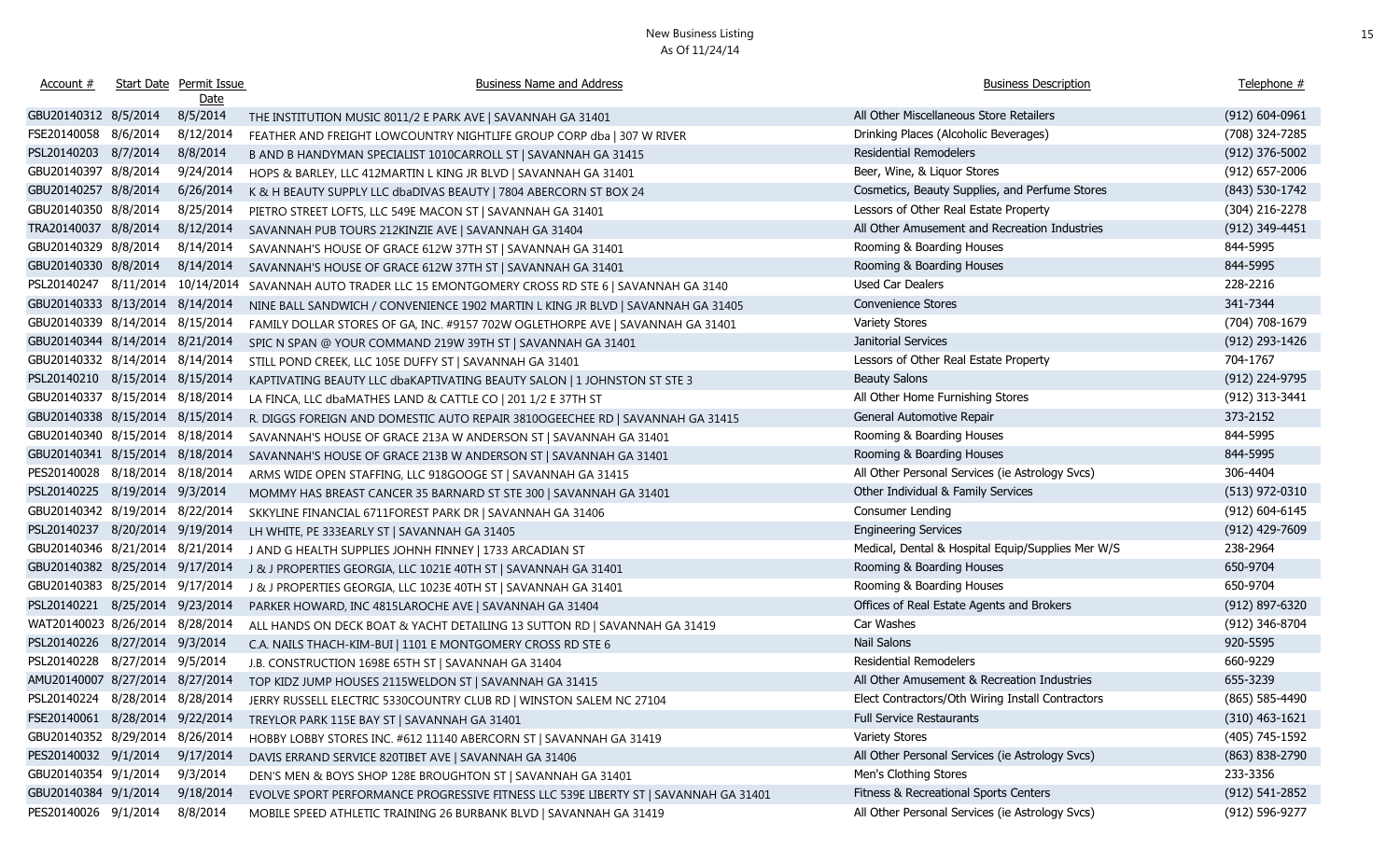| Account #                       | Start Date Permit Issue<br><u>Date</u> | <b>Business Name and Address</b>                                                                    | <b>Business Description</b>                       | Telephone #        |
|---------------------------------|----------------------------------------|-----------------------------------------------------------------------------------------------------|---------------------------------------------------|--------------------|
| GBU20140312 8/5/2014            | 8/5/2014                               | THE INSTITUTION MUSIC 8011/2 E PARK AVE   SAVANNAH GA 31401                                         | All Other Miscellaneous Store Retailers           | $(912) 604 - 0961$ |
| FSE20140058 8/6/2014            | 8/12/2014                              | FEATHER AND FREIGHT LOWCOUNTRY NIGHTLIFE GROUP CORP dba   307 W RIVER                               | Drinking Places (Alcoholic Beverages)             | (708) 324-7285     |
| PSL20140203 8/7/2014            | 8/8/2014                               | B AND B HANDYMAN SPECIALIST 1010CARROLL ST   SAVANNAH GA 31415                                      | <b>Residential Remodelers</b>                     | $(912)$ 376-5002   |
| GBU20140397 8/8/2014            | 9/24/2014                              | HOPS & BARLEY, LLC 412MARTIN L KING JR BLVD   SAVANNAH GA 31401                                     | Beer, Wine, & Liquor Stores                       | $(912)$ 657-2006   |
| GBU20140257 8/8/2014            | 6/26/2014                              | K & H BEAUTY SUPPLY LLC dbaDIVAS BEAUTY   7804 ABERCORN ST BOX 24                                   | Cosmetics, Beauty Supplies, and Perfume Stores    | (843) 530-1742     |
| GBU20140350 8/8/2014            | 8/25/2014                              | PIETRO STREET LOFTS, LLC 549E MACON ST   SAVANNAH GA 31401                                          | Lessors of Other Real Estate Property             | (304) 216-2278     |
| TRA20140037 8/8/2014            | 8/12/2014                              | SAVANNAH PUB TOURS 212KINZIE AVE   SAVANNAH GA 31404                                                | All Other Amusement and Recreation Industries     | (912) 349-4451     |
| GBU20140329 8/8/2014            | 8/14/2014                              | SAVANNAH'S HOUSE OF GRACE 612W 37TH ST   SAVANNAH GA 31401                                          | Rooming & Boarding Houses                         | 844-5995           |
| GBU20140330 8/8/2014            | 8/14/2014                              | SAVANNAH'S HOUSE OF GRACE 612W 37TH ST   SAVANNAH GA 31401                                          | Rooming & Boarding Houses                         | 844-5995           |
| PSL20140247 8/11/2014           | 10/14/2014                             | SAVANNAH AUTO TRADER LLC 15 EMONTGOMERY CROSS RD STE 6   SAVANNAH GA 3140                           | Used Car Dealers                                  | 228-2216           |
| GBU20140333 8/13/2014 8/14/2014 |                                        | NINE BALL SANDWICH / CONVENIENCE 1902 MARTIN L KING JR BLVD   SAVANNAH GA 31405                     | <b>Convenience Stores</b>                         | 341-7344           |
| GBU20140339 8/14/2014 8/15/2014 |                                        | FAMILY DOLLAR STORES OF GA, INC. #9157 702W OGLETHORPE AVE   SAVANNAH GA 31401                      | <b>Variety Stores</b>                             | (704) 708-1679     |
| GBU20140344 8/14/2014 8/21/2014 |                                        | SPIC N SPAN @ YOUR COMMAND 219W 39TH ST   SAVANNAH GA 31401                                         | Janitorial Services                               | (912) 293-1426     |
| GBU20140332 8/14/2014 8/14/2014 |                                        | STILL POND CREEK, LLC 105E DUFFY ST   SAVANNAH GA 31401                                             | Lessors of Other Real Estate Property             | 704-1767           |
| PSL20140210 8/15/2014 8/15/2014 |                                        | KAPTIVATING BEAUTY LLC dbaKAPTIVATING BEAUTY SALON   1 JOHNSTON ST STE 3                            | <b>Beauty Salons</b>                              | (912) 224-9795     |
| GBU20140337 8/15/2014 8/18/2014 |                                        | LA FINCA, LLC dbaMATHES LAND & CATTLE CO   201 1/2 E 37TH ST                                        | All Other Home Furnishing Stores                  | (912) 313-3441     |
| GBU20140338 8/15/2014 8/15/2014 |                                        | R. DIGGS FOREIGN AND DOMESTIC AUTO REPAIR 3810OGEECHEE RD   SAVANNAH GA 31415                       | General Automotive Repair                         | 373-2152           |
| GBU20140340 8/15/2014 8/18/2014 |                                        | SAVANNAH'S HOUSE OF GRACE 213A W ANDERSON ST   SAVANNAH GA 31401                                    | Rooming & Boarding Houses                         | 844-5995           |
| GBU20140341 8/15/2014 8/18/2014 |                                        | SAVANNAH'S HOUSE OF GRACE 213B W ANDERSON ST   SAVANNAH GA 31401                                    | Rooming & Boarding Houses                         | 844-5995           |
| PES20140028 8/18/2014 8/18/2014 |                                        | ARMS WIDE OPEN STAFFING, LLC 918GOOGE ST   SAVANNAH GA 31415                                        | All Other Personal Services (ie Astrology Svcs)   | 306-4404           |
| PSL20140225 8/19/2014 9/3/2014  |                                        | MOMMY HAS BREAST CANCER 35 BARNARD ST STE 300   SAVANNAH GA 31401                                   | Other Individual & Family Services                | $(513)$ 972-0310   |
| GBU20140342 8/19/2014 8/22/2014 |                                        | SKKYLINE FINANCIAL 6711FOREST PARK DR   SAVANNAH GA 31406                                           | Consumer Lending                                  | (912) 604-6145     |
| PSL20140237 8/20/2014 9/19/2014 |                                        | LH WHITE, PE 333EARLY ST   SAVANNAH GA 31405                                                        | <b>Engineering Services</b>                       | $(912)$ 429-7609   |
| GBU20140346 8/21/2014 8/21/2014 |                                        | J AND G HEALTH SUPPLIES JOHNH FINNEY   1733 ARCADIAN ST                                             | Medical, Dental & Hospital Equip/Supplies Mer W/S | 238-2964           |
| GBU20140382 8/25/2014 9/17/2014 |                                        | J & J PROPERTIES GEORGIA, LLC 1021E 40TH ST   SAVANNAH GA 31401                                     | Rooming & Boarding Houses                         | 650-9704           |
| GBU20140383 8/25/2014 9/17/2014 |                                        | J & J PROPERTIES GEORGIA, LLC 1023E 40TH ST   SAVANNAH GA 31401                                     | Rooming & Boarding Houses                         | 650-9704           |
| PSL20140221 8/25/2014 9/23/2014 |                                        | PARKER HOWARD, INC 4815LAROCHE AVE   SAVANNAH GA 31404                                              | Offices of Real Estate Agents and Brokers         | (912) 897-6320     |
| WAT20140023 8/26/2014 8/28/2014 |                                        | ALL HANDS ON DECK BOAT & YACHT DETAILING 13 SUTTON RD   SAVANNAH GA 31419                           | Car Washes                                        | (912) 346-8704     |
| PSL20140226 8/27/2014 9/3/2014  |                                        | C.A. NAILS THACH-KIM-BUI   1101 E MONTGOMERY CROSS RD STE 6                                         | Nail Salons                                       | 920-5595           |
| PSL20140228 8/27/2014 9/5/2014  |                                        | J.B. CONSTRUCTION 1698E 65TH ST   SAVANNAH GA 31404                                                 | <b>Residential Remodelers</b>                     | 660-9229           |
| AMU20140007 8/27/2014 8/27/2014 |                                        | TOP KIDZ JUMP HOUSES 2115WELDON ST   SAVANNAH GA 31415                                              | All Other Amusement & Recreation Industries       | 655-3239           |
|                                 |                                        | PSL20140224 8/28/2014 8/28/2014 JERRY RUSSELL ELECTRIC 5330COUNTRY CLUB RD   WINSTON SALEM NC 27104 | Elect Contractors/Oth Wiring Install Contractors  | $(865) 585 - 4490$ |
| FSE20140061 8/28/2014 9/22/2014 |                                        | TREYLOR PARK 115E BAY ST   SAVANNAH GA 31401                                                        | Full Service Restaurants                          | $(310)$ 463-1621   |
| GBU20140352 8/29/2014 8/26/2014 |                                        | HOBBY LOBBY STORES INC. #612 11140 ABERCORN ST   SAVANNAH GA 31419                                  | <b>Variety Stores</b>                             | (405) 745-1592     |
| PES20140032 9/1/2014            | 9/17/2014                              | DAVIS ERRAND SERVICE 820TIBET AVE   SAVANNAH GA 31406                                               | All Other Personal Services (ie Astrology Svcs)   | $(863)$ 838-2790   |
| GBU20140354 9/1/2014            | 9/3/2014                               | DEN'S MEN & BOYS SHOP 128E BROUGHTON ST   SAVANNAH GA 31401                                         | Men's Clothing Stores                             | 233-3356           |
| GBU20140384 9/1/2014            | 9/18/2014                              | EVOLVE SPORT PERFORMANCE PROGRESSIVE FITNESS LLC 539E LIBERTY ST   SAVANNAH GA 31401                | Fitness & Recreational Sports Centers             | $(912) 541 - 2852$ |
| PES20140026 9/1/2014            | 8/8/2014                               | MOBILE SPEED ATHLETIC TRAINING 26 BURBANK BLVD   SAVANNAH GA 31419                                  | All Other Personal Services (ie Astrology Svcs)   | (912) 596-9277     |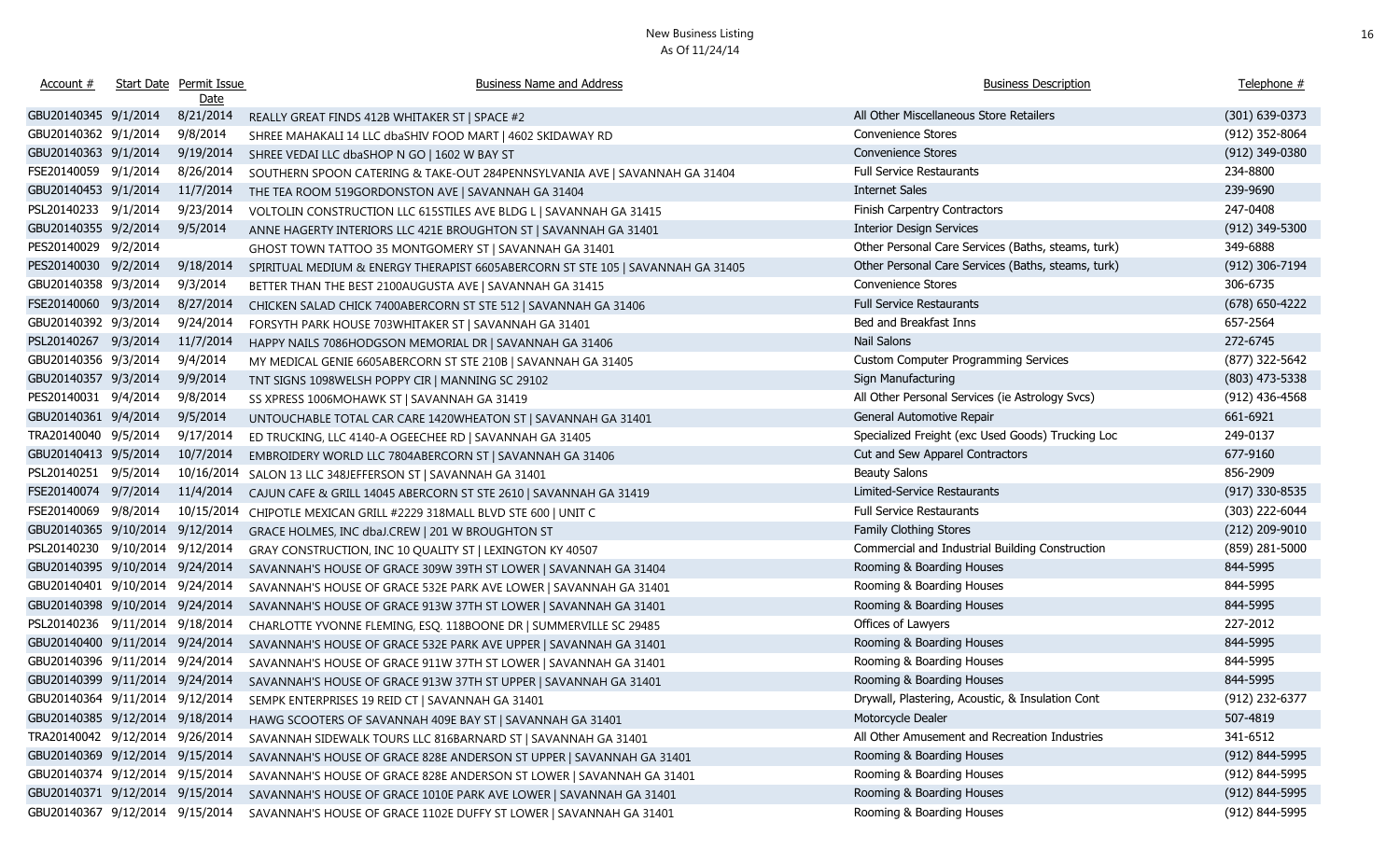| Account #                       |                     | <b>Start Date Permit Issue</b> | <b>Business Name and Address</b>                                                | <b>Business Description</b>                        | Telephone #        |
|---------------------------------|---------------------|--------------------------------|---------------------------------------------------------------------------------|----------------------------------------------------|--------------------|
|                                 |                     | <u>Date</u>                    |                                                                                 |                                                    |                    |
| GBU20140345 9/1/2014            |                     | 8/21/2014                      | REALLY GREAT FINDS 412B WHITAKER ST   SPACE #2                                  | All Other Miscellaneous Store Retailers            | (301) 639-0373     |
| GBU20140362 9/1/2014            |                     | 9/8/2014                       | SHREE MAHAKALI 14 LLC dbaSHIV FOOD MART   4602 SKIDAWAY RD                      | Convenience Stores                                 | (912) 352-8064     |
| GBU20140363 9/1/2014            |                     | 9/19/2014                      | SHREE VEDAI LLC dbaSHOP N GO   1602 W BAY ST                                    | Convenience Stores                                 | (912) 349-0380     |
| FSE20140059 9/1/2014            |                     | 8/26/2014                      | SOUTHERN SPOON CATERING & TAKE-OUT 284PENNSYLVANIA AVE   SAVANNAH GA 31404      | <b>Full Service Restaurants</b>                    | 234-8800           |
| GBU20140453 9/1/2014            |                     | 11/7/2014                      | THE TEA ROOM 519GORDONSTON AVE   SAVANNAH GA 31404                              | <b>Internet Sales</b>                              | 239-9690           |
| PSL20140233 9/1/2014            |                     | 9/23/2014                      | VOLTOLIN CONSTRUCTION LLC 615STILES AVE BLDG L   SAVANNAH GA 31415              | Finish Carpentry Contractors                       | 247-0408           |
| GBU20140355 9/2/2014            |                     | 9/5/2014                       | ANNE HAGERTY INTERIORS LLC 421E BROUGHTON ST   SAVANNAH GA 31401                | <b>Interior Design Services</b>                    | $(912)$ 349-5300   |
| PES20140029 9/2/2014            |                     |                                | GHOST TOWN TATTOO 35 MONTGOMERY ST   SAVANNAH GA 31401                          | Other Personal Care Services (Baths, steams, turk) | 349-6888           |
| PES20140030 9/2/2014            |                     | 9/18/2014                      | SPIRITUAL MEDIUM & ENERGY THERAPIST 6605ABERCORN ST STE 105   SAVANNAH GA 31405 | Other Personal Care Services (Baths, steams, turk) | $(912)$ 306-7194   |
| GBU20140358 9/3/2014            |                     | 9/3/2014                       | BETTER THAN THE BEST 2100AUGUSTA AVE   SAVANNAH GA 31415                        | Convenience Stores                                 | 306-6735           |
| FSE20140060 9/3/2014            |                     | 8/27/2014                      | CHICKEN SALAD CHICK 7400ABERCORN ST STE 512   SAVANNAH GA 31406                 | <b>Full Service Restaurants</b>                    | $(678) 650 - 4222$ |
| GBU20140392 9/3/2014            |                     | 9/24/2014                      | FORSYTH PARK HOUSE 703WHITAKER ST   SAVANNAH GA 31401                           | Bed and Breakfast Inns                             | 657-2564           |
| PSL20140267 9/3/2014            |                     | 11/7/2014                      | HAPPY NAILS 7086HODGSON MEMORIAL DR   SAVANNAH GA 31406                         | <b>Nail Salons</b>                                 | 272-6745           |
| GBU20140356 9/3/2014            |                     | 9/4/2014                       | MY MEDICAL GENIE 6605ABERCORN ST STE 210B   SAVANNAH GA 31405                   | <b>Custom Computer Programming Services</b>        | (877) 322-5642     |
| GBU20140357 9/3/2014            |                     | 9/9/2014                       | TNT SIGNS 1098WELSH POPPY CIR   MANNING SC 29102                                | Sign Manufacturing                                 | $(803)$ 473-5338   |
| PES20140031 9/4/2014            |                     | 9/8/2014                       | SS XPRESS 1006MOHAWK ST   SAVANNAH GA 31419                                     | All Other Personal Services (ie Astrology Svcs)    | $(912)$ 436-4568   |
| GBU20140361 9/4/2014            |                     | 9/5/2014                       | UNTOUCHABLE TOTAL CAR CARE 1420WHEATON ST   SAVANNAH GA 31401                   | General Automotive Repair                          | 661-6921           |
| TRA20140040 9/5/2014            |                     | 9/17/2014                      | ED TRUCKING, LLC 4140-A OGEECHEE RD   SAVANNAH GA 31405                         | Specialized Freight (exc Used Goods) Trucking Loc  | 249-0137           |
| GBU20140413 9/5/2014            |                     | 10/7/2014                      | EMBROIDERY WORLD LLC 7804ABERCORN ST   SAVANNAH GA 31406                        | Cut and Sew Apparel Contractors                    | 677-9160           |
| PSL20140251 9/5/2014            |                     | 10/16/2014                     | SALON 13 LLC 348JEFFERSON ST   SAVANNAH GA 31401                                | <b>Beauty Salons</b>                               | 856-2909           |
| FSE20140074 9/7/2014            |                     | 11/4/2014                      | CAJUN CAFE & GRILL 14045 ABERCORN ST STE 2610   SAVANNAH GA 31419               | Limited-Service Restaurants                        | $(917)$ 330-8535   |
| FSE20140069 9/8/2014            |                     | 10/15/2014                     | CHIPOTLE MEXICAN GRILL #2229 318MALL BLVD STE 600   UNIT C                      | <b>Full Service Restaurants</b>                    | (303) 222-6044     |
| GBU20140365 9/10/2014           |                     | 9/12/2014                      | GRACE HOLMES, INC dbaJ.CREW   201 W BROUGHTON ST                                | Family Clothing Stores                             | (212) 209-9010     |
| PSL20140230                     | 9/10/2014 9/12/2014 |                                | GRAY CONSTRUCTION, INC 10 QUALITY ST   LEXINGTON KY 40507                       | Commercial and Industrial Building Construction    | (859) 281-5000     |
| GBU20140395 9/10/2014 9/24/2014 |                     |                                | SAVANNAH'S HOUSE OF GRACE 309W 39TH ST LOWER   SAVANNAH GA 31404                | Rooming & Boarding Houses                          | 844-5995           |
| GBU20140401 9/10/2014 9/24/2014 |                     |                                | SAVANNAH'S HOUSE OF GRACE 532E PARK AVE LOWER   SAVANNAH GA 31401               | Rooming & Boarding Houses                          | 844-5995           |
| GBU20140398 9/10/2014 9/24/2014 |                     |                                | SAVANNAH'S HOUSE OF GRACE 913W 37TH ST LOWER   SAVANNAH GA 31401                | Rooming & Boarding Houses                          | 844-5995           |
| PSL20140236 9/11/2014 9/18/2014 |                     |                                | CHARLOTTE YVONNE FLEMING, ESQ. 118BOONE DR   SUMMERVILLE SC 29485               | Offices of Lawyers                                 | 227-2012           |
| GBU20140400 9/11/2014 9/24/2014 |                     |                                | SAVANNAH'S HOUSE OF GRACE 532E PARK AVE UPPER   SAVANNAH GA 31401               | Rooming & Boarding Houses                          | 844-5995           |
| GBU20140396 9/11/2014 9/24/2014 |                     |                                | SAVANNAH'S HOUSE OF GRACE 911W 37TH ST LOWER   SAVANNAH GA 31401                | Rooming & Boarding Houses                          | 844-5995           |
| GBU20140399 9/11/2014 9/24/2014 |                     |                                | SAVANNAH'S HOUSE OF GRACE 913W 37TH ST UPPER   SAVANNAH GA 31401                | Rooming & Boarding Houses                          | 844-5995           |
| GBU20140364 9/11/2014 9/12/2014 |                     |                                | SEMPK ENTERPRISES 19 REID CT   SAVANNAH GA 31401                                | Drywall, Plastering, Acoustic, & Insulation Cont   | (912) 232-6377     |
| GBU20140385 9/12/2014 9/18/2014 |                     |                                | HAWG SCOOTERS OF SAVANNAH 409E BAY ST   SAVANNAH GA 31401                       | Motorcycle Dealer                                  | 507-4819           |
| TRA20140042 9/12/2014 9/26/2014 |                     |                                | SAVANNAH SIDEWALK TOURS LLC 816BARNARD ST   SAVANNAH GA 31401                   | All Other Amusement and Recreation Industries      | 341-6512           |
| GBU20140369 9/12/2014 9/15/2014 |                     |                                | SAVANNAH'S HOUSE OF GRACE 828E ANDERSON ST UPPER   SAVANNAH GA 31401            | Rooming & Boarding Houses                          | (912) 844-5995     |
| GBU20140374 9/12/2014 9/15/2014 |                     |                                | SAVANNAH'S HOUSE OF GRACE 828E ANDERSON ST LOWER   SAVANNAH GA 31401            | Rooming & Boarding Houses                          | (912) 844-5995     |
| GBU20140371 9/12/2014 9/15/2014 |                     |                                | SAVANNAH'S HOUSE OF GRACE 1010E PARK AVE LOWER   SAVANNAH GA 31401              | Rooming & Boarding Houses                          | (912) 844-5995     |
| GBU20140367 9/12/2014 9/15/2014 |                     |                                | SAVANNAH'S HOUSE OF GRACE 1102E DUFFY ST LOWER   SAVANNAH GA 31401              | Rooming & Boarding Houses                          | (912) 844-5995     |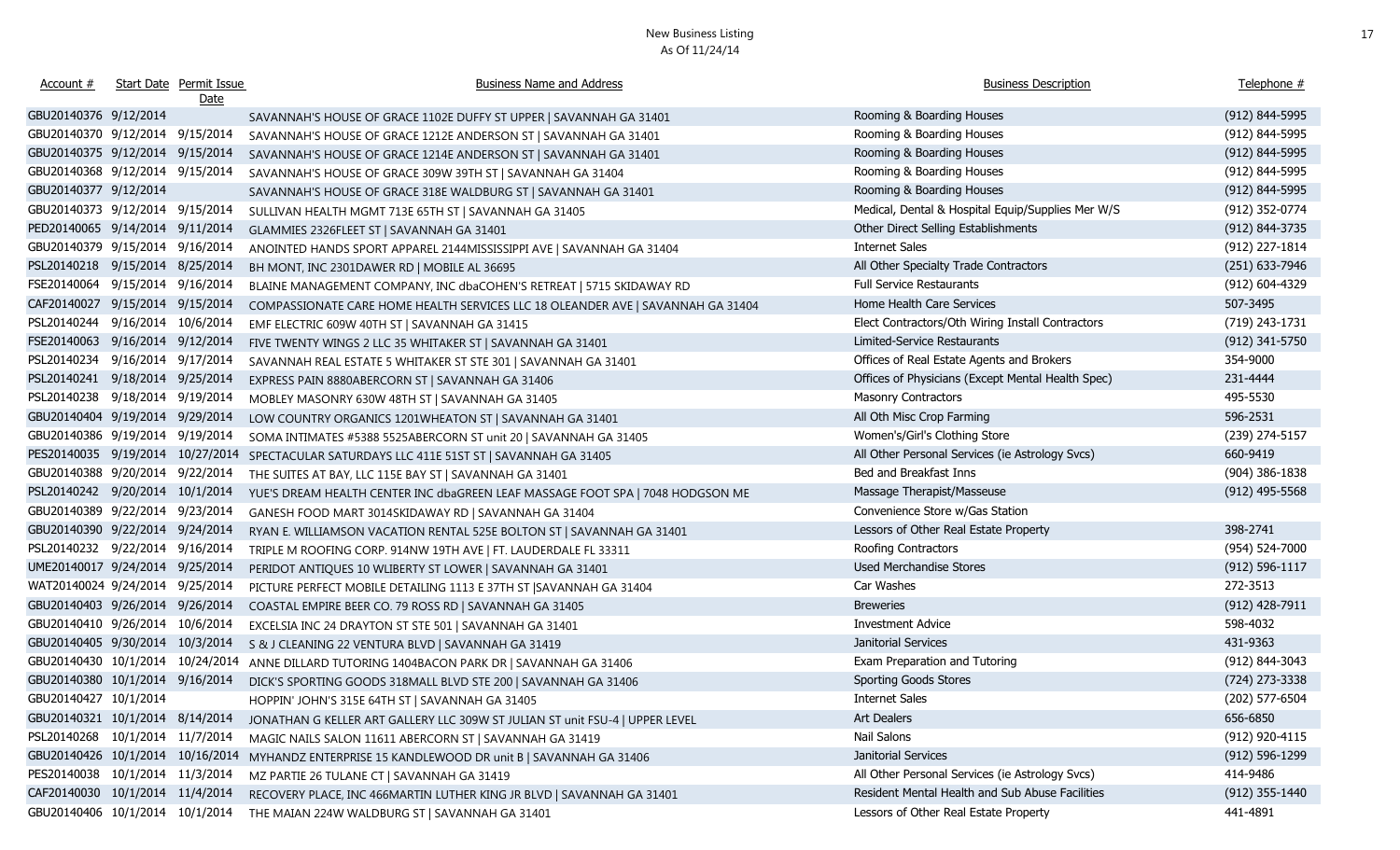| Account #                        | Start Date Permit Issue<br><u>Date</u> | <b>Business Name and Address</b>                                                | <b>Business Description</b>                       | Telephone #        |
|----------------------------------|----------------------------------------|---------------------------------------------------------------------------------|---------------------------------------------------|--------------------|
| GBU20140376 9/12/2014            |                                        | SAVANNAH'S HOUSE OF GRACE 1102E DUFFY ST UPPER   SAVANNAH GA 31401              | Rooming & Boarding Houses                         | (912) 844-5995     |
| GBU20140370 9/12/2014 9/15/2014  |                                        | SAVANNAH'S HOUSE OF GRACE 1212E ANDERSON ST   SAVANNAH GA 31401                 | Rooming & Boarding Houses                         | (912) 844-5995     |
| GBU20140375 9/12/2014 9/15/2014  |                                        | SAVANNAH'S HOUSE OF GRACE 1214E ANDERSON ST   SAVANNAH GA 31401                 | Rooming & Boarding Houses                         | (912) 844-5995     |
| GBU20140368 9/12/2014 9/15/2014  |                                        | SAVANNAH'S HOUSE OF GRACE 309W 39TH ST   SAVANNAH GA 31404                      | Rooming & Boarding Houses                         | (912) 844-5995     |
| GBU20140377 9/12/2014            |                                        | SAVANNAH'S HOUSE OF GRACE 318E WALDBURG ST   SAVANNAH GA 31401                  | Rooming & Boarding Houses                         | (912) 844-5995     |
| GBU20140373 9/12/2014 9/15/2014  |                                        | SULLIVAN HEALTH MGMT 713E 65TH ST   SAVANNAH GA 31405                           | Medical, Dental & Hospital Equip/Supplies Mer W/S | (912) 352-0774     |
| PED20140065 9/14/2014 9/11/2014  |                                        | GLAMMIES 2326FLEET ST   SAVANNAH GA 31401                                       | Other Direct Selling Establishments               | (912) 844-3735     |
| GBU20140379 9/15/2014 9/16/2014  |                                        | ANOINTED HANDS SPORT APPAREL 2144MISSISSIPPI AVE   SAVANNAH GA 31404            | <b>Internet Sales</b>                             | (912) 227-1814     |
| PSL20140218 9/15/2014 8/25/2014  |                                        | BH MONT, INC 2301DAWER RD   MOBILE AL 36695                                     | All Other Specialty Trade Contractors             | (251) 633-7946     |
| FSE20140064 9/15/2014 9/16/2014  |                                        | BLAINE MANAGEMENT COMPANY, INC dbaCOHEN'S RETREAT   5715 SKIDAWAY RD            | <b>Full Service Restaurants</b>                   | (912) 604-4329     |
| CAF20140027 9/15/2014 9/15/2014  |                                        | COMPASSIONATE CARE HOME HEALTH SERVICES LLC 18 OLEANDER AVE   SAVANNAH GA 31404 | Home Health Care Services                         | 507-3495           |
| PSL20140244 9/16/2014 10/6/2014  |                                        | EMF ELECTRIC 609W 40TH ST   SAVANNAH GA 31415                                   | Elect Contractors/Oth Wiring Install Contractors  | (719) 243-1731     |
| FSE20140063 9/16/2014 9/12/2014  |                                        | FIVE TWENTY WINGS 2 LLC 35 WHITAKER ST   SAVANNAH GA 31401                      | Limited-Service Restaurants                       | (912) 341-5750     |
| PSL20140234 9/16/2014 9/17/2014  |                                        | SAVANNAH REAL ESTATE 5 WHITAKER ST STE 301   SAVANNAH GA 31401                  | Offices of Real Estate Agents and Brokers         | 354-9000           |
| PSL20140241 9/18/2014 9/25/2014  |                                        | EXPRESS PAIN 8880ABERCORN ST   SAVANNAH GA 31406                                | Offices of Physicians (Except Mental Health Spec) | 231-4444           |
| PSL20140238 9/18/2014 9/19/2014  |                                        | MOBLEY MASONRY 630W 48TH ST   SAVANNAH GA 31405                                 | <b>Masonry Contractors</b>                        | 495-5530           |
| GBU20140404 9/19/2014 9/29/2014  |                                        | LOW COUNTRY ORGANICS 1201WHEATON ST   SAVANNAH GA 31401                         | All Oth Misc Crop Farming                         | 596-2531           |
| GBU20140386 9/19/2014 9/19/2014  |                                        | SOMA INTIMATES #5388 5525ABERCORN ST unit 20   SAVANNAH GA 31405                | Women's/Girl's Clothing Store                     | (239) 274-5157     |
| PES20140035 9/19/2014 10/27/2014 |                                        | SPECTACULAR SATURDAYS LLC 411E 51ST ST   SAVANNAH GA 31405                      | All Other Personal Services (ie Astrology Svcs)   | 660-9419           |
| GBU20140388 9/20/2014 9/22/2014  |                                        | THE SUITES AT BAY, LLC 115E BAY ST   SAVANNAH GA 31401                          | Bed and Breakfast Inns                            | $(904)$ 386-1838   |
| PSL20140242 9/20/2014 10/1/2014  |                                        | YUE'S DREAM HEALTH CENTER INC dbaGREEN LEAF MASSAGE FOOT SPA   7048 HODGSON ME  | Massage Therapist/Masseuse                        | $(912)$ 495-5568   |
| GBU20140389 9/22/2014 9/23/2014  |                                        | GANESH FOOD MART 3014SKIDAWAY RD   SAVANNAH GA 31404                            | Convenience Store w/Gas Station                   |                    |
| GBU20140390 9/22/2014 9/24/2014  |                                        | RYAN E. WILLIAMSON VACATION RENTAL 525E BOLTON ST   SAVANNAH GA 31401           | Lessors of Other Real Estate Property             | 398-2741           |
| PSL20140232 9/22/2014 9/16/2014  |                                        | TRIPLE M ROOFING CORP. 914NW 19TH AVE   FT. LAUDERDALE FL 33311                 | Roofing Contractors                               | (954) 524-7000     |
| UME20140017 9/24/2014 9/25/2014  |                                        | PERIDOT ANTIQUES 10 WLIBERTY ST LOWER   SAVANNAH GA 31401                       | Used Merchandise Stores                           | $(912) 596 - 1117$ |
| WAT20140024 9/24/2014 9/25/2014  |                                        | PICTURE PERFECT MOBILE DETAILING 1113 E 37TH ST  SAVANNAH GA 31404              | Car Washes                                        | 272-3513           |
| GBU20140403 9/26/2014 9/26/2014  |                                        | COASTAL EMPIRE BEER CO. 79 ROSS RD   SAVANNAH GA 31405                          | <b>Breweries</b>                                  | $(912)$ 428-7911   |
| GBU20140410 9/26/2014 10/6/2014  |                                        | EXCELSIA INC 24 DRAYTON ST STE 501   SAVANNAH GA 31401                          | <b>Investment Advice</b>                          | 598-4032           |
| GBU20140405 9/30/2014 10/3/2014  |                                        | S & J CLEANING 22 VENTURA BLVD   SAVANNAH GA 31419                              | Janitorial Services                               | 431-9363           |
| GBU20140430 10/1/2014 10/24/2014 |                                        | ANNE DILLARD TUTORING 1404BACON PARK DR   SAVANNAH GA 31406                     | Exam Preparation and Tutoring                     | (912) 844-3043     |
| GBU20140380 10/1/2014 9/16/2014  |                                        | DICK'S SPORTING GOODS 318MALL BLVD STE 200   SAVANNAH GA 31406                  | Sporting Goods Stores                             | (724) 273-3338     |
| GBU20140427 10/1/2014            |                                        | HOPPIN' JOHN'S 315E 64TH ST   SAVANNAH GA 31405                                 | <b>Internet Sales</b>                             | (202) 577-6504     |
| GBU20140321 10/1/2014 8/14/2014  |                                        | JONATHAN G KELLER ART GALLERY LLC 309W ST JULIAN ST unit FSU-4   UPPER LEVEL    | Art Dealers                                       | 656-6850           |
| PSL20140268 10/1/2014 11/7/2014  |                                        | MAGIC NAILS SALON 11611 ABERCORN ST   SAVANNAH GA 31419                         | Nail Salons                                       | (912) 920-4115     |
| GBU20140426 10/1/2014 10/16/2014 |                                        | MYHANDZ ENTERPRISE 15 KANDLEWOOD DR unit B   SAVANNAH GA 31406                  | Janitorial Services                               | (912) 596-1299     |
| PES20140038 10/1/2014 11/3/2014  |                                        | MZ PARTIE 26 TULANE CT   SAVANNAH GA 31419                                      | All Other Personal Services (ie Astrology Svcs)   | 414-9486           |
| CAF20140030 10/1/2014 11/4/2014  |                                        | RECOVERY PLACE, INC 466MARTIN LUTHER KING JR BLVD   SAVANNAH GA 31401           | Resident Mental Health and Sub Abuse Facilities   | (912) 355-1440     |
| GBU20140406 10/1/2014 10/1/2014  |                                        | THE MAIAN 224W WALDBURG ST   SAVANNAH GA 31401                                  | Lessors of Other Real Estate Property             | 441-4891           |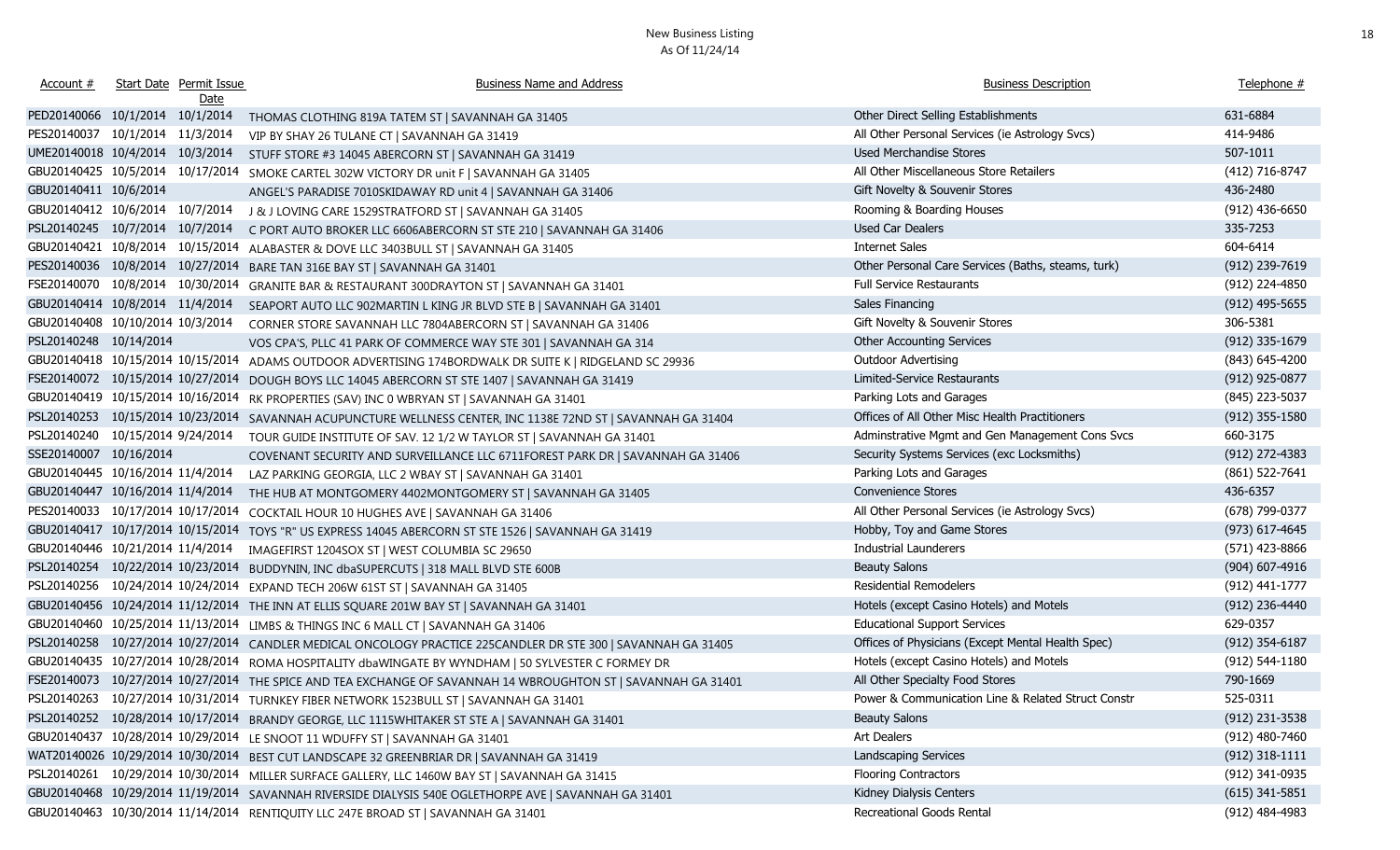| Account #                         | <b>Start Date Permit Issue</b> | <b>Business Name and Address</b>                                                                              | <b>Business Description</b>                        | Telephone #      |
|-----------------------------------|--------------------------------|---------------------------------------------------------------------------------------------------------------|----------------------------------------------------|------------------|
|                                   | Date                           |                                                                                                               |                                                    |                  |
| PED20140066 10/1/2014 10/1/2014   |                                | THOMAS CLOTHING 819A TATEM ST   SAVANNAH GA 31405                                                             | Other Direct Selling Establishments                | 631-6884         |
| PES20140037 10/1/2014 11/3/2014   |                                | VIP BY SHAY 26 TULANE CT   SAVANNAH GA 31419                                                                  | All Other Personal Services (ie Astrology Svcs)    | 414-9486         |
| UME20140018 10/4/2014 10/3/2014   |                                | STUFF STORE #3 14045 ABERCORN ST   SAVANNAH GA 31419                                                          | <b>Used Merchandise Stores</b>                     | 507-1011         |
| GBU20140425 10/5/2014 10/17/2014  |                                | SMOKE CARTEL 302W VICTORY DR unit F   SAVANNAH GA 31405                                                       | All Other Miscellaneous Store Retailers            | (412) 716-8747   |
| GBU20140411 10/6/2014             |                                | ANGEL'S PARADISE 7010SKIDAWAY RD unit 4   SAVANNAH GA 31406                                                   | Gift Novelty & Souvenir Stores                     | 436-2480         |
| GBU20140412 10/6/2014 10/7/2014   |                                | J & J LOVING CARE 1529STRATFORD ST   SAVANNAH GA 31405                                                        | Rooming & Boarding Houses                          | $(912)$ 436-6650 |
| PSL20140245 10/7/2014 10/7/2014   |                                | C PORT AUTO BROKER LLC 6606ABERCORN ST STE 210   SAVANNAH GA 31406                                            | Used Car Dealers                                   | 335-7253         |
| GBU20140421 10/8/2014             | 10/15/2014                     | ALABASTER & DOVE LLC 3403BULL ST   SAVANNAH GA 31405                                                          | Internet Sales                                     | 604-6414         |
| PES20140036 10/8/2014 10/27/2014  |                                | BARE TAN 316E BAY ST   SAVANNAH GA 31401                                                                      | Other Personal Care Services (Baths, steams, turk) | (912) 239-7619   |
| FSE20140070 10/8/2014 10/30/2014  |                                | GRANITE BAR & RESTAURANT 300DRAYTON ST   SAVANNAH GA 31401                                                    | Full Service Restaurants                           | (912) 224-4850   |
| GBU20140414 10/8/2014 11/4/2014   |                                | SEAPORT AUTO LLC 902MARTIN L KING JR BLVD STE B   SAVANNAH GA 31401                                           | Sales Financing                                    | $(912)$ 495-5655 |
| GBU20140408 10/10/2014 10/3/2014  |                                | CORNER STORE SAVANNAH LLC 7804ABERCORN ST   SAVANNAH GA 31406                                                 | Gift Novelty & Souvenir Stores                     | 306-5381         |
| PSL20140248 10/14/2014            |                                | VOS CPA'S, PLLC 41 PARK OF COMMERCE WAY STE 301   SAVANNAH GA 314                                             | <b>Other Accounting Services</b>                   | (912) 335-1679   |
| GBU20140418 10/15/2014 10/15/2014 |                                | ADAMS OUTDOOR ADVERTISING 174BORDWALK DR SUITE K   RIDGELAND SC 29936                                         | Outdoor Advertising                                | (843) 645-4200   |
| FSE20140072 10/15/2014 10/27/2014 |                                | DOUGH BOYS LLC 14045 ABERCORN ST STE 1407   SAVANNAH GA 31419                                                 | Limited-Service Restaurants                        | (912) 925-0877   |
| GBU20140419 10/15/2014 10/16/2014 |                                | RK PROPERTIES (SAV) INC 0 WBRYAN ST   SAVANNAH GA 31401                                                       | Parking Lots and Garages                           | (845) 223-5037   |
| PSL20140253 10/15/2014 10/23/2014 |                                | SAVANNAH ACUPUNCTURE WELLNESS CENTER, INC 1138E 72ND ST   SAVANNAH GA 31404                                   | Offices of All Other Misc Health Practitioners     | $(912)$ 355-1580 |
| PSL20140240 10/15/2014 9/24/2014  |                                | TOUR GUIDE INSTITUTE OF SAV. 12 1/2 W TAYLOR ST   SAVANNAH GA 31401                                           | Adminstrative Mgmt and Gen Management Cons Svcs    | 660-3175         |
| SSE20140007 10/16/2014            |                                | COVENANT SECURITY AND SURVEILLANCE LLC 6711FOREST PARK DR   SAVANNAH GA 31406                                 | Security Systems Services (exc Locksmiths)         | (912) 272-4383   |
| GBU20140445 10/16/2014 11/4/2014  |                                | LAZ PARKING GEORGIA, LLC 2 WBAY ST   SAVANNAH GA 31401                                                        | Parking Lots and Garages                           | (861) 522-7641   |
| GBU20140447 10/16/2014 11/4/2014  |                                | THE HUB AT MONTGOMERY 4402MONTGOMERY ST   SAVANNAH GA 31405                                                   | <b>Convenience Stores</b>                          | 436-6357         |
| PES20140033 10/17/2014 10/17/2014 |                                | COCKTAIL HOUR 10 HUGHES AVE   SAVANNAH GA 31406                                                               | All Other Personal Services (ie Astrology Svcs)    | (678) 799-0377   |
| GBU20140417 10/17/2014 10/15/2014 |                                | TOYS "R" US EXPRESS 14045 ABERCORN ST STE 1526   SAVANNAH GA 31419                                            | Hobby, Toy and Game Stores                         | (973) 617-4645   |
| GBU20140446 10/21/2014 11/4/2014  |                                | IMAGEFIRST 1204SOX ST   WEST COLUMBIA SC 29650                                                                | <b>Industrial Launderers</b>                       | (571) 423-8866   |
| PSL20140254 10/22/2014 10/23/2014 |                                | BUDDYNIN, INC dbaSUPERCUTS   318 MALL BLVD STE 600B                                                           | <b>Beauty Salons</b>                               | (904) 607-4916   |
|                                   |                                | PSL20140256 10/24/2014 10/24/2014 EXPAND TECH 206W 61ST ST   SAVANNAH GA 31405                                | <b>Residential Remodelers</b>                      | (912) 441-1777   |
| GBU20140456 10/24/2014 11/12/2014 |                                | THE INN AT ELLIS SQUARE 201W BAY ST   SAVANNAH GA 31401                                                       | Hotels (except Casino Hotels) and Motels           | (912) 236-4440   |
|                                   |                                | GBU20140460 10/25/2014 11/13/2014 LIMBS & THINGS INC 6 MALL CT   SAVANNAH GA 31406                            | <b>Educational Support Services</b>                | 629-0357         |
|                                   |                                | PSL20140258 10/27/2014 10/27/2014 CANDLER MEDICAL ONCOLOGY PRACTICE 225CANDLER DR STE 300   SAVANNAH GA 31405 | Offices of Physicians (Except Mental Health Spec)  | $(912)$ 354-6187 |
|                                   |                                | GBU20140435 10/27/2014 10/28/2014 ROMA HOSPITALITY dbaWINGATE BY WYNDHAM   50 SYLVESTER C FORMEY DR           | Hotels (except Casino Hotels) and Motels           | (912) 544-1180   |
|                                   |                                | FSE20140073 10/27/2014 10/27/2014 THE SPICE AND TEA EXCHANGE OF SAVANNAH 14 WBROUGHTON ST   SAVANNAH GA 31401 | All Other Specialty Food Stores                    | 790-1669         |
|                                   |                                | PSL20140263 10/27/2014 10/31/2014 TURNKEY FIBER NETWORK 1523BULL ST   SAVANNAH GA 31401                       | Power & Communication Line & Related Struct Constr | 525-0311         |
|                                   |                                | PSL20140252 10/28/2014 10/17/2014 BRANDY GEORGE, LLC 1115WHITAKER ST STE A   SAVANNAH GA 31401                | <b>Beauty Salons</b>                               | (912) 231-3538   |
|                                   |                                | GBU20140437 10/28/2014 10/29/2014 LE SNOOT 11 WDUFFY ST   SAVANNAH GA 31401                                   | Art Dealers                                        | (912) 480-7460   |
|                                   |                                | WAT20140026 10/29/2014 10/30/2014 BEST CUT LANDSCAPE 32 GREENBRIAR DR   SAVANNAH GA 31419                     | Landscaping Services                               | $(912)$ 318-1111 |
|                                   |                                | PSL20140261 10/29/2014 10/30/2014 MILLER SURFACE GALLERY, LLC 1460W BAY ST   SAVANNAH GA 31415                | <b>Flooring Contractors</b>                        | (912) 341-0935   |
|                                   |                                | GBU20140468 10/29/2014 11/19/2014 SAVANNAH RIVERSIDE DIALYSIS 540E OGLETHORPE AVE   SAVANNAH GA 31401         | Kidney Dialysis Centers                            | $(615)$ 341-5851 |
|                                   |                                | GBU20140463 10/30/2014 11/14/2014 RENTIQUITY LLC 247E BROAD ST   SAVANNAH GA 31401                            | Recreational Goods Rental                          | (912) 484-4983   |
|                                   |                                |                                                                                                               |                                                    |                  |